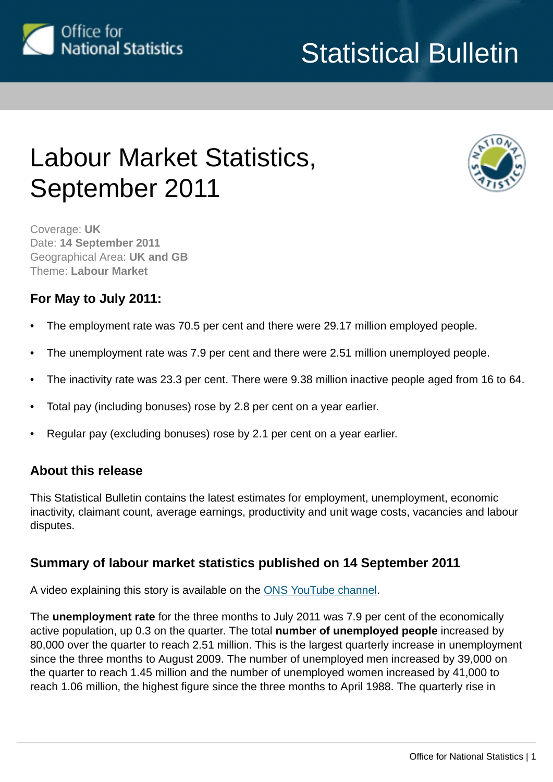

# Statistical Bulletin

# Labour Market Statistics, September 2011



Coverage: **UK** Date: **14 September 2011** Geographical Area: **UK and GB** Theme: **Labour Market**

### **For May to July 2011:**

- The employment rate was 70.5 per cent and there were 29.17 million employed people.
- The unemployment rate was 7.9 per cent and there were 2.51 million unemployed people.
- The inactivity rate was 23.3 per cent. There were 9.38 million inactive people aged from 16 to 64.
- Total pay (including bonuses) rose by 2.8 per cent on a year earlier.
- Regular pay (excluding bonuses) rose by 2.1 per cent on a year earlier.

### **About this release**

This Statistical Bulletin contains the latest estimates for employment, unemployment, economic inactivity, claimant count, average earnings, productivity and unit wage costs, vacancies and labour disputes.

### **Summary of labour market statistics published on 14 September 2011**

A video explaining this story is available on the [ONS YouTube channel](http://www.youtube.com/user/onsstats?feature=mhee#p/u/0/LJDgdWFDaY0).

The **unemployment rate** for the three months to July 2011 was 7.9 per cent of the economically active population, up 0.3 on the quarter. The total **number of unemployed people** increased by 80,000 over the quarter to reach 2.51 million. This is the largest quarterly increase in unemployment since the three months to August 2009. The number of unemployed men increased by 39,000 on the quarter to reach 1.45 million and the number of unemployed women increased by 41,000 to reach 1.06 million, the highest figure since the three months to April 1988. The quarterly rise in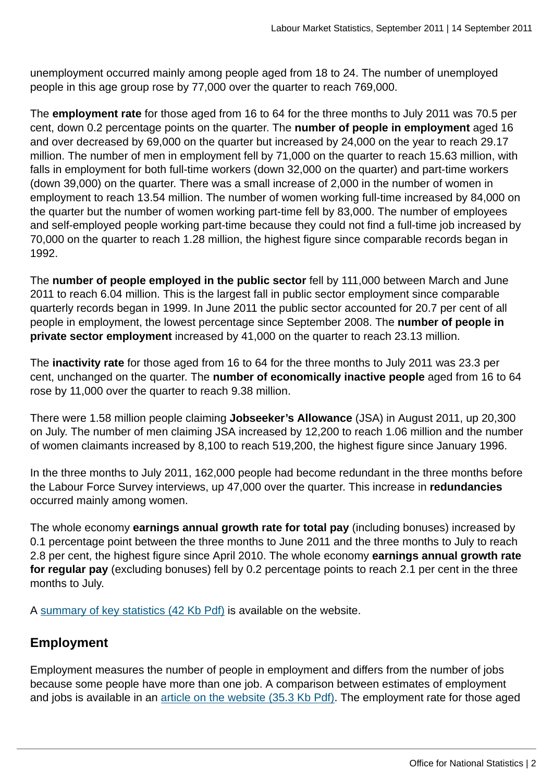unemployment occurred mainly among people aged from 18 to 24. The number of unemployed people in this age group rose by 77,000 over the quarter to reach 769,000.

The **employment rate** for those aged from 16 to 64 for the three months to July 2011 was 70.5 per cent, down 0.2 percentage points on the quarter. The **number of people in employment** aged 16 and over decreased by 69,000 on the quarter but increased by 24,000 on the year to reach 29.17 million. The number of men in employment fell by 71,000 on the quarter to reach 15.63 million, with falls in employment for both full-time workers (down 32,000 on the quarter) and part-time workers (down 39,000) on the quarter. There was a small increase of 2,000 in the number of women in employment to reach 13.54 million. The number of women working full-time increased by 84,000 on the quarter but the number of women working part-time fell by 83,000. The number of employees and self-employed people working part-time because they could not find a full-time job increased by 70,000 on the quarter to reach 1.28 million, the highest figure since comparable records began in 1992.

The **number of people employed in the public sector** fell by 111,000 between March and June 2011 to reach 6.04 million. This is the largest fall in public sector employment since comparable quarterly records began in 1999. In June 2011 the public sector accounted for 20.7 per cent of all people in employment, the lowest percentage since September 2008. The **number of people in private sector employment** increased by 41,000 on the quarter to reach 23.13 million.

The **inactivity rate** for those aged from 16 to 64 for the three months to July 2011 was 23.3 per cent, unchanged on the quarter. The **number of economically inactive people** aged from 16 to 64 rose by 11,000 over the quarter to reach 9.38 million.

There were 1.58 million people claiming **Jobseeker's Allowance** (JSA) in August 2011, up 20,300 on July. The number of men claiming JSA increased by 12,200 to reach 1.06 million and the number of women claimants increased by 8,100 to reach 519,200, the highest figure since January 1996.

In the three months to July 2011, 162,000 people had become redundant in the three months before the Labour Force Survey interviews, up 47,000 over the quarter. This increase in **redundancies** occurred mainly among women.

The whole economy **earnings annual growth rate for total pay** (including bonuses) increased by 0.1 percentage point between the three months to June 2011 and the three months to July to reach 2.8 per cent, the highest figure since April 2010. The whole economy **earnings annual growth rate for regular pay** (excluding bonuses) fell by 0.2 percentage points to reach 2.1 per cent in the three months to July.

A [summary of key statistics \(42 Kb Pdf\)](http://www.ons.gov.uk:80/ons/rel/lms/labour-market-statistics/september-2011/summary-of-key-statistics.pdf) is available on the website.

### **Employment**

Employment measures the number of people in employment and differs from the number of jobs because some people have more than one job. A comparison between estimates of employment and jobs is available in an [article on the website \(35.3 Kb Pdf\).](http://www.ons.gov.uk:80/ons/rel/lms/labour-market-statistics/september-2011/lfs-wfj-reconciliation.pdf) The employment rate for those aged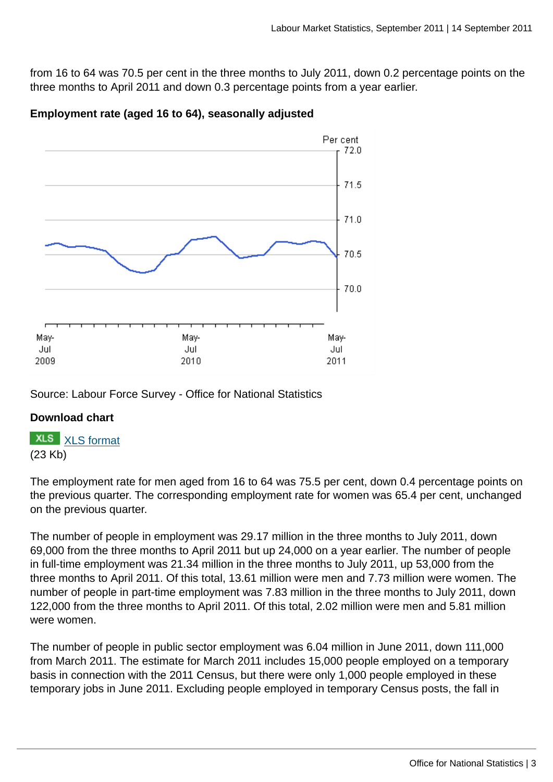from 16 to 64 was 70.5 per cent in the three months to July 2011, down 0.2 percentage points on the three months to April 2011 and down 0.3 percentage points from a year earlier.



#### **Employment rate (aged 16 to 64), seasonally adjusted**

Source: Labour Force Survey - Office for National Statistics

#### **Download chart**

**XLS** [XLS format](http://www.ons.gov.uk:80/ons/rel/lms/labour-market-statistics/september-2011/employment-chart-spreadsheet.xls) (23 Kb)

The employment rate for men aged from 16 to 64 was 75.5 per cent, down 0.4 percentage points on the previous quarter. The corresponding employment rate for women was 65.4 per cent, unchanged on the previous quarter.

The number of people in employment was 29.17 million in the three months to July 2011, down 69,000 from the three months to April 2011 but up 24,000 on a year earlier. The number of people in full-time employment was 21.34 million in the three months to July 2011, up 53,000 from the three months to April 2011. Of this total, 13.61 million were men and 7.73 million were women. The number of people in part-time employment was 7.83 million in the three months to July 2011, down 122,000 from the three months to April 2011. Of this total, 2.02 million were men and 5.81 million were women.

The number of people in public sector employment was 6.04 million in June 2011, down 111,000 from March 2011. The estimate for March 2011 includes 15,000 people employed on a temporary basis in connection with the 2011 Census, but there were only 1,000 people employed in these temporary jobs in June 2011. Excluding people employed in temporary Census posts, the fall in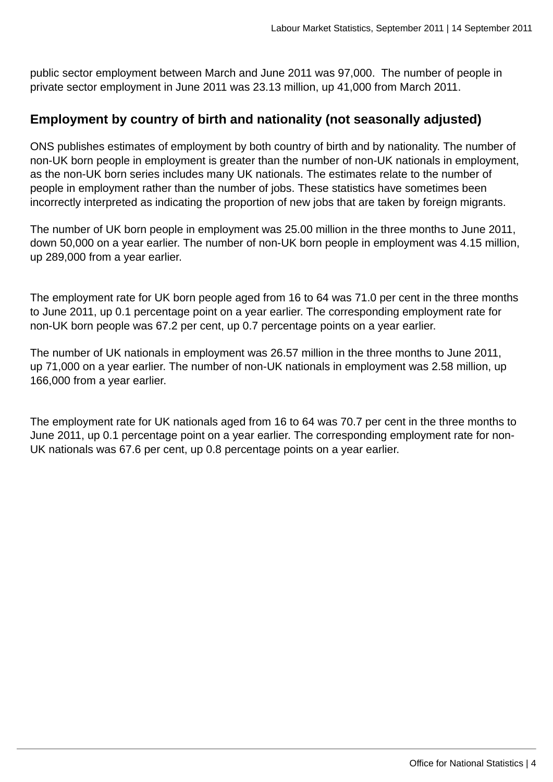public sector employment between March and June 2011 was 97,000. The number of people in private sector employment in June 2011 was 23.13 million, up 41,000 from March 2011.

### **Employment by country of birth and nationality (not seasonally adjusted)**

ONS publishes estimates of employment by both country of birth and by nationality. The number of non-UK born people in employment is greater than the number of non-UK nationals in employment, as the non-UK born series includes many UK nationals. The estimates relate to the number of people in employment rather than the number of jobs. These statistics have sometimes been incorrectly interpreted as indicating the proportion of new jobs that are taken by foreign migrants.

The number of UK born people in employment was 25.00 million in the three months to June 2011, down 50,000 on a year earlier. The number of non-UK born people in employment was 4.15 million, up 289,000 from a year earlier.

The employment rate for UK born people aged from 16 to 64 was 71.0 per cent in the three months to June 2011, up 0.1 percentage point on a year earlier. The corresponding employment rate for non-UK born people was 67.2 per cent, up 0.7 percentage points on a year earlier.

The number of UK nationals in employment was 26.57 million in the three months to June 2011, up 71,000 on a year earlier. The number of non-UK nationals in employment was 2.58 million, up 166,000 from a year earlier.

The employment rate for UK nationals aged from 16 to 64 was 70.7 per cent in the three months to June 2011, up 0.1 percentage point on a year earlier. The corresponding employment rate for non-UK nationals was 67.6 per cent, up 0.8 percentage points on a year earlier.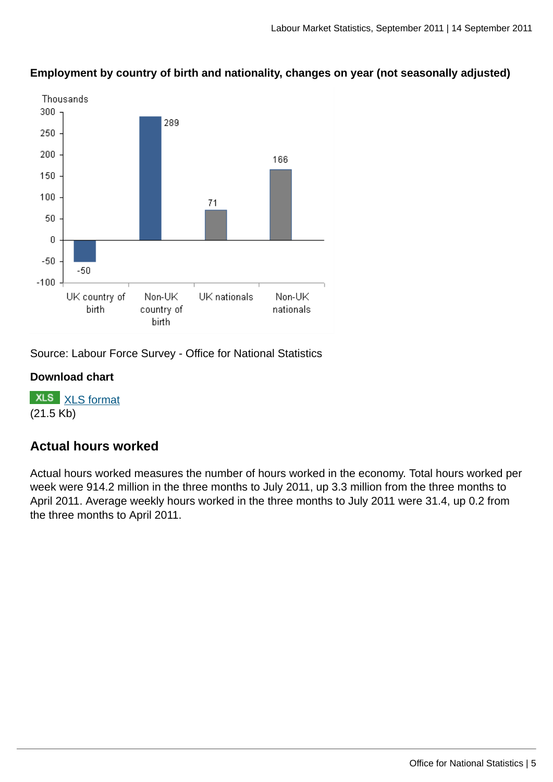

**Employment by country of birth and nationality, changes on year (not seasonally adjusted)**

Source: Labour Force Survey - Office for National Statistics

#### **Download chart**

**XLS** [XLS format](http://www.ons.gov.uk:80/ons/rel/lms/labour-market-statistics/september-2011/emp-rate-by-cob.xls) (21.5 Kb)

### **Actual hours worked**

Actual hours worked measures the number of hours worked in the economy. Total hours worked per week were 914.2 million in the three months to July 2011, up 3.3 million from the three months to April 2011. Average weekly hours worked in the three months to July 2011 were 31.4, up 0.2 from the three months to April 2011.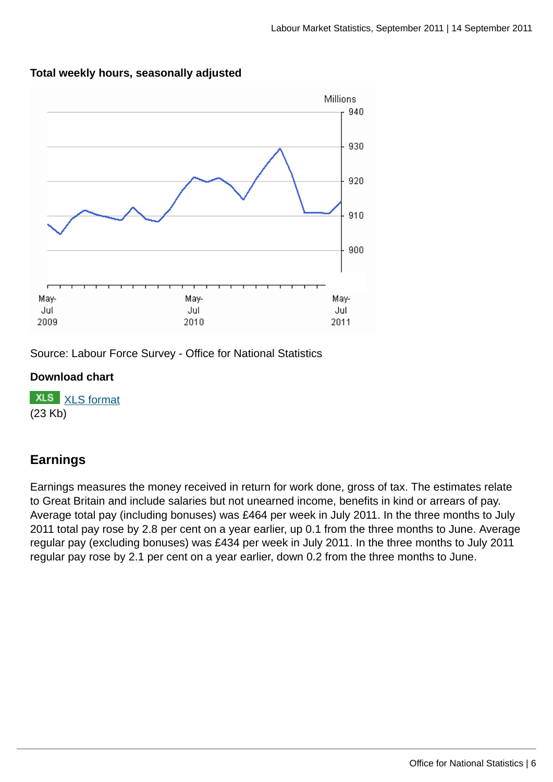

#### **Total weekly hours, seasonally adjusted**

Source: Labour Force Survey - Office for National Statistics

#### **Download chart**

**XLS** [XLS format](http://www.ons.gov.uk:80/ons/rel/lms/labour-market-statistics/september-2011/hours-worked-chart-data.xls) (23 Kb)

### **Earnings**

Earnings measures the money received in return for work done, gross of tax. The estimates relate to Great Britain and include salaries but not unearned income, benefits in kind or arrears of pay. Average total pay (including bonuses) was £464 per week in July 2011. In the three months to July 2011 total pay rose by 2.8 per cent on a year earlier, up 0.1 from the three months to June. Average regular pay (excluding bonuses) was £434 per week in July 2011. In the three months to July 2011 regular pay rose by 2.1 per cent on a year earlier, down 0.2 from the three months to June.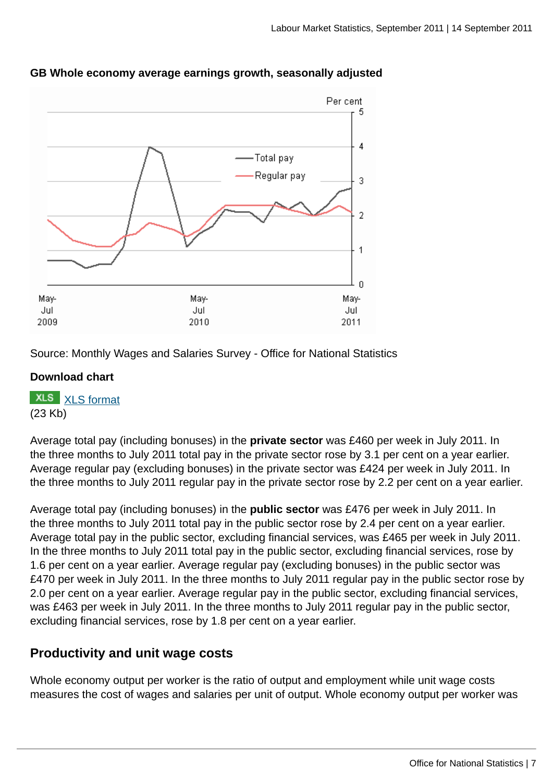

#### **GB Whole economy average earnings growth, seasonally adjusted**

Source: Monthly Wages and Salaries Survey - Office for National Statistics

#### **Download chart**

**XLS** [XLS format](http://www.ons.gov.uk:80/ons/rel/lms/labour-market-statistics/september-2011/awe-chart-spreadsheet.xls) (23 Kb)

Average total pay (including bonuses) in the **private sector** was £460 per week in July 2011. In the three months to July 2011 total pay in the private sector rose by 3.1 per cent on a year earlier. Average regular pay (excluding bonuses) in the private sector was £424 per week in July 2011. In the three months to July 2011 regular pay in the private sector rose by 2.2 per cent on a year earlier.

Average total pay (including bonuses) in the **public sector** was £476 per week in July 2011. In the three months to July 2011 total pay in the public sector rose by 2.4 per cent on a year earlier. Average total pay in the public sector, excluding financial services, was £465 per week in July 2011. In the three months to July 2011 total pay in the public sector, excluding financial services, rose by 1.6 per cent on a year earlier. Average regular pay (excluding bonuses) in the public sector was £470 per week in July 2011. In the three months to July 2011 regular pay in the public sector rose by 2.0 per cent on a year earlier. Average regular pay in the public sector, excluding financial services, was £463 per week in July 2011. In the three months to July 2011 regular pay in the public sector, excluding financial services, rose by 1.8 per cent on a year earlier.

### **Productivity and unit wage costs**

Whole economy output per worker is the ratio of output and employment while unit wage costs measures the cost of wages and salaries per unit of output. Whole economy output per worker was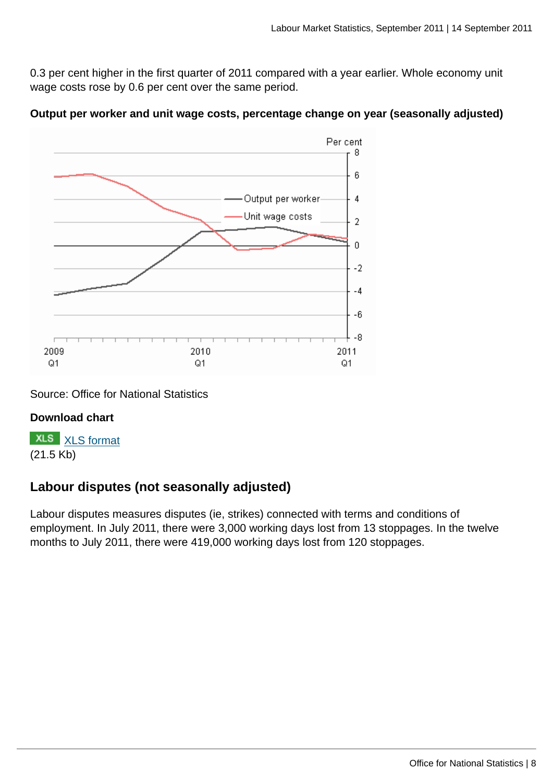0.3 per cent higher in the first quarter of 2011 compared with a year earlier. Whole economy unit wage costs rose by 0.6 per cent over the same period.





#### Source: Office for National Statistics

#### **Download chart**

**XLS** [XLS format](http://www.ons.gov.uk:80/ons/rel/lms/labour-market-statistics/september-2011/productivity-chart-data.xls) (21.5 Kb)

### **Labour disputes (not seasonally adjusted)**

Labour disputes measures disputes (ie, strikes) connected with terms and conditions of employment. In July 2011, there were 3,000 working days lost from 13 stoppages. In the twelve months to July 2011, there were 419,000 working days lost from 120 stoppages.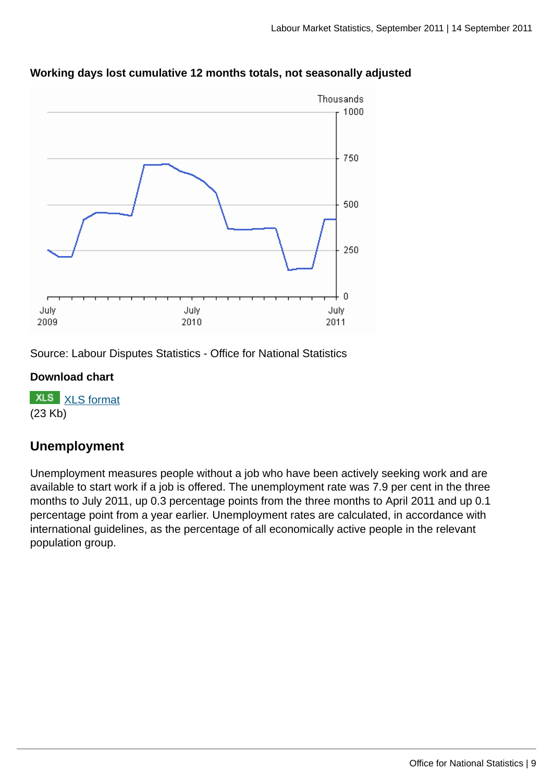

#### **Working days lost cumulative 12 months totals, not seasonally adjusted**

Source: Labour Disputes Statistics - Office for National Statistics

#### **Download chart**

**XLS** [XLS format](http://www.ons.gov.uk:80/ons/rel/lms/labour-market-statistics/september-2011/labour-disputes-chart-spreadsheet.xls) (23 Kb)

### **Unemployment**

Unemployment measures people without a job who have been actively seeking work and are available to start work if a job is offered. The unemployment rate was 7.9 per cent in the three months to July 2011, up 0.3 percentage points from the three months to April 2011 and up 0.1 percentage point from a year earlier. Unemployment rates are calculated, in accordance with international guidelines, as the percentage of all economically active people in the relevant population group.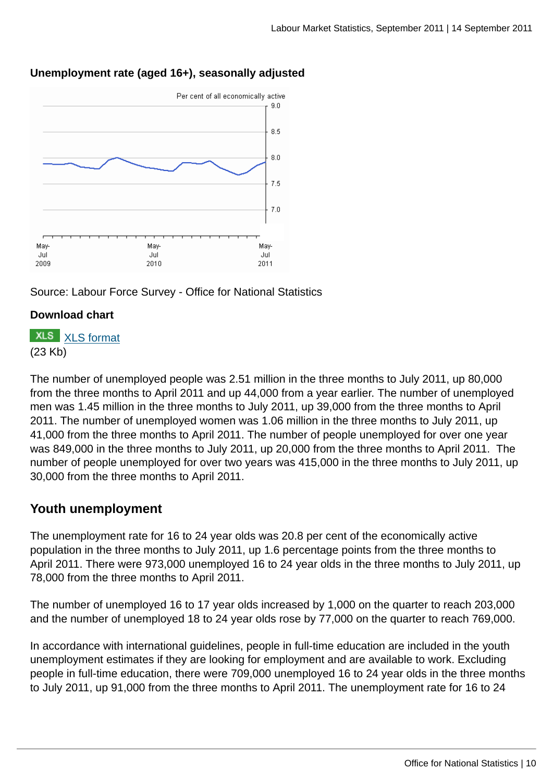

### **Unemployment rate (aged 16+), seasonally adjusted**

Source: Labour Force Survey - Office for National Statistics

#### **Download chart**

### **XLS** [XLS format](http://www.ons.gov.uk:80/ons/rel/lms/labour-market-statistics/september-2011/unemployment-chart-data.xls) (23 Kb)

The number of unemployed people was 2.51 million in the three months to July 2011, up 80,000 from the three months to April 2011 and up 44,000 from a year earlier. The number of unemployed men was 1.45 million in the three months to July 2011, up 39,000 from the three months to April 2011. The number of unemployed women was 1.06 million in the three months to July 2011, up 41,000 from the three months to April 2011. The number of people unemployed for over one year was 849,000 in the three months to July 2011, up 20,000 from the three months to April 2011. The number of people unemployed for over two years was 415,000 in the three months to July 2011, up 30,000 from the three months to April 2011.

### **Youth unemployment**

The unemployment rate for 16 to 24 year olds was 20.8 per cent of the economically active population in the three months to July 2011, up 1.6 percentage points from the three months to April 2011. There were 973,000 unemployed 16 to 24 year olds in the three months to July 2011, up 78,000 from the three months to April 2011.

The number of unemployed 16 to 17 year olds increased by 1,000 on the quarter to reach 203,000 and the number of unemployed 18 to 24 year olds rose by 77,000 on the quarter to reach 769,000.

In accordance with international guidelines, people in full-time education are included in the youth unemployment estimates if they are looking for employment and are available to work. Excluding people in full-time education, there were 709,000 unemployed 16 to 24 year olds in the three months to July 2011, up 91,000 from the three months to April 2011. The unemployment rate for 16 to 24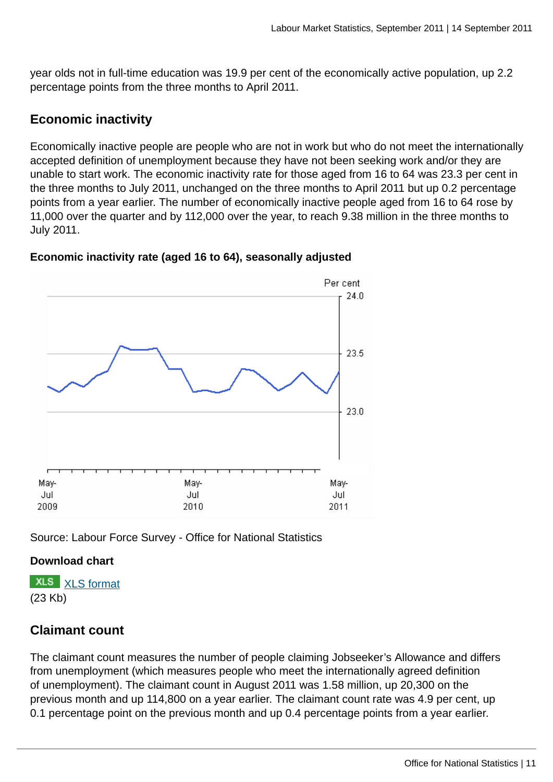year olds not in full-time education was 19.9 per cent of the economically active population, up 2.2 percentage points from the three months to April 2011.

### **Economic inactivity**

Economically inactive people are people who are not in work but who do not meet the internationally accepted definition of unemployment because they have not been seeking work and/or they are unable to start work. The economic inactivity rate for those aged from 16 to 64 was 23.3 per cent in the three months to July 2011, unchanged on the three months to April 2011 but up 0.2 percentage points from a year earlier. The number of economically inactive people aged from 16 to 64 rose by 11,000 over the quarter and by 112,000 over the year, to reach 9.38 million in the three months to July 2011.



#### **Economic inactivity rate (aged 16 to 64), seasonally adjusted**

Source: Labour Force Survey - Office for National Statistics

#### **Download chart**

**XLS** [XLS format](http://www.ons.gov.uk:80/ons/rel/lms/labour-market-statistics/september-2011/inactivity-chart-data.xls) (23 Kb)

### **Claimant count**

The claimant count measures the number of people claiming Jobseeker's Allowance and differs from unemployment (which measures people who meet the internationally agreed definition of unemployment). The claimant count in August 2011 was 1.58 million, up 20,300 on the previous month and up 114,800 on a year earlier. The claimant count rate was 4.9 per cent, up 0.1 percentage point on the previous month and up 0.4 percentage points from a year earlier.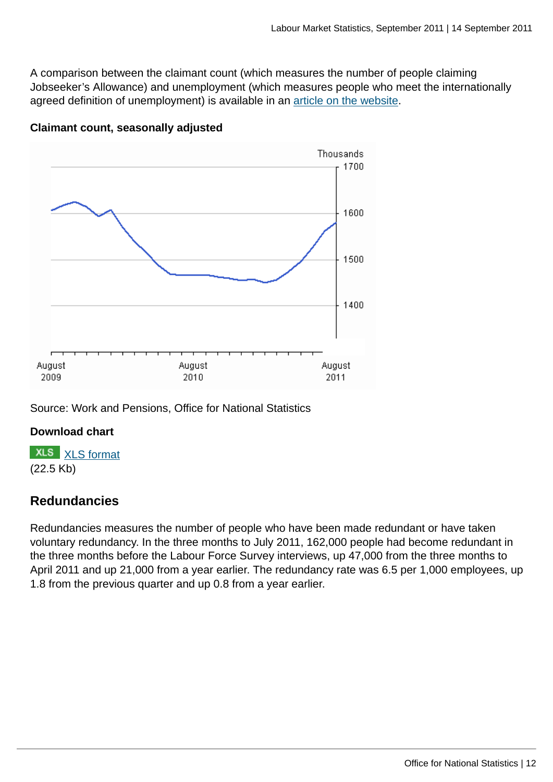A comparison between the claimant count (which measures the number of people claiming Jobseeker's Allowance) and unemployment (which measures people who meet the internationally agreed definition of unemployment) is available in an [article on the website](http://www.ons.gov.uk:80/ons/rel/lms/labour-market-statistics/september-2011/unemployment---claimant-count-article.html).



#### **Claimant count, seasonally adjusted**

Source: Work and Pensions, Office for National Statistics

#### **Download chart**

**XLS** [XLS format](http://www.ons.gov.uk:80/ons/rel/lms/labour-market-statistics/september-2011/claimant-count-data.xls) (22.5 Kb)

### **Redundancies**

Redundancies measures the number of people who have been made redundant or have taken voluntary redundancy. In the three months to July 2011, 162,000 people had become redundant in the three months before the Labour Force Survey interviews, up 47,000 from the three months to April 2011 and up 21,000 from a year earlier. The redundancy rate was 6.5 per 1,000 employees, up 1.8 from the previous quarter and up 0.8 from a year earlier.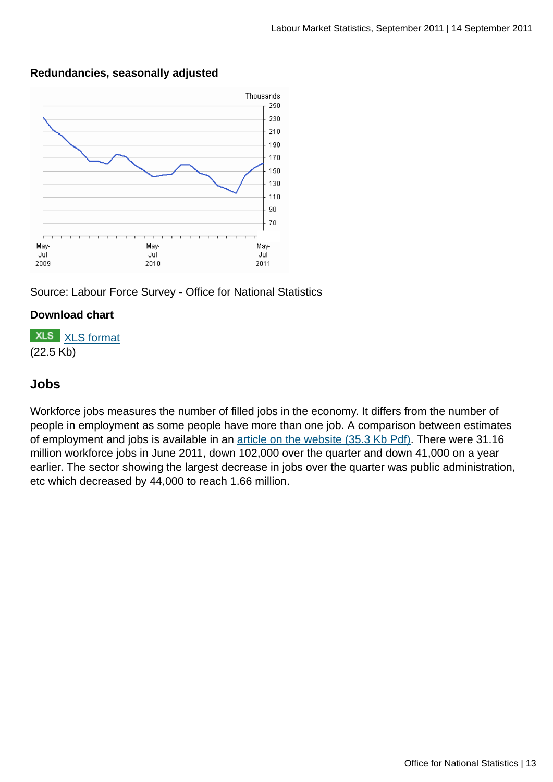

#### **Redundancies, seasonally adjusted**



#### **Download chart**

**XLS** [XLS format](http://www.ons.gov.uk:80/ons/rel/lms/labour-market-statistics/september-2011/redundancies-chart-data.xls) (22.5 Kb)

### **Jobs**

Workforce jobs measures the number of filled jobs in the economy. It differs from the number of people in employment as some people have more than one job. A comparison between estimates of employment and jobs is available in an [article on the website \(35.3 Kb Pdf\).](http://www.ons.gov.uk:80/ons/rel/lms/labour-market-statistics/september-2011/lfs-wfj-reconciliation.pdf) There were 31.16 million workforce jobs in June 2011, down 102,000 over the quarter and down 41,000 on a year earlier. The sector showing the largest decrease in jobs over the quarter was public administration, etc which decreased by 44,000 to reach 1.66 million.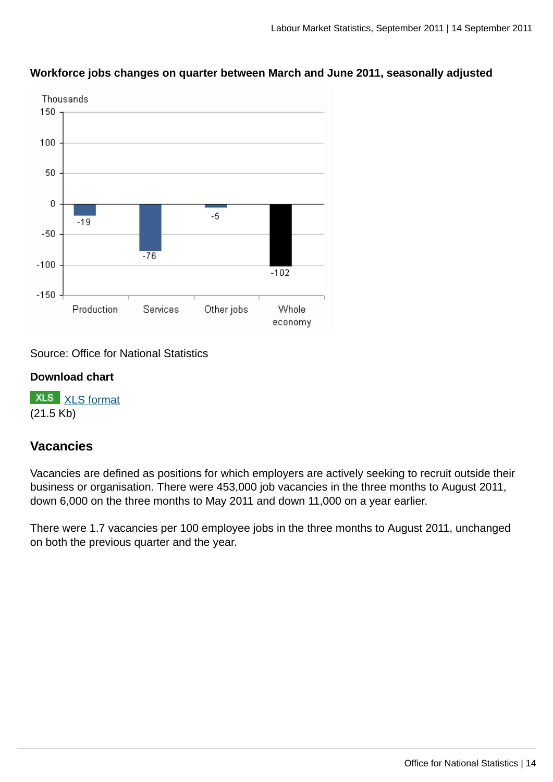

#### **Workforce jobs changes on quarter between March and June 2011, seasonally adjusted**

Source: Office for National Statistics

#### **Download chart**

**XLS** [XLS format](http://www.ons.gov.uk:80/ons/rel/lms/labour-market-statistics/september-2011/wfj-chart-spreadshet.xls) (21.5 Kb)

#### **Vacancies**

Vacancies are defined as positions for which employers are actively seeking to recruit outside their business or organisation. There were 453,000 job vacancies in the three months to August 2011, down 6,000 on the three months to May 2011 and down 11,000 on a year earlier.

There were 1.7 vacancies per 100 employee jobs in the three months to August 2011, unchanged on both the previous quarter and the year.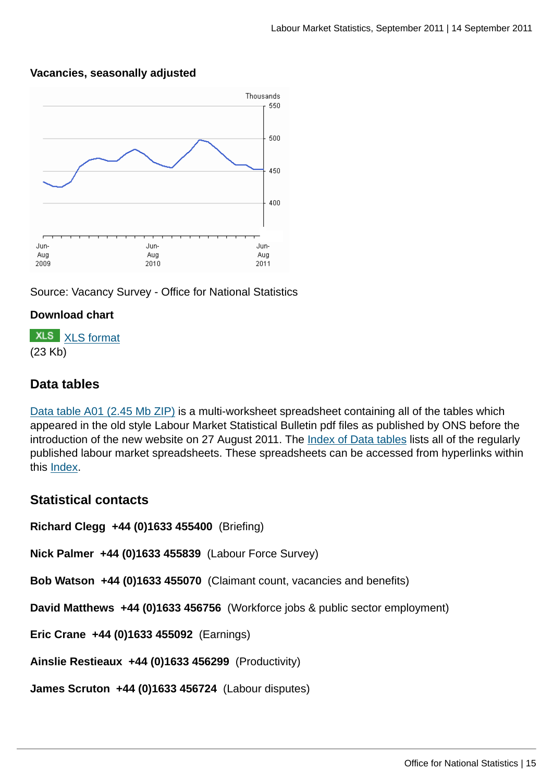#### **Vacancies, seasonally adjusted**



Source: Vacancy Survey - Office for National Statistics

#### **Download chart**



#### **Data tables**

[Data table A01 \(2.45 Mb ZIP\)](http://www.ons.gov.uk:80/ons/rel/lms/labour-market-statistics/september-2011/table-a01.zip) is a multi-worksheet spreadsheet containing all of the tables which appeared in the old style Labour Market Statistical Bulletin pdf files as published by ONS before the introduction of the new website on 27 August 2011. The [Index of Data tables](http://www.ons.gov.uk:80/ons/rel/lms/labour-market-statistics/september-2011/index-of-data-tables.html) lists all of the regularly published labour market spreadsheets. These spreadsheets can be accessed from hyperlinks within this [Index.](http://www.ons.gov.uk:80/ons/rel/lms/labour-market-statistics/september-2011/index-of-data-tables.html)

#### **Statistical contacts**

**Richard Clegg +44 (0)1633 455400** (Briefing)

**Nick Palmer +44 (0)1633 455839** (Labour Force Survey)

**Bob Watson +44 (0)1633 455070** (Claimant count, vacancies and benefits)

**David Matthews +44 (0)1633 456756** (Workforce jobs & public sector employment)

**Eric Crane +44 (0)1633 455092** (Earnings)

**Ainslie Restieaux +44 (0)1633 456299** (Productivity)

**James Scruton +44 (0)1633 456724** (Labour disputes)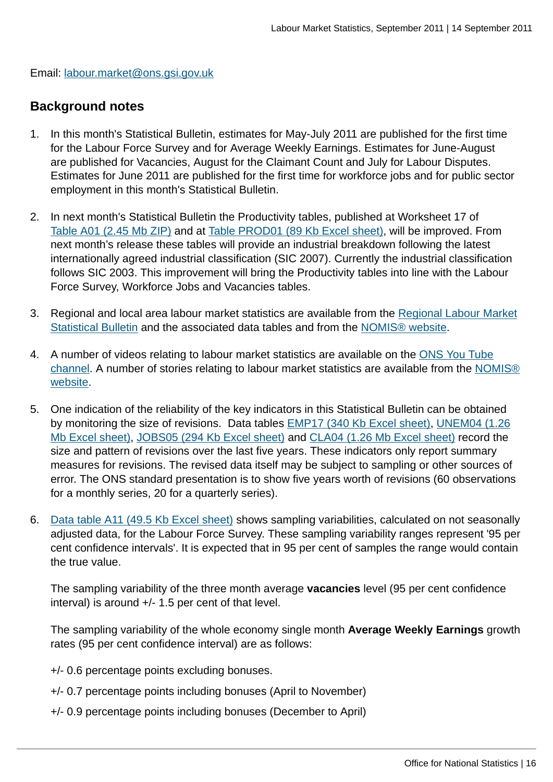Email: [labour.market@ons.gsi.gov.uk](mailto:labour.market@ons.gsi.gov.uk)

#### **Background notes**

- 1. In this month's Statistical Bulletin, estimates for May-July 2011 are published for the first time for the Labour Force Survey and for Average Weekly Earnings. Estimates for June-August are published for Vacancies, August for the Claimant Count and July for Labour Disputes. Estimates for June 2011 are published for the first time for workforce jobs and for public sector employment in this month's Statistical Bulletin.
- 2. In next month's Statistical Bulletin the Productivity tables, published at Worksheet 17 of [Table A01 \(2.45 Mb ZIP\)](http://www.ons.gov.uk:80/ons/rel/lms/labour-market-statistics/september-2011/table-a01.zip) and at [Table PROD01 \(89 Kb Excel sheet\)](http://www.ons.gov.uk:80/ons/rel/lms/labour-market-statistics/september-2011/table-prod01.xls), will be improved. From next month's release these tables will provide an industrial breakdown following the latest internationally agreed industrial classification (SIC 2007). Currently the industrial classification follows SIC 2003. This improvement will bring the Productivity tables into line with the Labour Force Survey, Workforce Jobs and Vacancies tables.
- 3. Regional and local area labour market statistics are available from the [Regional Labour Market](http://www.ons.gov.uk:80/ons/rel/subnational-labour/regional-labour-market-statistics/september-2011.html) [Statistical Bulletin](http://www.ons.gov.uk:80/ons/rel/subnational-labour/regional-labour-market-statistics/september-2011.html) and the associated data tables and from the [NOMIS® website](http://www.ons.gov.uk:80/ons/external-links/nomis.html).
- 4. A number of videos relating to labour market statistics are available on the [ONS You Tube](http://www.youtube.com/user/onsstats) [channel](http://www.youtube.com/user/onsstats). A number of stories relating to labour market statistics are available from the [NOMIS®](https://www.nomisweb.co.uk/published/stories/contents.asp) [website](https://www.nomisweb.co.uk/published/stories/contents.asp).
- 5. One indication of the reliability of the key indicators in this Statistical Bulletin can be obtained by monitoring the size of revisions. Data tables **EMP17** (340 Kb Excel sheet), [UNEM04 \(1.26](http://www.ons.gov.uk:80/ons/rel/lms/labour-market-statistics/september-2011/table-unem04.xls) [Mb Excel sheet\)](http://www.ons.gov.uk:80/ons/rel/lms/labour-market-statistics/september-2011/table-unem04.xls), [JOBS05 \(294 Kb Excel sheet\)](http://www.ons.gov.uk:80/ons/rel/lms/labour-market-statistics/september-2011/jobs05.xls) and [CLA04 \(1.26 Mb Excel sheet\)](http://www.ons.gov.uk:80/ons/rel/lms/labour-market-statistics/september-2011/table-cla04.xls) record the size and pattern of revisions over the last five years. These indicators only report summary measures for revisions. The revised data itself may be subject to sampling or other sources of error. The ONS standard presentation is to show five years worth of revisions (60 observations for a monthly series, 20 for a quarterly series).
- 6. [Data table A11 \(49.5 Kb Excel sheet\)](http://www.ons.gov.uk:80/ons/rel/lms/labour-market-statistics/september-2011/table-a11.xls) shows sampling variabilities, calculated on not seasonally adjusted data, for the Labour Force Survey. These sampling variability ranges represent '95 per cent confidence intervals'. It is expected that in 95 per cent of samples the range would contain the true value.

The sampling variability of the three month average **vacancies** level (95 per cent confidence interval) is around +/- 1.5 per cent of that level.

The sampling variability of the whole economy single month **Average Weekly Earnings** growth rates (95 per cent confidence interval) are as follows:

- +/- 0.6 percentage points excluding bonuses.
- +/- 0.7 percentage points including bonuses (April to November)
- +/- 0.9 percentage points including bonuses (December to April)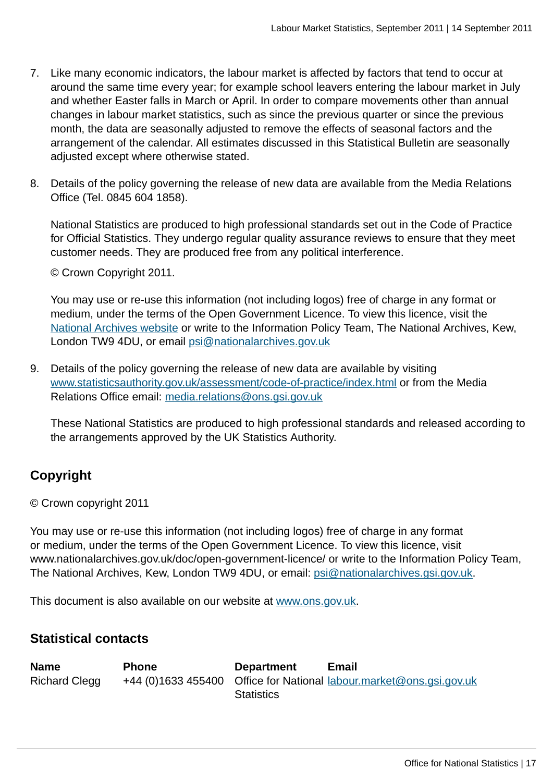- 7. Like many economic indicators, the labour market is affected by factors that tend to occur at around the same time every year; for example school leavers entering the labour market in July and whether Easter falls in March or April. In order to compare movements other than annual changes in labour market statistics, such as since the previous quarter or since the previous month, the data are seasonally adjusted to remove the effects of seasonal factors and the arrangement of the calendar. All estimates discussed in this Statistical Bulletin are seasonally adjusted except where otherwise stated.
- 8. Details of the policy governing the release of new data are available from the Media Relations Office (Tel. 0845 604 1858).

National Statistics are produced to high professional standards set out in the Code of Practice for Official Statistics. They undergo regular quality assurance reviews to ensure that they meet customer needs. They are produced free from any political interference.

© Crown Copyright 2011.

You may use or re-use this information (not including logos) free of charge in any format or medium, under the terms of the Open Government Licence. To view this licence, visit the [National Archives website](http://www.ons.gov.uk:80/ons/external-links/other-government-departments/national-archives/index.html) or write to the Information Policy Team, The National Archives, Kew, London TW9 4DU, or email [psi@nationalarchives.gov.uk](mailto:psi@nationalarchives.gov.uk)

9. Details of the policy governing the release of new data are available by visiting [www.statisticsauthority.gov.uk/assessment/code-of-practice/index.html](http://www.statisticsauthority.gov.uk/assessment/code-of-practice/index.html) or from the Media Relations Office email: [media.relations@ons.gsi.gov.uk](mailto:media.relations@ons.gsi.gov.uk)

These National Statistics are produced to high professional standards and released according to the arrangements approved by the UK Statistics Authority.

### **Copyright**

© Crown copyright 2011

You may use or re-use this information (not including logos) free of charge in any format or medium, under the terms of the Open Government Licence. To view this licence, visit www.nationalarchives.gov.uk/doc/open-government-licence/ or write to the Information Policy Team, The National Archives, Kew, London TW9 4DU, or email: [psi@nationalarchives.gsi.gov.uk](mailto:psi@nationalarchives.gsi.gov.uk).

This document is also available on our website at [www.ons.gov.uk.](http://www.ons.gov.uk/)

### **Statistical contacts**

**Name Phone Department Email** Richard Clegg +44 (0)1633 455400 Office for National [labour.market@ons.gsi.gov.uk](mailto:labour.market@ons.gsi.gov.uk) **Statistics**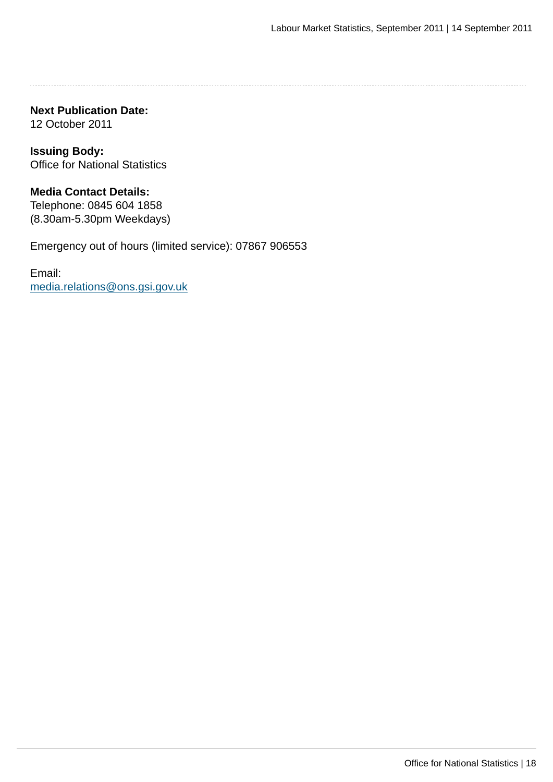**Next Publication Date:** 12 October 2011

**Issuing Body:** Office for National Statistics

**Media Contact Details:** Telephone: 0845 604 1858 (8.30am-5.30pm Weekdays)

Emergency out of hours (limited service): 07867 906553

Email: [media.relations@ons.gsi.gov.uk](mailto:media.relations@ons.gsi.gov.uk)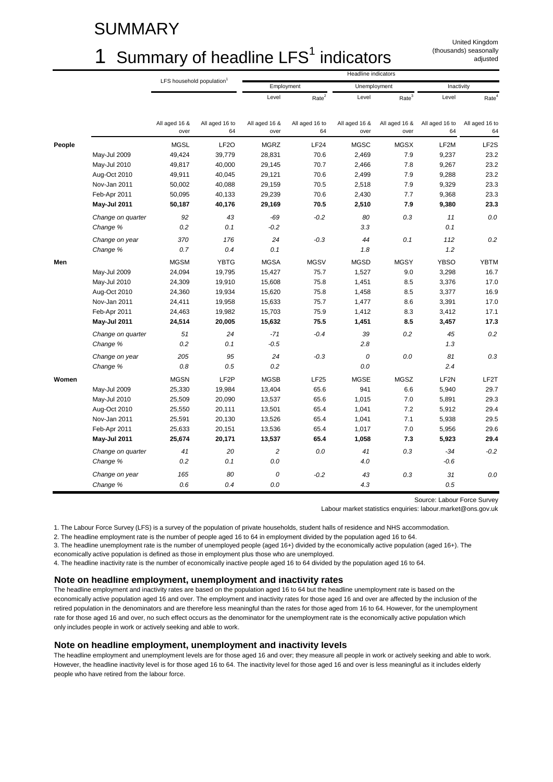### SUMMARY

### 1 Summary of headline  $LFS<sup>1</sup>$  indicators

United Kingdom (thousands) seasonally adjusted

|        |                               | Headline indicators                   |                      |                       |                      |                       |                       |                      |                      |
|--------|-------------------------------|---------------------------------------|----------------------|-----------------------|----------------------|-----------------------|-----------------------|----------------------|----------------------|
|        |                               | LFS household population <sup>1</sup> |                      |                       | Employment           | Unemployment          |                       | Inactivity           |                      |
|        |                               |                                       |                      | Level                 | Rate <sup>2</sup>    | Level                 | Rate <sup>3</sup>     | Level                | Rate <sup>4</sup>    |
|        |                               | All aged 16 &<br>over                 | All aged 16 to<br>64 | All aged 16 &<br>over | All aged 16 to<br>64 | All aged 16 &<br>over | All aged 16 &<br>over | All aged 16 to<br>64 | All aged 16 to<br>64 |
| People |                               | <b>MGSL</b>                           | LF <sub>2</sub> O    | <b>MGRZ</b>           | LF24                 | <b>MGSC</b>           | <b>MGSX</b>           | LF2M                 | LF <sub>2</sub> S    |
|        | May-Jul 2009                  | 49,424                                | 39,779               | 28,831                | 70.6                 | 2,469                 | 7.9                   | 9,237                | 23.2                 |
|        | May-Jul 2010                  | 49,817                                | 40,000               | 29,145                | 70.7                 | 2,466                 | 7.8                   | 9,267                | 23.2                 |
|        | Aug-Oct 2010                  | 49,911                                | 40,045               | 29,121                | 70.6                 | 2,499                 | 7.9                   | 9,288                | 23.2                 |
|        | Nov-Jan 2011                  | 50,002                                | 40,088               | 29,159                | 70.5                 | 2,518                 | 7.9                   | 9,329                | 23.3                 |
|        | Feb-Apr 2011                  | 50,095                                | 40,133               | 29,239                | 70.6                 | 2,430                 | 7.7                   | 9,368                | 23.3                 |
|        | May-Jul 2011                  | 50,187                                | 40,176               | 29,169                | 70.5                 | 2,510                 | 7.9                   | 9,380                | 23.3                 |
|        | Change on quarter<br>Change % | 92<br>0.2                             | 43<br>0.1            | $-69$<br>$-0.2$       | $-0.2$               | 80<br>3.3             | 0.3                   | 11<br>0.1            | 0.0                  |
|        |                               |                                       |                      |                       |                      |                       |                       |                      |                      |
|        | Change on year<br>Change %    | 370<br>0.7                            | 176<br>0.4           | 24<br>0.1             | $-0.3$               | 44<br>1.8             | 0.1                   | 112<br>1.2           | 0.2                  |
|        |                               |                                       |                      |                       |                      |                       |                       |                      |                      |
| Men    |                               | <b>MGSM</b>                           | <b>YBTG</b>          | <b>MGSA</b>           | <b>MGSV</b>          | <b>MGSD</b>           | <b>MGSY</b>           | <b>YBSO</b>          | <b>YBTM</b>          |
|        | May-Jul 2009                  | 24,094                                | 19,795               | 15,427                | 75.7                 | 1,527                 | 9.0                   | 3,298                | 16.7                 |
|        | May-Jul 2010                  | 24,309                                | 19,910               | 15,608                | 75.8                 | 1,451                 | 8.5                   | 3,376                | 17.0                 |
|        | Aug-Oct 2010                  | 24,360                                | 19,934               | 15,620                | 75.8                 | 1,458                 | 8.5                   | 3,377                | 16.9                 |
|        | Nov-Jan 2011                  | 24,411                                | 19,958               | 15,633                | 75.7                 | 1,477                 | 8.6                   | 3,391                | 17.0                 |
|        | Feb-Apr 2011                  | 24,463                                | 19,982               | 15,703                | 75.9                 | 1,412                 | 8.3                   | 3,412                | 17.1                 |
|        | May-Jul 2011                  | 24,514                                | 20,005               | 15,632                | 75.5                 | 1,451                 | 8.5                   | 3,457                | 17.3                 |
|        | Change on quarter             | 51                                    | 24                   | $-71$                 | $-0.4$               | 39                    | 0.2                   | 45                   | 0.2                  |
|        | Change %                      | 0.2                                   | 0.1                  | $-0.5$                |                      | 2.8                   |                       | 1.3                  |                      |
|        | Change on year                | 205                                   | 95                   | 24                    | $-0.3$               | 0                     | 0.0                   | 81                   | 0.3                  |
|        | Change %                      | 0.8                                   | 0.5                  | 0.2                   |                      | 0.0                   |                       | 2.4                  |                      |
| Women  |                               | <b>MGSN</b>                           | LF <sub>2</sub> P    | <b>MGSB</b>           | LF25                 | <b>MGSE</b>           | <b>MGSZ</b>           | LF <sub>2N</sub>     | LF2T                 |
|        | May-Jul 2009                  | 25,330                                | 19,984               | 13,404                | 65.6                 | 941                   | 6.6                   | 5,940                | 29.7                 |
|        | May-Jul 2010                  | 25,509                                | 20,090               | 13,537                | 65.6                 | 1,015                 | 7.0                   | 5,891                | 29.3                 |
|        | Aug-Oct 2010                  | 25,550                                | 20,111               | 13,501                | 65.4                 | 1,041                 | 7.2                   | 5,912                | 29.4                 |
|        | Nov-Jan 2011                  | 25,591                                | 20,130               | 13,526                | 65.4                 | 1,041                 | 7.1                   | 5,938                | 29.5                 |
|        | Feb-Apr 2011                  | 25,633                                | 20,151               | 13,536                | 65.4                 | 1,017                 | 7.0                   | 5,956                | 29.6                 |
|        | May-Jul 2011                  | 25,674                                | 20,171               | 13,537                | 65.4                 | 1,058                 | 7.3                   | 5,923                | 29.4                 |
|        | Change on quarter             | 41                                    | 20                   | $\overline{c}$        | 0.0                  | 41                    | 0.3                   | $-34$                | $-0.2$               |
|        | Change %                      | 0.2                                   | 0.1                  | 0.0                   |                      | 4.0                   |                       | $-0.6$               |                      |
|        | Change on year                | 165                                   | 80                   | 0                     | $-0.2$               | 43                    | 0.3                   | 31                   | 0.0                  |
|        | Change %                      | 0.6                                   | 0.4                  | 0.0                   |                      | 4.3                   |                       | 0.5                  |                      |

Source: Labour Force Survey

Labour market statistics enquiries: labour.market@ons.gov.uk

1. The Labour Force Survey (LFS) is a survey of the population of private households, student halls of residence and NHS accommodation.

2. The headline employment rate is the number of people aged 16 to 64 in employment divided by the population aged 16 to 64.

3. The headline unemployment rate is the number of unemployed people (aged 16+) divided by the economically active population (aged 16+). The economically active population is defined as those in employment plus those who are unemployed.

4. The headline inactivity rate is the number of economically inactive people aged 16 to 64 divided by the population aged 16 to 64.

#### **Note on headline employment, unemployment and inactivity rates**

The headline employment and inactivity rates are based on the population aged 16 to 64 but the headline unemployment rate is based on the economically active population aged 16 and over. The employment and inactivity rates for those aged 16 and over are affected by the inclusion of the retired population in the denominators and are therefore less meaningful than the rates for those aged from 16 to 64. However, for the unemployment rate for those aged 16 and over, no such effect occurs as the denominator for the unemployment rate is the economically active population which only includes people in work or actively seeking and able to work.

#### **Note on headline employment, unemployment and inactivity levels**

The headline employment and unemployment levels are for those aged 16 and over; they measure all people in work or actively seeking and able to work. However, the headline inactivity level is for those aged 16 to 64. The inactivity level for those aged 16 and over is less meaningful as it includes elderly people who have retired from the labour force.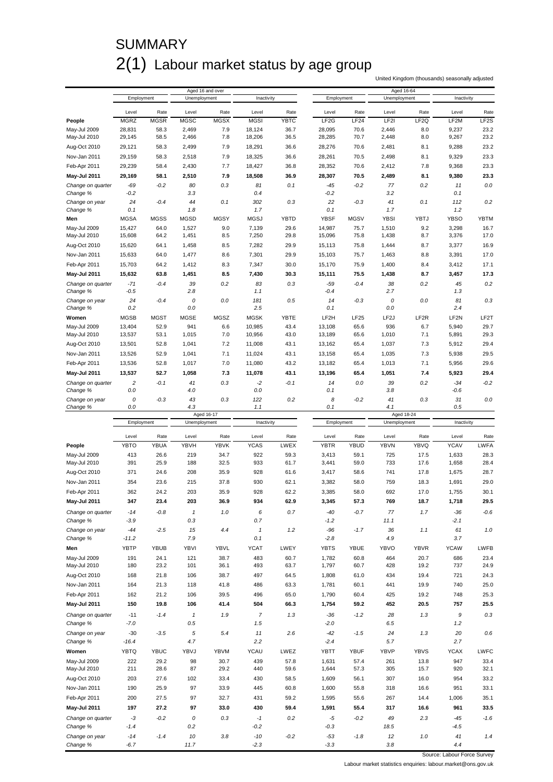### **SUMMARY** 2(1) Labour market status by age group

United Kingdom (thousands) seasonally adjusted

|                              |                    |              |                     | Aged 16 and over |                     |              |                   |              | Aged 16-64         |                  |                    |                   |
|------------------------------|--------------------|--------------|---------------------|------------------|---------------------|--------------|-------------------|--------------|--------------------|------------------|--------------------|-------------------|
|                              | Employment         |              | Unemployment        |                  | Inactivity          |              | Employment        |              | Unemployment       |                  | Inactivity         |                   |
|                              |                    |              |                     |                  |                     |              |                   |              |                    |                  |                    |                   |
|                              | Level              | Rate         | Level               | Rate             | Level               | Rate         | Level             | Rate         | Level              | Rate             | Level              | Rate              |
| People                       | <b>MGRZ</b>        | <b>MGSR</b>  | <b>MGSC</b>         | <b>MGSX</b>      | <b>MGSI</b>         | YBTC         | LF <sub>2</sub> G | LF24         | LF2I               | LF <sub>2Q</sub> | LF2M               | LF <sub>2</sub> S |
| May-Jul 2009<br>May-Jul 2010 | 28,831<br>29,145   | 58.3<br>58.5 | 2,469<br>2,466      | 7.9<br>7.8       | 18,124<br>18,206    | 36.7<br>36.5 | 28,095<br>28,285  | 70.6<br>70.7 | 2,446<br>2,448     | 8.0<br>8.0       | 9,237<br>9,267     | 23.2<br>23.2      |
| Aug-Oct 2010                 | 29,121             | 58.3         | 2,499               | 7.9              | 18,291              | 36.6         | 28,276            | 70.6         | 2,481              | 8.1              | 9,288              | 23.2              |
|                              |                    |              |                     |                  |                     |              |                   |              |                    |                  |                    |                   |
| Nov-Jan 2011                 | 29,159             | 58.3         | 2,518               | 7.9              | 18,325              | 36.6         | 28,261            | 70.5         | 2,498              | 8.1              | 9,329              | 23.3              |
| Feb-Apr 2011                 | 29,239             | 58.4         | 2,430               | 7.7              | 18,427              | 36.8         | 28,352            | 70.6         | 2,412              | 7.8              | 9,368              | 23.3              |
| May-Jul 2011                 | 29,169             | 58.1         | 2,510               | 7.9              | 18,508              | 36.9         | 28,307            | 70.5         | 2,489              | 8.1              | 9,380              | 23.3              |
| Change on quarter            | $-69$              | $-0.2$       | 80                  | 0.3              | 81                  | 0.1          | -45               | -0.2         | 77                 | 0.2              | 11                 | 0.0               |
| Change %                     | $-0.2$             |              | 3.3                 |                  | 0.4                 |              | $-0.2$            |              | 3.2                |                  | 0.1                |                   |
| Change on year               | 24                 | $-0.4$       | 44                  | 0.1              | 302                 | 0.3          | 22<br>0.1         | $-0.3$       | 41                 | 0.1              | 112                | 0.2               |
| Change %<br>Men              | 0.1<br><b>MGSA</b> | <b>MGSS</b>  | 1.8<br><b>MGSD</b>  | <b>MGSY</b>      | 1.7<br><b>MGSJ</b>  | <b>YBTD</b>  | <b>YBSF</b>       | <b>MGSV</b>  | 1.7<br><b>YBSI</b> | YBTJ             | 1.2<br><b>YBSO</b> | <b>YBTM</b>       |
| May-Jul 2009                 | 15,427             | 64.0         | 1,527               | 9.0              | 7,139               | 29.6         | 14,987            | 75.7         | 1,510              | 9.2              | 3,298              | 16.7              |
| May-Jul 2010                 | 15,608             | 64.2         | 1,451               | 8.5              | 7,250               | 29.8         | 15,096            | 75.8         | 1,438              | 8.7              | 3,376              | 17.0              |
| Aug-Oct 2010                 | 15,620             | 64.1         | 1,458               | 8.5              | 7,282               | 29.9         | 15,113            | 75.8         | 1,444              | 8.7              | 3,377              | 16.9              |
| Nov-Jan 2011                 | 15,633             | 64.0         | 1,477               | 8.6              | 7,301               | 29.9         | 15,103            | 75.7         | 1,463              | 8.8              | 3,391              | 17.0              |
|                              |                    |              |                     |                  |                     | 30.0         |                   |              |                    |                  |                    | 17.1              |
| Feb-Apr 2011                 | 15,703             | 64.2         | 1,412               | 8.3              | 7,347               |              | 15,170            | 75.9         | 1,400              | 8.4              | 3,412              |                   |
| May-Jul 2011                 | 15,632             | 63.8         | 1,451               | 8.5              | 7,430               | 30.3         | 15,111            | 75.5         | 1,438              | 8.7              | 3,457              | 17.3              |
| Change on quarter            | $-71$<br>$-0.5$    | $-0.4$       | 39<br>2.8           | 0.2              | 83<br>1.1           | 0.3          | -59<br>-0.4       | -0.4         | 38<br>2.7          | 0.2              | 45<br>1.3          | 0.2               |
| Change %                     |                    |              |                     |                  |                     |              |                   |              |                    |                  |                    |                   |
| Change on year<br>Change %   | 24<br>0.2          | $-0.4$       | 0<br>0.0            | 0.0              | 181<br>2.5          | 0.5          | 14<br>0.1         | $-0.3$       | 0<br>0.0           | 0.0              | 81<br>2.4          | 0.3               |
| Women                        | <b>MGSB</b>        | <b>MGST</b>  | <b>MGSE</b>         | <b>MGSZ</b>      | <b>MGSK</b>         | YBTE         | LF2H              | LF25         | LF <sub>2</sub> J  | LF <sub>2R</sub> | LF <sub>2N</sub>   | LF2T              |
| May-Jul 2009                 |                    | 52.9         | 941                 |                  | 10,985              | 43.4         | 13,108            | 65.6         | 936                |                  |                    | 29.7              |
| May-Jul 2010                 | 13,404<br>13,537   | 53.1         | 1,015               | 6.6<br>7.0       | 10,956              | 43.0         | 13,189            | 65.6         | 1,010              | 6.7<br>7.1       | 5,940<br>5,891     | 29.3              |
| Aug-Oct 2010                 | 13,501             | 52.8         | 1,041               | 7.2              | 11,008              | 43.1         | 13,162            | 65.4         | 1,037              | 7.3              | 5,912              | 29.4              |
| Nov-Jan 2011                 | 13,526             | 52.9         | 1,041               | 7.1              | 11,024              | 43.1         | 13,158            | 65.4         | 1,035              | 7.3              | 5,938              | 29.5              |
|                              |                    |              |                     |                  |                     |              |                   |              |                    |                  |                    |                   |
| Feb-Apr 2011                 | 13,536             | 52.8         | 1,017               | 7.0              | 11,080              | 43.2         | 13,182            | 65.4         | 1,013              | 7.1              | 5,956              | 29.6              |
| May-Jul 2011                 | 13,537             | 52.7         | 1,058               | 7.3              | 11,078              | 43.1         | 13,196            | 65.4         | 1,051              | 7.4              | 5,923              | 29.4              |
| Change on quarter            | 2                  | -0.1         | 41                  | 0.3              | $-2$                | $-0.1$       | 14                | 0.0          | 39                 | 0.2              | $-34$              | $-0.2$            |
| Change %                     | 0.0                |              | 4.0                 |                  | 0.0                 |              | 0.1               |              | 3.8                |                  | $-0.6$             |                   |
| Change on year<br>Change %   | 0<br>0.0           | $-0.3$       | 43<br>4.3           | 0.3              | 122<br>1.1          | 0.2          | 8<br>0.1          | -0.2         | 41<br>4.1          | 0.3              | 31<br>0.5          | 0.0               |
|                              |                    |              |                     |                  |                     |              |                   |              |                    |                  |                    |                   |
|                              |                    |              |                     |                  |                     |              |                   |              |                    |                  |                    |                   |
|                              | Employment         |              | Unemployment        | Aged 16-17       | Inactivity          |              | Employment        |              | Unemployment       | Aged 18-24       | Inactivity         |                   |
|                              |                    |              |                     |                  |                     |              |                   |              |                    |                  |                    |                   |
|                              | Level              | Rate         | Level               | Rate             | Level               | Rate         | Level             | Rate         | Level              | Rate             | Level              | Rate              |
| People                       | <b>YBTO</b>        | <b>YBUA</b>  | YBVH                | <b>YBVK</b>      | <b>YCAS</b>         | LWEX         | <b>YBTR</b>       | <b>YBUD</b>  | <b>YBVN</b>        | YBVQ             | <b>YCAV</b>        | <b>LWFA</b>       |
| May-Jul 2009                 | 413                | 26.6         | 219                 | 34.7             | 922                 | 59.3         | 3,413             | 59.1         | 725                | 17.5             | 1,633              | 28.3              |
| May-Jul 2010                 | 391                | 25.9         | 188                 | 32.5             | 933                 | 61.7         | 3,441             | 59.0         | 733                | 17.6             | 1,658              | 28.4              |
| Aug-Oct 2010                 | 371                | 24.6         | 208                 | 35.9             | 928                 | 61.6         | 3,417             | 58.6         | 741                | 17.8             | 1,675              | 28.7              |
| Nov-Jan 2011                 | 354                | 23.6         | 215                 | 37.8             | 930                 | 62.1         | 3,382             | 58.0         | 759                | 18.3             | 1,691              | 29.0              |
| Feb-Apr 2011                 | 362                | 24.2         | 203                 | 35.9             | 928                 | 62.2         | 3,385             | 58.0         | 692                | 17.0             | 1,755              | 30.1              |
| <b>May-Jul 2011</b>          | 347                | 23.4         | 203                 | 36.9             | 934                 | 62.9         | 3,345             | 57.3         | 769                | 18.7             | 1,718              | 29.5              |
| Change on quarter            | $-14$              | $-0.8$       | $\pmb{\mathcal{I}}$ | 1.0              | 6                   | 0.7          | -40               | $-0.7$       | 77                 | 1.7              | $-36$              | $-0.6$            |
| Change %                     | $-3.9$             |              | 0.3                 |                  | 0.7                 |              | $-1.2$            |              | 11.1               |                  | $-2.1$             |                   |
| Change on year               | $-44$              | $-2.5$       | 15                  | 4.4              | $\pmb{\mathcal{I}}$ | 1.2          | $-96$             | $-1.7$       | 36                 | 1.1              | 61                 | 1.0               |
| Change %                     | $-11.2$            |              | 7.9                 |                  | 0.1                 |              | $-2.8$            |              | 4.9                |                  | 3.7                |                   |
| Men                          | YBTP               | <b>YBUB</b>  | YBVI                | YBVL             | <b>YCAT</b>         | LWEY         | <b>YBTS</b>       | <b>YBUE</b>  | YBVO               | <b>YBVR</b>      | <b>YCAW</b>        | LWFB              |
|                              |                    |              |                     |                  |                     |              |                   |              |                    |                  |                    |                   |
| May-Jul 2009<br>May-Jul 2010 | 191<br>180         | 24.1<br>23.2 | 121<br>101          | 38.7<br>36.1     | 483<br>493          | 60.7<br>63.7 | 1,782<br>1,797    | 60.8<br>60.7 | 464<br>428         | 20.7<br>19.2     | 686<br>737         | 23.4<br>24.9      |
| Aug-Oct 2010                 | 168                | 21.8         | 106                 | 38.7             | 497                 | 64.5         | 1,808             | 61.0         | 434                | 19.4             | 721                | 24.3              |
|                              |                    |              |                     |                  |                     |              |                   |              |                    |                  |                    |                   |
| Nov-Jan 2011                 | 164                | 21.3         | 118                 | 41.8             | 486                 | 63.3         | 1,781             | 60.1         | 441                | 19.9             | 740                | 25.0              |
| Feb-Apr 2011                 | 162                | 21.2         | 106                 | 39.5             | 496                 | 65.0         | 1,790             | 60.4         | 425                | 19.2             | 748                | 25.3              |
| May-Jul 2011                 | 150                | 19.8         | 106                 | 41.4             | 504                 | 66.3         | 1,754             | 59.2         | 452                | 20.5             | 757                | 25.5              |
| Change on quarter            | $-11$              | $-1.4$       | $\pmb{\mathcal{I}}$ | 1.9              | $\overline{7}$      | 1.3          | $-36$             | $-1.2$       | 28                 | 1.3              | 9                  | 0.3               |
| Change %                     | $-7.0$             |              | 0.5                 |                  | 1.5                 |              | $-2.0$            |              | 6.5                |                  | 1.2                |                   |
| Change on year               | $-30$              | $-3.5$       | 5                   | 5.4              | 11                  | 2.6          | $-42$             | $-1.5$       | 24                 | 1.3              | 20                 | 0.6               |
| Change %                     | $-16.4$            |              | 4.7                 |                  | 2.2                 |              | $-2.4$            |              | 5.7                |                  | 2.7                |                   |
| Women                        | <b>YBTQ</b>        | <b>YBUC</b>  | YBVJ                | YBVM             | <b>YCAU</b>         | LWEZ         | YBTT              | <b>YBUF</b>  | YBVP               | <b>YBVS</b>      | <b>YCAX</b>        | <b>LWFC</b>       |
| May-Jul 2009                 | 222                | 29.2         | 98                  | 30.7             | 439                 | 57.8         | 1,631             | 57.4         | 261                | 13.8             | 947                | 33.4              |
| May-Jul 2010                 | 211                | 28.6         | 87                  | 29.2             | 440                 | 59.6         | 1,644             | 57.3         | 305                | 15.7             | 920                | 32.1              |
| Aug-Oct 2010                 | 203                | 27.6         | 102                 | 33.4             | 430                 | 58.5         | 1,609             | 56.1         | 307                | 16.0             | 954                | 33.2              |
| Nov-Jan 2011                 | 190                | 25.9         | 97                  | 33.9             | 445                 | 60.8         | 1,600             | 55.8         | 318                | 16.6             | 951                | 33.1              |
| Feb-Apr 2011                 | 200                | 27.5         | 97                  | 32.7             | 431                 | 59.2         | 1,595             | 55.6         | 267                | 14.4             | 1,006              | 35.1              |
| May-Jul 2011                 | 197                | 27.2         | 97                  | 33.0             | 430                 | 59.4         | 1,591             | 55.4         | 317                | 16.6             | 961                | 33.5              |
| Change on quarter            | $-3$               | $-0.2$       | 0                   | 0.3              | $-1$                | 0.2          | -5                | $-0.2$       | 49                 | 2.3              | $-45$              | $-1.6$            |
| Change %                     | $-1.4$             |              | $0.2\,$             |                  | $-0.2$              |              | $-0.3$            |              | 18.5               |                  | $-4.5$             |                   |

*Change % -6.7 11.7 -2.3 -3.3 3.8 4.4*

Source: Labour Force Survey

Labour market statistics enquiries: labour.market@ons.gov.uk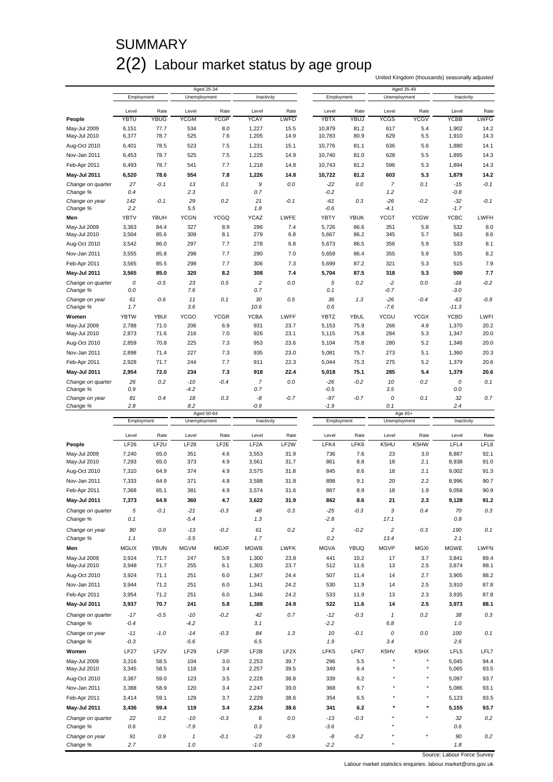### **SUMMARY** 2(2) Labour market status by age group

Aged 25-34 Aged 35-49 Level Rate Level Rate Level Rate Level Rate Level Rate Level Rate **People** YBTU YBUG YCGM YCGP YCAY LWFD YBTX YBUJ YCGS YCGV YCBB LWFG May-Jul 2009 6,151 77.7 534 8.0 1,227 15.5 10,879 81.2 617 5.4 1,902 14.2 May-Jul 2010 6,377 78.7 525 7.6 1,205 14.9 10,783 80.9 629 5.5 1,910 14.3 Aug-Oct 2010 6,401 78.5 523 7.5 1,231 15.1 10,776 81.1 636 5.6 1,880 14.1 Nov-Jan 2011 6,453 78.7 525 7.5 1,225 14.9 10,740 81.0 628 5.5 1,895 14.3 Feb-Apr 2011 6,493 78.7 541 7.7 1,218 14.8 10,743 81.2 596 5.3 1,894 14.3 **May-Jul 2011 6,520 78.6 554 7.8 1,226 14.8 10,722 81.2 603 5.3 1,879 14.2** *Change on quarter 27 -0.1 13 0.1 9 0.0 -22 0.0 7 0.1 -15 -0.1 Change % 0.4 2.3 0.7 -0.2 1.2 -0.8 Change on year 142 -0.1 29 0.2 21 -0.1 -61 0.3 -26 -0.2 -32 -0.1 Change % 2.2 5.5 1.8 -0.6 -4.1 -1.7* **Men** YBTV YBUH YCGN YCGQ YCAZ LWFE YBTY YBUK YCGT YCGW YCBC LWFH May-Jul 2009 3,363 84.4 327 8.9 296 7.4 5,726 86.6 351 5.8 532 8.0 May-Jul 2010 3,504 85.6 309 8.1 279 6.8 5,667 86.2 345 5.7 563 8.6 Aug-Oct 2010 3,542 86.0 297 7.7 278 6.8 5,673 86.5 356 5.9 533 8.1 Nov-Jan 2011 3,555 85.8 298 7.7 290 7.0 5,659 86.4 355 5.9 535 8.2 Feb-Apr 2011 3,565 85.5 298 7.7 306 7.3 5,699 87.2 321 5.3 515 7.9 **May-Jul 2011 3,565 85.0 320 8.2 308 7.4 5,704 87.5 318 5.3 500 7.7** *Change on quarter 0 -0.5 23 0.5 2 0.0 5 0.2 -2 0.0 -16 -0.2 Change % 0.0 7.6 0.7 0.1 -0.7 -3.0 Change on year 61 -0.6 11 0.1 30 0.5 36 1.3 -26 -0.4 -63 -0.9 Change % 1.7 3.6 10.6 0.6 -7.6 -11.3* **Women** YBTW YBUI YCGO YCGR YCBA LWFF YBTZ YBUL YCGU YCGX YCBD LWFI May-Jul 2009 2,788 71.0 206 6.9 931 23.7 5,153 75.9 266 4.9 1,370 20.2 May-Jul 2010 2,873 71.6 216 7.0 926 23.1 5,115 75.8 284 5.3 1,347 20.0 Aug-Oct 2010 2,859 70.8 225 7.3 953 23.6 5,104 75.8 280 5.2 1,346 20.0 Nov-Jan 2011 2,898 71.4 227 7.3 935 23.0 5,081 75.7 273 5.1 1,360 20.3 Feb-Apr 2011 2,928 71.7 244 7.7 911 22.3 5,044 75.3 275 5.2 1,379 20.6 **May-Jul 2011 2,954 72.0 234 7.3 918 22.4 5,018 75.1 285 5.4 1,379 20.6** *Change on quarter 26 0.2 -10 -0.4 7 0.0 -26 -0.2 10 0.2 0 0.1 Change % 0.9 -4.2 0.7 -0.5 3.5 0.0 Change on year 81 0.4 18 0.3 -8 -0.7 -97 -0.7 0 0.1 32 0.7 Change % 2.8 8.2 -0.9 -1.9 0.1 2.4* Employment Unemployment Inactivity Employment Unemployment Inactivity

|                     |             |                  |              | Aged 50-64        |                   |                   |                |             |                | Age 65+     |                  |             |
|---------------------|-------------|------------------|--------------|-------------------|-------------------|-------------------|----------------|-------------|----------------|-------------|------------------|-------------|
|                     | Employment  |                  | Unemployment |                   | Inactivity        |                   | Employment     |             | Unemployment   |             | Inactivity       |             |
|                     | Level       | Rate             | Level        | Rate              | Level             | Rate              | Level          | Rate        | Level          | Rate        | Level            | Rate        |
| People              | LF26        | LF2U             | LF28         | LF <sub>2</sub> E | LF <sub>2</sub> A | LF <sub>2</sub> W | LFK4           | LFK6        | K5HU           | K5HW        | LFL4             | LFL6        |
| May-Jul 2009        | 7,240       | 65.0             | 351          | 4.6               | 3,553             | 31.9              | 736            | 7.6         | 23             | 3.0         | 8,887            | 92.1        |
| May-Jul 2010        | 7,293       | 65.0             | 373          | 4.9               | 3,561             | 31.7              | 861            | 8.8         | 18             | 2.1         | 8,938            | 91.0        |
| Aug-Oct 2010        | 7,310       | 64.9             | 374          | 4.9               | 3,575             | 31.8              | 845            | 8.6         | 18             | 2.1         | 9,002            | 91.3        |
| Nov-Jan 2011        | 7,333       | 64.9             | 371          | 4.8               | 3,588             | 31.8              | 898            | 9.1         | 20             | 2.2         | 8,996            | 90.7        |
| Feb-Apr 2011        | 7,368       | 65.1             | 381          | 4.9               | 3,574             | 31.6              | 887            | 8.9         | 18             | 1.9         | 9,058            | 90.9        |
| <b>May-Jul 2011</b> | 7,373       | 64.9             | 360          | 4.7               | 3,622             | 31.9              | 862            | 8.6         | 21             | 2.3         | 9,128            | 91.2        |
| Change on quarter   | 5           | $-0.1$           | $-21$        | $-0.3$            | 48                | 0.3               | $-25$          | $-0.3$      | 3              | 0.4         | 70               | 0.3         |
| Change %            | 0.1         |                  | $-5.4$       |                   | 1.3               |                   | $-2.8$         |             | 17.1           |             | 0.8              |             |
| Change on year      | 80          | 0.0              | $-13$        | $-0.2$            | 61                | 0.2               | $\overline{c}$ | $-0.2$      | $\overline{c}$ | 0.3         | 190              | 0.1         |
| Change %            | 1.1         |                  | $-3.5$       |                   | 1.7               |                   | 0.2            |             | 13.4           |             | 2.1              |             |
| Men                 | <b>MGUX</b> | <b>YBUN</b>      | <b>MGVM</b>  | <b>MGXF</b>       | <b>MGWB</b>       | <b>LWFK</b>       | <b>MGVA</b>    | <b>YBUQ</b> | <b>MGVP</b>    | <b>MGXI</b> | <b>MGWE</b>      | <b>LWFN</b> |
| May-Jul 2009        | 3,924       | 71.7             | 247          | 5.9               | 1,300             | 23.8              | 441            | 10.2        | 17             | 3.7         | 3.841            | 89.4        |
| May-Jul 2010        | 3,948       | 71.7             | 255          | 6.1               | 1,303             | 23.7              | 512            | 11.6        | 13             | 2.5         | 3,874            | 88.1        |
| Aug-Oct 2010        | 3,924       | 71.1             | 251          | 6.0               | 1,347             | 24.4              | 507            | 11.4        | 14             | 2.7         | 3,905            | 88.2        |
| Nov-Jan 2011        | 3,944       | 71.2             | 251          | 6.0               | 1,341             | 24.2              | 530            | 11.9        | 14             | 2.5         | 3,910            | 87.8        |
| Feb-Apr 2011        | 3,954       | 71.2             | 251          | 6.0               | 1,346             | 24.2              | 533            | 11.9        | 13             | 2.3         | 3,935            | 87.8        |
| <b>May-Jul 2011</b> | 3,937       | 70.7             | 241          | 5.8               | 1,388             | 24.9              | 522            | 11.6        | 14             | 2.5         | 3,973            | 88.1        |
| Change on quarter   | $-17$       | $-0.5$           | $-10$        | $-0.2$            | 42                | 0.7               | $-12$          | $-0.3$      | $\mathbf{1}$   | 0.2         | 38               | 0.3         |
| Change %            | $-0.4$      |                  | $-4.2$       |                   | 3.1               |                   | $-2.2$         |             | 6.8            |             | 1.0              |             |
| Change on year      | $-11$       | $-1.0$           | $-14$        | $-0.3$            | 84                | 1.3               | 10             | $-0.1$      | 0              | 0.0         | 100              | 0.1         |
| Change %            | $-0.3$      |                  | $-5.6$       |                   | 6.5               |                   | 1.9            |             | 3.4            |             | 2.6              |             |
| Women               | <b>LF27</b> | LF <sub>2V</sub> | <b>LF29</b>  | LF <sub>2F</sub>  | LF2B              | LF <sub>2</sub> X | LFK5           | LFK7        | K5HV           | K5HX        | LFL <sub>5</sub> | LFL7        |
| May-Jul 2009        | 3,316       | 58.5             | 104          | 3.0               | 2,253             | 39.7              | 296            | 5.5         | $\star$        |             | 5,045            | 94.4        |
| May-Jul 2010        | 3,345       | 58.5             | 118          | 3.4               | 2,257             | 39.5              | 349            | 6.4         | ×              | $\star$     | 5,065            | 93.5        |
| Aug-Oct 2010        | 3,387       | 59.0             | 123          | 3.5               | 2,228             | 38.8              | 339            | 6.2         | ۸              | $\star$     | 5,097            | 93.7        |
| Nov-Jan 2011        | 3,388       | 58.9             | 120          | 3.4               | 2,247             | 39.0              | 368            | 6.7         |                |             | 5,086            | 93.1        |
| Feb-Apr 2011        | 3,414       | 59.1             | 129          | 3.7               | 2,229             | 38.6              | 354            | 6.5         | $\star$        | $\star$     | 5,123            | 93.5        |
| May-Jul 2011        | 3,436       | 59.4             | 119          | 3.4               | 2,234             | 38.6              | 341            | 6.2         | ٠              | $\star$     | 5,155            | 93.7        |
| Change on quarter   | 22          | 0.2              | $-10$        | $-0.3$            | 6                 | 0.0               | $-13$          | $-0.3$      | $\star$        |             | 32               | 0.2         |
| Change %            | 0.6         |                  | $-7.9$       |                   | 0.3               |                   | $-3.6$         |             |                |             | 0.6              |             |
| Change on year      | 91          | 0.9              | $\mathbf{1}$ | $-0.1$            | $-23$             | $-0.9$            | -8             | $-0.2$      |                |             | 90               | 0.2         |
| Change %            | 2.7         |                  | 1.0          |                   | $-1.0$            |                   | $-2.2$         |             |                |             | 1.8              |             |

Source: Labour Force Survey

Labour market statistics enquiries: labour.market@ons.gov.uk

United Kingdom (thousands) seasonally adjusted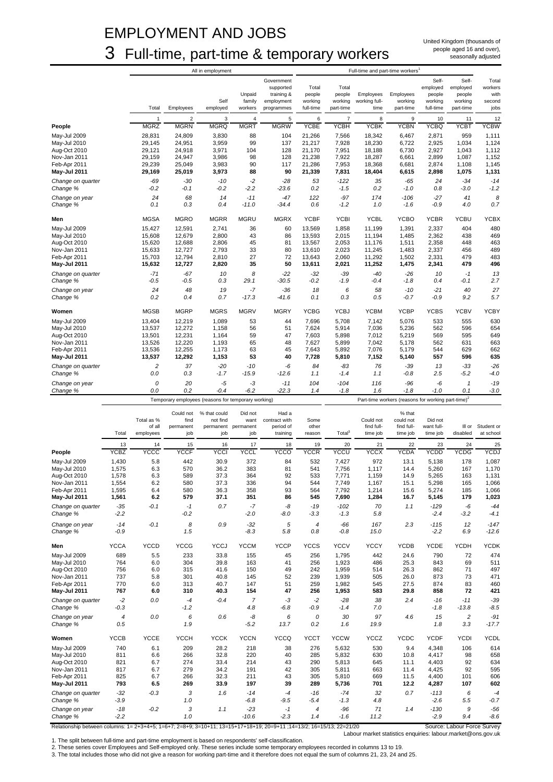### EMPLOYMENT AND JOBS 3 Full-time, part-time & temporary workers

United Kingdom (thousands of people aged 16 and over), seasonally adjusted

|                               |                      |                                | Full-time and part-time workers                     |                                        |                                                                   |                                         |                                         |                                    |                                                                |                                                     |                                                     |                                            |
|-------------------------------|----------------------|--------------------------------|-----------------------------------------------------|----------------------------------------|-------------------------------------------------------------------|-----------------------------------------|-----------------------------------------|------------------------------------|----------------------------------------------------------------|-----------------------------------------------------|-----------------------------------------------------|--------------------------------------------|
|                               | Total                | Employees                      | Self<br>employed                                    | Unpaid<br>family<br>workers            | Government<br>supported<br>training &<br>employment<br>programmes | Total<br>people<br>working<br>full-time | Total<br>people<br>working<br>part-time | Employees<br>working full-<br>time | Employees<br>working<br>part-time                              | Self-<br>employed<br>people<br>working<br>full-time | Self-<br>employed<br>people<br>working<br>part-time | Total<br>workers<br>with<br>second<br>jobs |
|                               | $\mathbf{1}$         | $\overline{2}$                 | 3                                                   | $\overline{4}$                         | 5<br><b>MGRW</b>                                                  | 6<br><b>YCBE</b>                        | $\overline{7}$                          | 8                                  | 9                                                              | 10                                                  | 11                                                  | 12                                         |
| People                        | <b>MGRZ</b>          | <b>MGRN</b>                    | <b>MGRQ</b>                                         | <b>MGRT</b>                            |                                                                   |                                         | <b>YCBH</b>                             | <b>YCBK</b>                        | <b>YCBN</b>                                                    | <b>YCBQ</b>                                         | YCBT                                                | <b>YCBW</b>                                |
| May-Jul 2009                  | 28,831               | 24,809                         | 3,830                                               | 88                                     | 104                                                               | 21,266                                  | 7,566                                   | 18,342                             | 6,467                                                          | 2,871                                               | 959                                                 | 1,111                                      |
| May-Jul 2010                  | 29,145               | 24,951                         | 3,959                                               | 99                                     | 137                                                               | 21,217                                  | 7,928                                   | 18,230                             | 6,722                                                          | 2,925                                               | 1,034                                               | 1,124                                      |
| Aug-Oct 2010                  | 29,121               | 24,918                         | 3,971                                               | 104                                    | 128                                                               | 21,170                                  | 7,951                                   | 18,188                             | 6,730                                                          | 2,927                                               | 1,043                                               | 1,112                                      |
| Nov-Jan 2011                  | 29,159               | 24,947                         | 3,986                                               | 98                                     | 128                                                               | 21,238                                  | 7,922                                   | 18,287                             | 6,661                                                          | 2,899                                               | 1,087                                               | 1,152                                      |
| Feb-Apr 2011                  | 29,239               | 25,049                         | 3,983                                               | 90                                     | 117                                                               | 21,286                                  | 7,953                                   | 18,368                             | 6,681                                                          | 2,874                                               | 1,108                                               | 1,145                                      |
| May-Jul 2011                  | 29,169               | 25,019                         | 3,973                                               | 88                                     | 90                                                                | 21,339                                  | 7,831                                   | 18,404                             | 6,615                                                          | 2,898                                               | 1,075                                               | 1,131                                      |
| Change on quarter<br>Change % | $-69$<br>$-0.2$      | $-30$<br>$-0.1$                | $-10$<br>$-0.2$                                     | $-2$<br>$-2.2$                         | $-28$<br>$-23.6$                                                  | 53<br>0.2                               | $-122$<br>$-1.5$                        | 35<br>0.2                          | $-65$<br>$-1.0$                                                | 24<br>0.8                                           | $-34$<br>$-3.0$                                     | $-14$<br>$-1.2$                            |
| Change on year                | 24                   | 68                             | 14                                                  | $-11$                                  | $-47$                                                             | 122                                     | $-97$                                   | 174                                | $-106$                                                         | $-27$                                               | 41                                                  | 8                                          |
| Change %                      | 0.1                  | 0.3                            | 0.4                                                 | $-11.0$                                | $-34.4$                                                           | 0.6                                     | $-1.2$                                  | 1.0                                | $-1.6$                                                         | $-0.9$                                              | 4.0                                                 | 0.7                                        |
| Men                           | <b>MGSA</b>          | <b>MGRO</b>                    | <b>MGRR</b>                                         | <b>MGRU</b>                            | <b>MGRX</b>                                                       | <b>YCBF</b>                             | <b>YCBI</b>                             | <b>YCBL</b>                        | <b>YCBO</b>                                                    | <b>YCBR</b>                                         | <b>YCBU</b>                                         | <b>YCBX</b>                                |
| May-Jul 2009                  | 15,427               | 12,591                         | 2,741                                               | 36                                     | 60                                                                | 13,569                                  | 1,858                                   | 11,199                             | 1,391                                                          | 2,337                                               | 404                                                 | 480                                        |
| May-Jul 2010                  | 15,608               | 12,679                         | 2,800                                               | 43                                     | 86                                                                | 13,593                                  | 2,015                                   | 11,194                             | 1,485                                                          | 2,362                                               | 438                                                 | 469                                        |
| Aug-Oct 2010                  | 15,620               | 12,688                         | 2,806                                               | 45                                     | 81                                                                | 13,567                                  | 2,053                                   | 11,176                             | 1,511                                                          | 2,358                                               | 448                                                 | 463                                        |
| Nov-Jan 2011                  | 15,633               | 12,727                         | 2,793                                               | 33                                     | 80                                                                | 13.610                                  | 2,023                                   | 11,245                             | 1,483                                                          | 2,337                                               | 456                                                 | 489                                        |
| Feb-Apr 2011                  | 15,703               | 12,794                         | 2,810                                               | 27                                     | 72                                                                | 13,643                                  | 2,060                                   | 11,292                             | 1,502                                                          | 2,331                                               | 479                                                 | 483                                        |
| May-Jul 2011                  | 15,632               | 12,727                         | 2,820                                               | 35                                     | 50                                                                | 13,611                                  | 2,021                                   | 11,252                             | 1,475                                                          | 2,341                                               | 479                                                 | 496                                        |
| Change on quarter             | $-71$                | $-67$                          | 10                                                  | 8                                      | $-22$                                                             | $-32$                                   | $-39$                                   | $-40$                              | $-26$                                                          | 10                                                  | $-1$                                                | 13                                         |
| Change %                      | $-0.5$               | $-0.5$                         | 0.3                                                 | 29.1                                   | $-30.5$                                                           | $-0.2$                                  | $-1.9$                                  | -0.4                               | $-1.8$                                                         | 0.4                                                 | $-0.1$                                              | 2.7                                        |
| Change on year                | 24                   | 48                             | 19                                                  | $-7$                                   | $-36$                                                             | 18                                      | 6                                       | 58                                 | $-10$                                                          | $-21$                                               | 40                                                  | 27                                         |
| Change %                      | 0.2                  | 0.4                            | 0.7                                                 | $-17.3$                                | $-41.6$                                                           | 0.1                                     | 0.3                                     | 0.5                                | $-0.7$                                                         | $-0.9$                                              | 9.2                                                 | 5.7                                        |
| Women                         | <b>MGSB</b>          | <b>MGRP</b>                    | <b>MGRS</b>                                         | <b>MGRV</b>                            | <b>MGRY</b>                                                       | <b>YCBG</b>                             | <b>YCBJ</b>                             | <b>YCBM</b>                        | <b>YCBP</b>                                                    | <b>YCBS</b>                                         | <b>YCBV</b>                                         | <b>YCBY</b>                                |
| May-Jul 2009                  | 13,404               | 12,219                         | 1,089                                               | 53                                     | 44                                                                | 7.696                                   | 5.708                                   | 7.142                              | 5,076                                                          | 533                                                 | 555                                                 | 630                                        |
| May-Jul 2010                  | 13,537               | 12,272                         | 1,158                                               | 56                                     | 51                                                                | 7,624                                   | 5,914                                   | 7,036                              | 5,236                                                          | 562                                                 | 596                                                 | 654                                        |
| Aug-Oct 2010                  | 13,501               | 12,231                         | 1,164                                               | 59                                     | 47                                                                | 7,603                                   | 5,898                                   | 7,012                              | 5,219                                                          | 569                                                 | 595                                                 | 649                                        |
| Nov-Jan 2011                  | 13,526               | 12,220                         | 1,193                                               | 65                                     | 48                                                                | 7,627                                   | 5,899                                   | 7,042                              | 5,178                                                          | 562                                                 | 631                                                 | 663                                        |
| Feb-Apr 2011                  | 13,536               | 12,255                         | 1,173                                               | 63                                     | 45                                                                | 7,643                                   | 5,892                                   | 7,076                              | 5,179                                                          | 544                                                 | 629                                                 | 662                                        |
| <b>May-Jul 2011</b>           | 13,537               | 12,292                         | 1,153                                               | 53                                     | 40                                                                | 7,728                                   | 5,810                                   | 7,152                              | 5,140                                                          | 557                                                 | 596                                                 | 635                                        |
| Change on quarter             | $\overline{c}$       | 37                             | $-20$                                               | $-10$                                  | -6                                                                | 84                                      | $-83$                                   | 76                                 | $-39$                                                          | 13                                                  | $-33$                                               | $-26$                                      |
| Change %                      | 0.0                  | 0.3                            | $-1.7$                                              | $-15.9$                                | $-12.6$                                                           | 1.1                                     | $-1.4$                                  | 1.1                                | $-0.8$                                                         | 2.5                                                 | $-5.2$                                              | $-4.0$                                     |
| Change on year                | 0                    | 20                             | -5                                                  | -3                                     | $-11$                                                             | 104                                     | $-104$                                  | 116                                | $-96$                                                          | -6                                                  | $\mathbf{1}$                                        | $-19$                                      |
| Change %                      | 0.0                  | 0.2                            | $-0.4$                                              | $-6.2$                                 | $-22.3$                                                           | 1.4                                     | $-1.8$                                  | 1.6                                | $-1.8$                                                         | $-1.0$                                              | 0.1                                                 | $-3.0$                                     |
|                               |                      |                                | Temporary employees (reasons for temporary working) |                                        |                                                                   |                                         |                                         |                                    | Part-time workers (reasons for working part-time) <sup>2</sup> |                                                     |                                                     |                                            |
|                               | Total as %<br>of all | Could not<br>find<br>permanent | % that could<br>not find                            | Did not<br>want<br>permanent permanent | Had a<br>contract with<br>period of                               | Some<br>other                           |                                         | Could not<br>find full-            | % that<br>could not<br>find full-                              | Did not<br>want full-                               |                                                     | III or Student or                          |

|                              | Total                    | Total as %<br>of all<br>employees | find<br>permanent<br>job | not find<br>permanent<br>job | want<br>permanent<br>job | contract with<br>period of<br>training | Some<br>other<br>reason | Total <sup>3</sup> | Could not<br>find full-<br>time job | could not<br>find full-<br>time job | Did not<br>want full-<br>time job | III or<br>disabled | Student or<br>at school |
|------------------------------|--------------------------|-----------------------------------|--------------------------|------------------------------|--------------------------|----------------------------------------|-------------------------|--------------------|-------------------------------------|-------------------------------------|-----------------------------------|--------------------|-------------------------|
|                              | 13                       | 14                                | 15                       | 16                           | 17                       | 18                                     | 19                      | 20                 | 21                                  | 22                                  | 23                                | 24                 | 25                      |
| People                       | <b>YCBZ</b>              | <b>YCCC</b>                       | <b>YCCF</b>              | <b>YCCI</b>                  | <b>YCCL</b>              | <b>YCCO</b>                            | <b>YCCR</b>             | <b>YCCU</b>        | <b>YCCX</b>                         | <b>YCDA</b>                         | <b>YCDD</b>                       | <b>YCDG</b>        | <b>YCDJ</b>             |
| May-Jul 2009                 | 1,430                    | 5.8<br>6.3                        | 442<br>570               | 30.9<br>36.2                 | 372<br>383               | 84<br>81                               | 532<br>541              | 7,427              | 972<br>1.117                        | 13.1<br>14.4                        | 5,138                             | 178<br>167         | 1,087                   |
| May-Jul 2010<br>Aug-Oct 2010 | 1,575<br>1,578           | 6.3                               | 589                      | 37.3                         | 364                      | 92                                     | 533                     | 7,756<br>7,771     | 1,159                               | 14.9                                | 5,260<br>5,265                    | 163                | 1,170<br>1,131          |
| Nov-Jan 2011                 | 1,554                    | 6.2                               | 580                      | 37.3                         | 336                      | 94                                     | 544                     | 7,749              | 1,167                               | 15.1                                | 5,298                             | 165                | 1,066                   |
| Feb-Apr 2011                 | 1,595                    | 6.4                               | 580                      | 36.3                         | 358                      | 93                                     | 564                     | 7,792              | 1,214                               | 15.6                                | 5,274                             | 185                | 1,066                   |
| May-Jul 2011                 | 1,561                    | 6.2                               | 579                      | 37.1                         | 351                      | 86                                     | 545                     | 7,690              | 1,284                               | 16.7                                | 5,145                             | 179                | 1,023                   |
| Change on quarter            | $-35$                    | $-0.1$                            | $-1$                     | 0.7                          | $-7$                     | -8                                     | $-19$                   | $-102$             | 70                                  | 1.1                                 | $-129$                            | $-6$               | $-44$                   |
| Change %                     | $-2.2$                   |                                   | $-0.2$                   |                              | $-2.0$                   | $-8.0$                                 | $-3.3$                  | $-1.3$             | 5.8                                 |                                     | $-2.4$                            | $-3.2$             | $-4.1$                  |
| Change on year               | $-14$                    | $-0.1$                            | 8                        | 0.9                          | $-32$                    | 5                                      | $\overline{4}$          | $-66$              | 167                                 | 2.3                                 | $-115$                            | 12                 | $-147$                  |
| Change %                     | $-0.9$                   |                                   | 1.5                      |                              | $-8.3$                   | 5.8                                    | 0.8                     | $-0.8$             | 15.0                                |                                     | $-2.2$                            | 6.9                | $-12.6$                 |
| Men                          | <b>YCCA</b>              | <b>YCCD</b>                       | <b>YCCG</b>              | <b>YCCJ</b>                  | <b>YCCM</b>              | <b>YCCP</b>                            | <b>YCCS</b>             | <b>YCCV</b>        | <b>YCCY</b>                         | <b>YCDB</b>                         | <b>YCDE</b>                       | <b>YCDH</b>        | <b>YCDK</b>             |
| May-Jul 2009                 | 689                      | 5.5                               | 233                      | 33.8                         | 155                      | 45                                     | 256                     | 1,795              | 442                                 | 24.6                                | 790                               | 72                 | 474                     |
| May-Jul 2010                 | 764                      | 6.0                               | 304                      | 39.8                         | 163                      | 41                                     | 256                     | 1,923              | 486                                 | 25.3                                | 843                               | 69                 | 511                     |
| Aug-Oct 2010                 | 756                      | 6.0                               | 315                      | 41.6                         | 150                      | 49                                     | 242                     | 1,959              | 514                                 | 26.3                                | 862                               | 71                 | 497                     |
| Nov-Jan 2011                 | 737                      | 5.8                               | 301                      | 40.8                         | 145                      | 52                                     | 239                     | 1,939              | 505                                 | 26.0                                | 873                               | 73                 | 471                     |
| Feb-Apr 2011                 | 770                      | 6.0                               | 313                      | 40.7                         | 147                      | 51                                     | 259                     | 1,982              | 545                                 | 27.5                                | 874                               | 83                 | 460                     |
| May-Jul 2011                 | 767                      | 6.0                               | 310                      | 40.3                         | 154                      | 47                                     | 256                     | 1,953              | 583                                 | 29.8                                | 858                               | 72                 | 421                     |
| Change on quarter            | $-2$                     | 0.0                               | $-4$                     | $-0.4$                       | $\overline{7}$           | $-3$                                   | $-2$                    | $-28$              | 38                                  | 2.4                                 | $-16$                             | $-11$              | $-39$                   |
| Change %                     | $-0.3$                   |                                   | $-1.2$                   |                              | 4.8                      | $-6.8$                                 | $-0.9$                  | $-1.4$             | 7.0                                 |                                     | $-1.8$                            | $-13.8$            | $-8.5$                  |
| Change on year               | $\overline{\mathcal{L}}$ | 0.0                               | 6                        | 0.6                          | -8                       | 6                                      | $\mathcal{O}$           | 30                 | 97                                  | 4.6                                 | 15                                | $\overline{c}$     | $-91$                   |
| Change %                     | 0.5                      |                                   | 1.9                      |                              | $-5.2$                   | 13.7                                   | 0.2                     | 1.6                | 19.9                                |                                     | 1.8                               | 3.3                | $-17.7$                 |
| Women                        | <b>YCCB</b>              | <b>YCCE</b>                       | <b>YCCH</b>              | <b>YCCK</b>                  | <b>YCCN</b>              | <b>YCCQ</b>                            | <b>YCCT</b>             | <b>YCCW</b>        | <b>YCCZ</b>                         | <b>YCDC</b>                         | <b>YCDF</b>                       | <b>YCDI</b>        | <b>YCDL</b>             |
| May-Jul 2009                 | 740                      | 6.1                               | 209                      | 28.2                         | 218                      | 38                                     | 276                     | 5,632              | 530                                 | 9.4                                 | 4,348                             | 106                | 614                     |
| May-Jul 2010                 | 811                      | 6.6                               | 266                      | 32.8                         | 220                      | 40                                     | 285                     | 5,832              | 630                                 | 10.8                                | 4,417                             | 98                 | 658                     |
| Aug-Oct 2010                 | 821                      | 6.7                               | 274                      | 33.4                         | 214                      | 43                                     | 290                     | 5,813              | 645                                 | 11.1                                | 4,403                             | 92                 | 634                     |
| Nov-Jan 2011                 | 817                      | 6.7                               | 279                      | 34.2                         | 191                      | 42                                     | 305                     | 5,811              | 663                                 | 11.4                                | 4,425                             | 92                 | 595                     |
| Feb-Apr 2011                 | 825<br>793               | 6.7<br>6.5                        | 266<br>269               | 32.3                         | 211<br>197               | 43<br>39                               | 305<br>289              | 5,810              | 669                                 | 11.5<br>12.2                        | 4,400                             | 101<br>107         | 606                     |
| May-Jul 2011                 |                          |                                   |                          | 33.9                         |                          |                                        |                         | 5,736              | 701                                 |                                     | 4,287                             |                    | 602                     |
| Change on quarter            | $-32$                    | $-0.3$                            | 3                        | 1.6                          | $-14$                    | $-4$                                   | $-16$                   | $-74$              | 32                                  | 0.7                                 | $-113$                            | 6                  | $-4$                    |
| Change %                     | $-3.9$                   |                                   | 1.0                      |                              | $-6.8$                   | $-9.5$                                 | $-5.4$                  | $-1.3$             | 4.8                                 |                                     | $-2.6$                            | 5.5                | $-0.7$                  |
| Change on year               | $-18$                    | $-0.2$                            | 3                        | 1.1                          | $-23$                    | $-1$                                   | $\overline{4}$          | $-96$              | 71                                  | 1.4                                 | $-130$                            | 9                  | $-56$                   |
| Change %                     | $-2.2$                   |                                   | 1.0                      |                              | $-10.6$                  | $-2.3$                                 | 1.4                     | $-1.6$             | 11.2                                |                                     | $-2.9$                            | 9.4                | $-8.6$                  |

Relationship between columns: 1= 2+3+4+5; 1=6+7; 2=8+9; 3=10+11; 13=15+17+18+19; 20=9+11 ;14=13/2; 16=15/13; 22=21/20 Source: Labour Force Survey

Labour market statistics enquiries: labour.market@ons.gov.uk

1. The split between full-time and part-time employment is based on respondents' self-classification.<br>2. These series cover Employees and Self-employed only. These series include some temporary employees recorded in column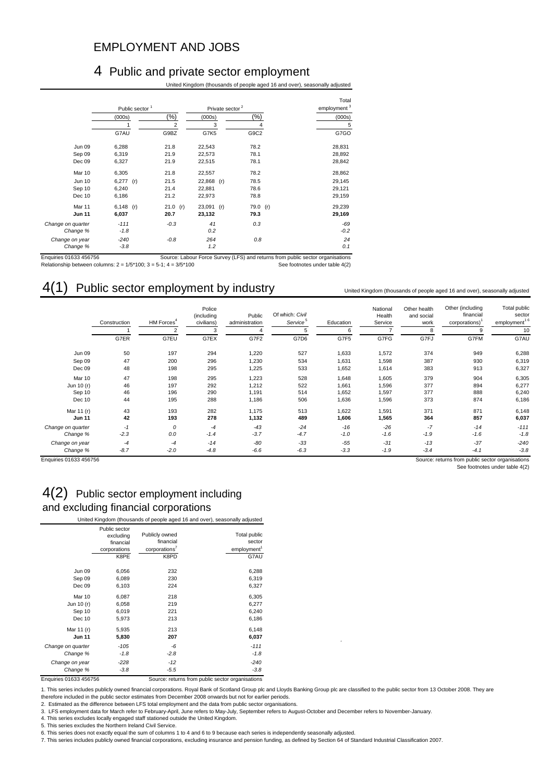### EMPLOYMENT AND JOBS

#### 4 Public and private sector employment

United Kingdom (thousands of people aged 16 and over), seasonally adjusted

|                   | Public sector <sup>1</sup> |                | Private sector <sup>2</sup> |          | Total<br>employment <sup>3</sup> |  |  |
|-------------------|----------------------------|----------------|-----------------------------|----------|----------------------------------|--|--|
|                   | (000s)                     | $(\%)$         | (000s)                      | (%)      | (000s)                           |  |  |
|                   |                            | $\overline{2}$ | 3                           | 4        | 5                                |  |  |
|                   | G7AU                       | G9BZ           | G7K5                        | G9C2     | G7GO                             |  |  |
| <b>Jun 09</b>     | 6,288                      | 21.8           | 22,543                      | 78.2     | 28,831                           |  |  |
| Sep 09            | 6,319                      | 21.9           | 22,573                      | 78.1     | 28,892                           |  |  |
| Dec 09            | 6,327                      | 21.9           | 22,515                      | 78.1     | 28,842                           |  |  |
| Mar 10            | 6,305                      | 21.8           | 22,557                      | 78.2     | 28,862                           |  |  |
| <b>Jun 10</b>     | $6,277$ (r)                | 21.5           | 22,868<br>(r)               | 78.5     | 29,145                           |  |  |
| Sep 10            | 6,240                      | 21.4           | 22,881                      | 78.6     | 29,121                           |  |  |
| Dec 10            | 6,186                      | 21.2           | 22,973                      | 78.8     | 29,159                           |  |  |
| Mar 11            | $6,148$ (r)                | 21.0 (r)       | $23,091$ (r)                | 79.0 (r) | 29,239                           |  |  |
| <b>Jun 11</b>     | 6,037                      | 20.7           | 23,132                      | 79.3     | 29,169                           |  |  |
| Change on quarter | $-111$                     | $-0.3$         | 41                          | 0.3      | $-69$                            |  |  |
| Change %          | $-1.8$                     |                | 0.2                         |          | $-0.2$                           |  |  |
| Change on year    | $-240$                     | $-0.8$         | 264                         | 0.8      | 24                               |  |  |
| Change %          | $-3.8$                     |                | 1.2                         |          | 0.1                              |  |  |

Enquiries 01633 456756 Source: Labour Force Survey (LFS) and returns from public sector organisations Relationship between columns: 2 = 1/5\*100; 3 = 5-1; 4 = 3/5\*100 See footnotes under table 4(2)

### 4(1) Public sector employment by industry

|                   | Construction | HM Forces <sup>4</sup> | Police<br>(including<br>civilians) | Public<br>administration | Of which: Civil<br>Service <sup>5</sup> | Education | National<br>Health<br>Service | Other health<br>and social<br>work | Other (including<br>financial<br>corporations) | Total public<br>sector<br>employment <sup>16</sup> |
|-------------------|--------------|------------------------|------------------------------------|--------------------------|-----------------------------------------|-----------|-------------------------------|------------------------------------|------------------------------------------------|----------------------------------------------------|
|                   |              | 2                      | 3                                  |                          | 5                                       | 6         |                               | 8                                  | q                                              | 10                                                 |
|                   | G7ER         | G7EU                   | G7EX                               | G7F2                     | G7D6                                    | G7F5      | G7FG                          | G7FJ                               | G7FM                                           | G7AU                                               |
| <b>Jun 09</b>     | 50           | 197                    | 294                                | 1,220                    | 527                                     | 1,633     | 1,572                         | 374                                | 949                                            | 6,288                                              |
| Sep 09            | 47           | 200                    | 296                                | 1,230                    | 534                                     | 1,631     | 1,598                         | 387                                | 930                                            | 6,319                                              |
| Dec 09            | 48           | 198                    | 295                                | 1,225                    | 533                                     | 1,652     | 1,614                         | 383                                | 913                                            | 6,327                                              |
| Mar 10            | 47           | 198                    | 295                                | 1,223                    | 528                                     | 1,648     | 1,605                         | 379                                | 904                                            | 6,305                                              |
| Jun 10 (r)        | 46           | 197                    | 292                                | 1,212                    | 522                                     | 1,661     | 1,596                         | 377                                | 894                                            | 6,277                                              |
| Sep 10            | 46           | 196                    | 290                                | 1,191                    | 514                                     | 1,652     | 1,597                         | 377                                | 888                                            | 6,240                                              |
| Dec 10            | 44           | 195                    | 288                                | 1,186                    | 506                                     | 1,636     | 1,596                         | 373                                | 874                                            | 6,186                                              |
| Mar 11 (r)        | 43           | 193                    | 282                                | 1,175                    | 513                                     | 1,622     | 1,591                         | 371                                | 871                                            | 6,148                                              |
| <b>Jun 11</b>     | 42           | 193                    | 278                                | 1,132                    | 489                                     | 1,606     | 1,565                         | 364                                | 857                                            | 6,037                                              |
| Change on quarter | $-1$         | 0                      | $-4$                               | $-43$                    | $-24$                                   | $-16$     | $-26$                         | $-7$                               | $-14$                                          | $-111$                                             |
| Change %          | $-2.3$       | 0.0                    | $-1.4$                             | $-3.7$                   | $-4.7$                                  | $-1.0$    | $-1.6$                        | $-1.9$                             | $-1.6$                                         | $-1.8$                                             |
| Change on year    | $-4$         | $-4$                   | $-14$                              | $-80$                    | $-33$                                   | $-55$     | $-31$                         | $-13$                              | $-37$                                          | $-240$                                             |
| Change %          | $-8.7$       | $-2.0$                 | $-4.8$                             | $-6.6$                   | $-6.3$                                  | $-3.3$    | $-1.9$                        | $-3.4$                             | $-4.1$                                         | $-3.8$                                             |

United Kingdom (thousands of people aged 16 and over), seasonally adjusted

See footnotes under table 4(2)

#### 4(2) Public sector employment including and excluding financial corporations

|                   | Public sector |                           |                         |
|-------------------|---------------|---------------------------|-------------------------|
|                   | excluding     | Publicly owned            | Total public            |
|                   | financial     | financial                 | sector                  |
|                   | corporations  | corporations <sup>7</sup> | employment <sup>1</sup> |
|                   | K8PE          | K8PD                      | G7AU                    |
| <b>Jun 09</b>     | 6,056         | 232                       | 6,288                   |
| Sep 09            | 6,089         | 230                       | 6,319                   |
| Dec 09            | 6,103         | 224                       | 6,327                   |
| Mar 10            | 6,087         | 218                       | 6,305                   |
| Jun 10 (r)        | 6,058         | 219                       | 6,277                   |
| Sep 10            | 6,019         | 221                       | 6,240                   |
| Dec 10            | 5,973         | 213                       | 6,186                   |
| Mar 11 (r)        | 5,935         | 213                       | 6,148                   |
| <b>Jun 11</b>     | 5,830         | 207                       | 6,037                   |
| Change on quarter | $-105$        | $-6$                      | $-111$                  |
| Change %          | $-1.8$        | $-2.8$                    | $-1.8$                  |
| Change on year    | $-228$        | $-12$                     | $-240$                  |
| Change %          | $-3.8$        | $-5.5$                    | $-3.8$                  |

Enquiries 01633 456756 Source: returns from public sector organisations

1. This series includes publicly owned financial corporations. Royal Bank of Scotland Group plc and Lloyds Banking Group plc are classified to the public sector from 13 October 2008. They are<br>therefore included in the publ

2. Estimated as the difference between LFS total employment and the data from public sector organisations.

3. LFS employment data for March refer to February-April, June refers to May-July, September refers to August-October and December refers to November-January.

4. This series excludes locally engaged staff stationed outside the United Kingdom.

5. This series excludes the Northern Ireland Civil Service.

6. This series does not exactly equal the sum of columns 1 to 4 and 6 to 9 because each series is independently seasonally adjusted.

7. This series includes publicly owned financial corporations, excluding insurance and pension funding, as defined by Section 64 of Standard Industrial Classification 2007.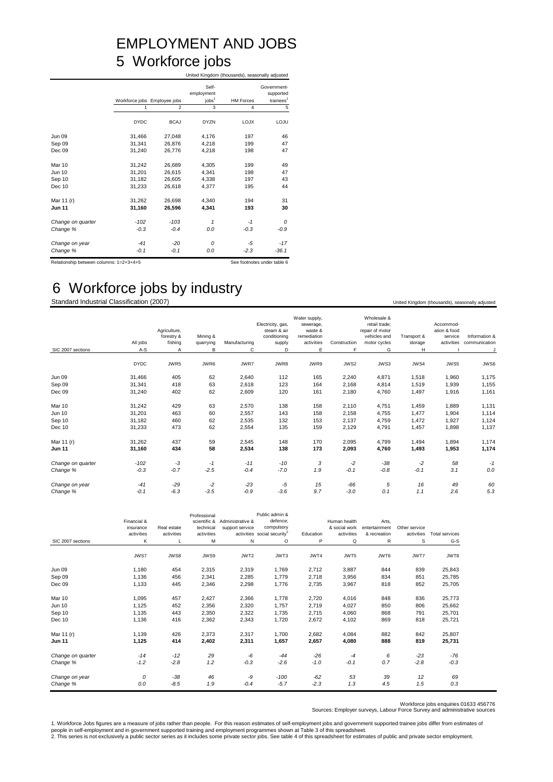### EMPLOYMENT AND JOBS 5 Workforce jobs United Kingdom (thousands), seasonally adjusted

|                   |             | Workforce jobs Employee jobs | Self-<br>employment<br>jobs <sup>1</sup> | <b>HM Forces</b> | Government-<br>supported<br>trainees <sup>1</sup> |
|-------------------|-------------|------------------------------|------------------------------------------|------------------|---------------------------------------------------|
|                   | 1           | $\overline{2}$               | 3                                        | $\overline{4}$   | 5                                                 |
|                   | <b>DYDC</b> | <b>BCAJ</b>                  | <b>DYZN</b>                              | <b>LOJX</b>      | LOJU                                              |
| <b>Jun 09</b>     | 31.466      | 27,048                       | 4,176                                    | 197              | 46                                                |
| Sep 09            | 31,341      | 26,876                       | 4,218                                    | 199              | 47                                                |
| Dec 09            | 31,240      | 26,776                       | 4,218                                    | 198              | 47                                                |
|                   |             |                              |                                          |                  |                                                   |
| Mar 10            | 31,242      | 26,689                       | 4,305                                    | 199              | 49                                                |
| <b>Jun 10</b>     | 31,201      | 26,615                       | 4,341                                    | 198              | 47                                                |
| Sep 10            | 31,182      | 26,605                       | 4,338                                    | 197              | 43                                                |
| Dec 10            | 31,233      | 26,618                       | 4,377                                    | 195              | 44                                                |
|                   |             |                              |                                          |                  |                                                   |
| Mar 11 (r)        | 31,262      | 26,698                       | 4,340                                    | 194              | 31                                                |
| <b>Jun 11</b>     | 31,160      | 26,596                       | 4,341                                    | 193              | 30                                                |
|                   |             |                              |                                          |                  |                                                   |
| Change on quarter | $-102$      | $-103$                       | 1                                        | $-1$             | $\Omega$                                          |
| Change %          | $-0.3$      | $-0.4$                       | 0.0                                      | $-0.3$           | $-0.9$                                            |
| Change on year    | $-41$       | $-20$                        | $\Omega$                                 | -5               | $-17$                                             |
| Change %          | $-0.1$      | $-0.1$                       | 0.0                                      | $-2.3$           | $-36.1$                                           |

Relationship between columns:  $1=2+3+4+5$  See footnotes under table 6

6 Workforce jobs by industry

Standard Industrial Classification (2007) United Kingdom (thousands), seasonally adjusted Microsoft Development Control of the United Kingdom (thousands), seasonally adjusted

| SIC 2007 sections | All jobs<br>$A-S$ | Agriculture,<br>forestry &<br>fishing<br>Α | Mining &<br>quarrying<br>B | Manufacturing<br>C | Electricity, gas,<br>steam & air<br>conditioning<br>supply<br>D | Water supply,<br>sewerage,<br>waste &<br>remediation<br>activities<br>Е | Construction<br>F | Wholesale &<br>retail trade;<br>repair of motor<br>vehicles and<br>motor cycles<br>G | Transport &<br>storage<br>н | Accommod-<br>ation & food<br>service<br>activities | Information &<br>communication |
|-------------------|-------------------|--------------------------------------------|----------------------------|--------------------|-----------------------------------------------------------------|-------------------------------------------------------------------------|-------------------|--------------------------------------------------------------------------------------|-----------------------------|----------------------------------------------------|--------------------------------|
|                   | <b>DYDC</b>       | JWR5                                       | JWR6                       | JWR7               | JWR8                                                            | JWR9                                                                    | JWS2              | JWS3                                                                                 | JWS4                        | JWS5                                               | JWS6                           |
|                   |                   |                                            |                            |                    |                                                                 |                                                                         |                   |                                                                                      |                             |                                                    |                                |
| <b>Jun 09</b>     | 31,466            | 405                                        | 62                         | 2,640              | 112                                                             | 165                                                                     | 2,240             | 4,871                                                                                | 1,518                       | 1,960                                              | 1,175                          |
| Sep 09            | 31,341            | 418                                        | 63                         | 2,618              | 123                                                             | 164                                                                     | 2,168             | 4,814                                                                                | 1,519                       | 1,939                                              | 1,155                          |
| Dec 09            | 31,240            | 402                                        | 62                         | 2,609              | 120                                                             | 161                                                                     | 2,180             | 4,760                                                                                | 1,497                       | 1,916                                              | 1,161                          |
| Mar 10            | 31,242            | 429                                        | 63                         | 2,570              | 138                                                             | 158                                                                     | 2,110             | 4,751                                                                                | 1,459                       | 1,889                                              | 1,131                          |
| Jun 10            | 31,201            | 463                                        | 60                         | 2,557              | 143                                                             | 158                                                                     | 2,158             | 4,755                                                                                | 1,477                       | 1,904                                              | 1,114                          |
| Sep 10            | 31,182            | 460                                        | 62                         | 2,535              | 132                                                             | 153                                                                     | 2,137             | 4,759                                                                                | 1,472                       | 1,927                                              | 1,124                          |
| Dec 10            | 31,233            | 473                                        | 62                         | 2,554              | 135                                                             | 159                                                                     | 2,129             | 4,791                                                                                | 1,457                       | 1,898                                              | 1,137                          |
| Mar 11 (r)        | 31,262            | 437                                        | 59                         | 2,545              | 148                                                             | 170                                                                     | 2,095             | 4,799                                                                                | 1,494                       | 1,894                                              | 1,174                          |
| <b>Jun 11</b>     | 31,160            | 434                                        | 58                         | 2,534              | 138                                                             | 173                                                                     | 2,093             | 4,760                                                                                | 1,493                       | 1,953                                              | 1,174                          |
| Change on quarter | $-102$            | -3                                         | $-1$                       | $-11$              | $-10$                                                           | 3                                                                       | $-2$              | $-38$                                                                                | $-2$                        | 58                                                 | $-1$                           |
| Change %          | $-0.3$            | $-0.7$                                     | $-2.5$                     | $-0.4$             | $-7.0$                                                          | 1.9                                                                     | $-0.1$            | $-0.8$                                                                               | $-0.1$                      | 3.1                                                | 0.0                            |
| Change on year    | $-41$             | $-29$                                      | $-2$                       | $-23$              | $-5$                                                            | 15                                                                      | -66               | 5                                                                                    | 16                          | 49                                                 | 60                             |
| Change %          | $-0.1$            | $-6.3$                                     | $-3.5$                     | $-0.9$             | $-3.6$                                                          | 9.7                                                                     | $-3.0$            | 0.1                                                                                  | 1.1                         | 2.6                                                | 5.3                            |

| SIC 2007 sections | Financial &<br>insurance<br>activities<br>K | Real estate<br>activities<br>L | Professional<br>scientific &<br>technical<br>activities<br>M | Administrative &<br>support service<br>N | Public admin &<br>defence;<br>compulsory<br>activities social security <sup>2</sup><br>$\circ$ | Education<br>P | Human health<br>& social work<br>activities<br>Q | Arts.<br>entertainment<br>& recreation<br>R | Other service<br>activities<br>S | <b>Total services</b><br>$G-S$ |
|-------------------|---------------------------------------------|--------------------------------|--------------------------------------------------------------|------------------------------------------|------------------------------------------------------------------------------------------------|----------------|--------------------------------------------------|---------------------------------------------|----------------------------------|--------------------------------|
|                   | JWS7                                        | JWS8                           | JWS9                                                         | JWT2                                     | JWT3                                                                                           | JWT4           | JWT5                                             | JWT6                                        | JWT7                             | JWT8                           |
| <b>Jun 09</b>     | 1,180                                       | 454                            | 2,315                                                        | 2,319                                    | 1,769                                                                                          | 2,712          | 3,887                                            | 844                                         | 839                              | 25,843                         |
| Sep 09            | 1,136                                       | 456                            | 2,341                                                        | 2,285                                    | 1,779                                                                                          | 2,718          | 3,956                                            | 834                                         | 851                              | 25,785                         |
| Dec 09            | 1,133                                       | 445                            | 2,346                                                        | 2,298                                    | 1,776                                                                                          | 2,735          | 3,967                                            | 818                                         | 852                              | 25,705                         |
| Mar 10            | 1,095                                       | 457                            | 2,427                                                        | 2,366                                    | 1,778                                                                                          | 2,720          | 4,016                                            | 848                                         | 836                              | 25,773                         |
| Jun 10            | 1,125                                       | 452                            | 2,356                                                        | 2,320                                    | 1,757                                                                                          | 2,719          | 4,027                                            | 850                                         | 806                              | 25,662                         |
| Sep 10            | 1,135                                       | 443                            | 2,350                                                        | 2,322                                    | 1,735                                                                                          | 2,715          | 4,060                                            | 868                                         | 791                              | 25,701                         |
| Dec 10            | 1,136                                       | 416                            | 2,362                                                        | 2,343                                    | 1,720                                                                                          | 2,672          | 4,102                                            | 869                                         | 818                              | 25,721                         |
| Mar 11 (r)        | 1,139                                       | 426                            | 2,373                                                        | 2,317                                    | 1,700                                                                                          | 2,682          | 4,084                                            | 882                                         | 842                              | 25,807                         |
| <b>Jun 11</b>     | 1,125                                       | 414                            | 2,402                                                        | 2,311                                    | 1,657                                                                                          | 2,657          | 4,080                                            | 888                                         | 819                              | 25,731                         |
| Change on quarter | $-14$                                       | $-12$                          | 29                                                           | -6                                       | $-44$                                                                                          | $-26$          | $-4$                                             | 6                                           | $-23$                            | $-76$                          |
| Change %          | $-1.2$                                      | $-2.8$                         | 1.2                                                          | $-0.3$                                   | $-2.6$                                                                                         | $-1.0$         | $-0.1$                                           | 0.7                                         | $-2.8$                           | $-0.3$                         |
| Change on year    | 0                                           | $-38$                          | 46                                                           | -9                                       | $-100$                                                                                         | $-62$          | 53                                               | 39                                          | 12                               | 69                             |
| Change %          | 0.0                                         | $-8.5$                         | 1.9                                                          | $-0.4$                                   | $-5.7$                                                                                         | $-2.3$         | 1.3                                              | 4.5                                         | 1.5                              | 0.3                            |

Workforce jobs enquiries 01633 456776 Sources: Employer surveys, Labour Force Survey and administrative sources

1. Workforce Jobs figures are a measure of jobs rather than people. For this reason estimates of self-employment jobs and government supported trainee jobs differ from estimates of<br>people in self-employment and in governm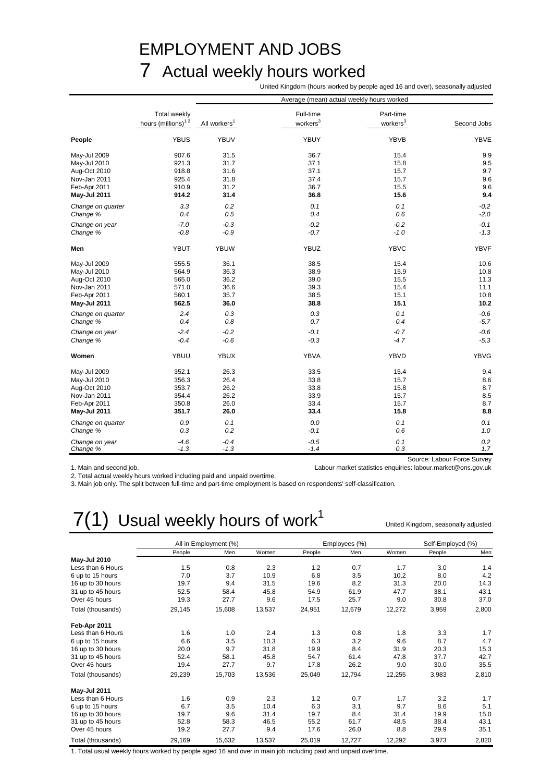### EMPLOYMENT AND JOBS 7 Actual weekly hours worked

United Kingdom (hours worked by people aged 16 and over), seasonally adjusted

|                     |                                |                          | Average (mean) actual weekly hours worked |                      |                             |
|---------------------|--------------------------------|--------------------------|-------------------------------------------|----------------------|-----------------------------|
|                     | Total weekly                   |                          | Full-time                                 | Part-time            |                             |
|                     | hours (millions) <sup>12</sup> | All workers <sup>1</sup> | workers <sup>3</sup>                      | workers <sup>3</sup> | Second Jobs                 |
| People              | <b>YBUS</b>                    | <b>YBUV</b>              | YBUY                                      | <b>YBVB</b>          | YBVE                        |
| May-Jul 2009        | 907.6                          | 31.5                     | 36.7                                      | 15.4                 | 9.9                         |
| May-Jul 2010        | 921.3                          | 31.7                     | 37.1                                      | 15.8                 | 9.5                         |
| Aug-Oct 2010        | 918.8                          | 31.6                     | 37.1                                      | 15.7                 | 9.7                         |
| Nov-Jan 2011        | 925.4                          | 31.8                     | 37.4                                      | 15.7                 | 9.6                         |
| Feb-Apr 2011        | 910.9                          | 31.2                     | 36.7                                      | 15.5                 | 9.6                         |
| May-Jul 2011        | 914.2                          | 31.4                     | 36.8                                      | 15.6                 | 9.4                         |
| Change on quarter   | 3.3                            | 0.2                      | 0.1                                       | 0.1                  | $-0.2$                      |
| Change %            | 0.4                            | 0.5                      | 0.4                                       | 0.6                  | $-2.0$                      |
| Change on year      | $-7.0$                         | $-0.3$                   | $-0.2$                                    | $-0.2$               | $-0.1$                      |
| Change %            | $-0.8$                         | $-0.9$                   | $-0.7$                                    | $-1.0$               | $-1.3$                      |
| Men                 | <b>YBUT</b>                    | <b>YBUW</b>              | <b>YBUZ</b>                               | <b>YBVC</b>          | <b>YBVF</b>                 |
| May-Jul 2009        | 555.5                          | 36.1                     | 38.5                                      | 15.4                 | 10.6                        |
| May-Jul 2010        | 564.9                          | 36.3                     | 38.9                                      | 15.9                 | 10.8                        |
| Aug-Oct 2010        | 565.0                          | 36.2                     | 39.0                                      | 15.5                 | 11.3                        |
| Nov-Jan 2011        | 571.0                          | 36.6                     | 39.3                                      | 15.4                 | 11.1                        |
| Feb-Apr 2011        | 560.1                          | 35.7                     | 38.5                                      | 15.1                 | 10.8                        |
| <b>May-Jul 2011</b> | 562.5                          | 36.0                     | 38.8                                      | 15.1                 | 10.2                        |
| Change on quarter   | 2.4                            | 0.3                      | 0.3                                       | 0.1                  | $-0.6$                      |
| Change %            | 0.4                            | 0.8                      | 0.7                                       | 0.4                  | $-5.7$                      |
| Change on year      | $-2.4$                         | $-0.2$                   | $-0.1$                                    | $-0.7$               | $-0.6$                      |
| Change %            | $-0.4$                         | $-0.6$                   | $-0.3$                                    | $-4.7$               | $-5.3$                      |
| Women               | YBUU                           | <b>YBUX</b>              | YBVA                                      | YBVD                 | YBVG                        |
| May-Jul 2009        | 352.1                          | 26.3                     | 33.5                                      | 15.4                 | 9.4                         |
| May-Jul 2010        | 356.3                          | 26.4                     | 33.8                                      | 15.7                 | 8.6                         |
| Aug-Oct 2010        | 353.7                          | 26.2                     | 33.8                                      | 15.8                 | 8.7                         |
| Nov-Jan 2011        | 354.4                          | 26.2                     | 33.9                                      | 15.7                 | 8.5                         |
| Feb-Apr 2011        | 350.8                          | 26.0                     | 33.4                                      | 15.7                 | 8.7                         |
| <b>May-Jul 2011</b> | 351.7                          | 26.0                     | 33.4                                      | 15.8                 | 8.8                         |
| Change on quarter   | 0.9                            | 0.1                      | 0.0                                       | 0.1                  | 0.1                         |
| Change %            | 0.3                            | 0.2                      | $-0.1$                                    | 0.6                  | 1.0                         |
| Change on year      | $-4.6$                         | $-0.4$                   | $-0.5$                                    | 0.1                  | 0.2                         |
| Change %            | $-1.3$                         | $-1.3$                   | $-1.4$                                    | 0.3                  | 1.7                         |
|                     |                                |                          |                                           |                      | Source: Labour Force Survey |

1. Main and second job. Labour market statistics enquiries: labour.market@ons.gov.uk

2. Total actual weekly hours worked including paid and unpaid overtime.

3. Main job only. The split between full-time and part-time employment is based on respondents' self-classification.

## $7(1)$  Usual weekly hours of work<sup>1</sup>

United Kingdom, seasonally adjusted

|                     |        | All in Employment (%) |        |        | Employees (%) |        | Self-Employed (%) |       |
|---------------------|--------|-----------------------|--------|--------|---------------|--------|-------------------|-------|
|                     | People | Men                   | Women  | People | Men           | Women  | People            | Men   |
| <b>May-Jul 2010</b> |        |                       |        |        |               |        |                   |       |
| Less than 6 Hours   | 1.5    | 0.8                   | 2.3    | 1.2    | 0.7           | 1.7    | 3.0               | 1.4   |
| 6 up to 15 hours    | 7.0    | 3.7                   | 10.9   | 6.8    | 3.5           | 10.2   | 8.0               | 4.2   |
| 16 up to 30 hours   | 19.7   | 9.4                   | 31.5   | 19.6   | 8.2           | 31.3   | 20.0              | 14.3  |
| 31 up to 45 hours   | 52.5   | 58.4                  | 45.8   | 54.9   | 61.9          | 47.7   | 38.1              | 43.1  |
| Over 45 hours       | 19.3   | 27.7                  | 9.6    | 17.5   | 25.7          | 9.0    | 30.8              | 37.0  |
| Total (thousands)   | 29,145 | 15,608                | 13,537 | 24,951 | 12,679        | 12,272 | 3,959             | 2,800 |
| Feb-Apr 2011        |        |                       |        |        |               |        |                   |       |
| Less than 6 Hours   | 1.6    | 1.0                   | 2.4    | 1.3    | 0.8           | 1.8    | 3.3               | 1.7   |
| 6 up to 15 hours    | 6.6    | 3.5                   | 10.3   | 6.3    | 3.2           | 9.6    | 8.7               | 4.7   |
| 16 up to 30 hours   | 20.0   | 9.7                   | 31.8   | 19.9   | 8.4           | 31.9   | 20.3              | 15.3  |
| 31 up to 45 hours   | 52.4   | 58.1                  | 45.8   | 54.7   | 61.4          | 47.8   | 37.7              | 42.7  |
| Over 45 hours       | 19.4   | 27.7                  | 9.7    | 17.8   | 26.2          | 9.0    | 30.0              | 35.5  |
| Total (thousands)   | 29,239 | 15,703                | 13,536 | 25,049 | 12,794        | 12,255 | 3,983             | 2,810 |
| May-Jul 2011        |        |                       |        |        |               |        |                   |       |
| Less than 6 Hours   | 1.6    | 0.9                   | 2.3    | 1.2    | 0.7           | 1.7    | 3.2               | 1.7   |
| 6 up to 15 hours    | 6.7    | 3.5                   | 10.4   | 6.3    | 3.1           | 9.7    | 8.6               | 5.1   |
| 16 up to 30 hours   | 19.7   | 9.6                   | 31.4   | 19.7   | 8.4           | 31.4   | 19.9              | 15.0  |
| 31 up to 45 hours   | 52.8   | 58.3                  | 46.5   | 55.2   | 61.7          | 48.5   | 38.4              | 43.1  |
| Over 45 hours       | 19.2   | 27.7                  | 9.4    | 17.6   | 26.0          | 8.8    | 29.9              | 35.1  |
| Total (thousands)   | 29,169 | 15,632                | 13,537 | 25,019 | 12,727        | 12,292 | 3,973             | 2,820 |

1. Total usual weekly hours worked by people aged 16 and over in main job including paid and unpaid overtime.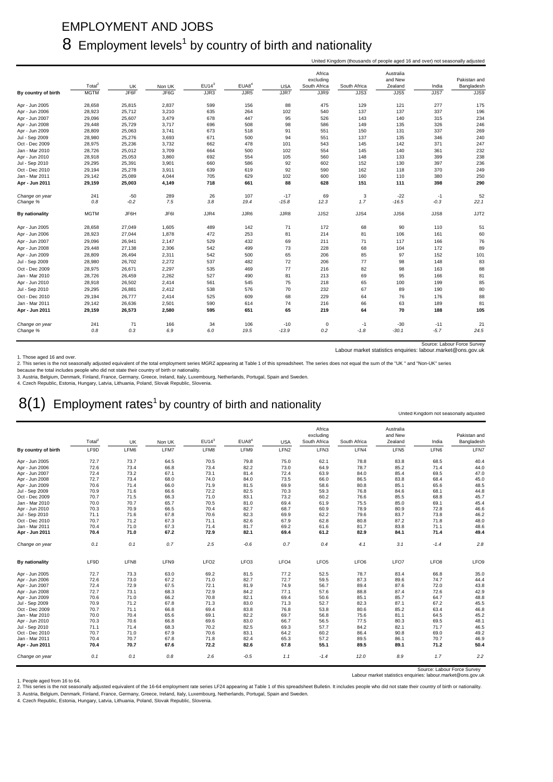### EMPLOYMENT AND JOBS  $8$  Employment levels<sup>1</sup> by country of birth and nationality

| Africa<br>Australia<br>excluding<br>and New<br>Total <sup>2</sup><br>EUI4 <sup>3</sup><br>EUAB <sup>4</sup><br>South Africa<br>Zealand<br><b>UK</b><br>Non UK<br><b>USA</b><br>South Africa<br>India<br><b>MGTM</b><br>JF6F<br>JF6G<br>JJR5<br>JJR7<br>JJR9<br>JJS5<br>JJR3<br>JJS3<br>JJS7<br>By country of birth<br>28,658<br>2,837<br>599<br>156<br>88<br>475<br>129<br>121<br>277<br>25,815<br>Apr - Jun 2005<br>28,923<br>25,712<br>3,210<br>635<br>264<br>102<br>540<br>137<br>137<br>337<br>Apr - Jun 2006<br>95<br>Apr - Jun 2007<br>29,096<br>25,607<br>3,479<br>678<br>447<br>526<br>143<br>140<br>315<br>Apr - Jun 2008<br>29,448<br>25,729<br>3,717<br>696<br>508<br>98<br>586<br>149<br>135<br>326<br>28,809<br>25,063<br>3,741<br>673<br>91<br>551<br>Apr - Jun 2009<br>518<br>150<br>131<br>337<br>3,693<br>Jul - Sep 2009<br>28,980<br>25,276<br>671<br>500<br>94<br>551<br>137<br>135<br>346<br>Oct - Dec 2009<br>28,975<br>25,236<br>3,732<br>662<br>478<br>101<br>543<br>145<br>142<br>371<br>3,709<br>Jan - Mar 2010<br>28,726<br>25,012<br>664<br>500<br>102<br>554<br>145<br>140<br>361<br>28,918<br>25,053<br>3,860<br>692<br>554<br>105<br>560<br>148<br>133<br>399<br>Apr - Jun 2010<br>29,295<br>3,901<br>660<br>92<br>130<br>397<br>Jul - Sep 2010<br>25,391<br>586<br>602<br>152<br>Oct - Dec 2010<br>29,194<br>25,278<br>3,911<br>639<br>619<br>92<br>590<br>162<br>118<br>370<br>Jan - Mar 2011<br>29,142<br>25,089<br>4,044<br>705<br>629<br>102<br>600<br>160<br>110<br>380<br>88<br>398<br>Apr - Jun 2011<br>29,159<br>25,003<br>4,149<br>718<br>661<br>628<br>151<br>111<br>289<br>26<br>107<br>$-17$<br>69<br>3<br>$-22$<br>241<br>$-50$<br>Change on year<br>$-1$<br>7.5<br>1.7<br>0.8<br>$-0.2$<br>3.8<br>19.4<br>$-15.8$<br>12.3<br>$-16.5$<br>$-0.3$<br>Change %<br>JF6H<br>JF6I<br>JJR4<br>JJR6<br>JJR8<br>JJS4<br>JJS8<br><b>MGTM</b><br>JJS2<br>JJS6<br>By nationality<br>28,658<br>27,049<br>1,605<br>489<br>142<br>71<br>172<br>68<br>90<br>110<br>Apr - Jun 2005<br>28,923<br>27,044<br>1,878<br>472<br>253<br>81<br>214<br>81<br>106<br>161<br>Apr - Jun 2006<br>29,096<br>529<br>69<br>71<br>Apr - Jun 2007<br>26,941<br>2,147<br>432<br>211<br>117<br>166<br>Apr - Jun 2008<br>29,448<br>27,138<br>2,306<br>542<br>499<br>73<br>228<br>68<br>104<br>172<br>65<br>Apr - Jun 2009<br>28,809<br>26,494<br>2,311<br>542<br>500<br>206<br>85<br>97<br>152<br>2,272<br>537<br>72<br>77<br>98<br>148<br>Jul - Sep 2009<br>28,980<br>26,702<br>482<br>206<br>28,975<br>26,671<br>2,297<br>469<br>77<br>216<br>82<br>98<br>163<br>Oct - Dec 2009<br>535<br>28,726<br>2,262<br>527<br>166<br>Jan - Mar 2010<br>26,459<br>490<br>81<br>213<br>69<br>95<br>28,918<br>26,502<br>2,414<br>75<br>65<br>100<br>199<br>Apr - Jun 2010<br>561<br>545<br>218<br>29,295<br>26,881<br>2,412<br>538<br>576<br>70<br>232<br>67<br>89<br>190<br>Jul - Sep 2010<br>Oct - Dec 2010<br>29,194<br>26,777<br>2,414<br>525<br>609<br>68<br>229<br>64<br>76<br>176<br>2,501<br>590<br>216<br>66<br>63<br>189<br>Jan - Mar 2011<br>29,142<br>26,636<br>614<br>74<br>29,159<br>26,573<br>2,580<br>595<br>651<br>65<br>219<br>64<br>70<br>188<br>Apr - Jun 2011 |                |     |    |     |    |     |       |   |      | United Kingdom (thousands of people aged 16 and over) not seasonally adjusted |       |                            |
|-------------------------------------------------------------------------------------------------------------------------------------------------------------------------------------------------------------------------------------------------------------------------------------------------------------------------------------------------------------------------------------------------------------------------------------------------------------------------------------------------------------------------------------------------------------------------------------------------------------------------------------------------------------------------------------------------------------------------------------------------------------------------------------------------------------------------------------------------------------------------------------------------------------------------------------------------------------------------------------------------------------------------------------------------------------------------------------------------------------------------------------------------------------------------------------------------------------------------------------------------------------------------------------------------------------------------------------------------------------------------------------------------------------------------------------------------------------------------------------------------------------------------------------------------------------------------------------------------------------------------------------------------------------------------------------------------------------------------------------------------------------------------------------------------------------------------------------------------------------------------------------------------------------------------------------------------------------------------------------------------------------------------------------------------------------------------------------------------------------------------------------------------------------------------------------------------------------------------------------------------------------------------------------------------------------------------------------------------------------------------------------------------------------------------------------------------------------------------------------------------------------------------------------------------------------------------------------------------------------------------------------------------------------------------------------------------------------------------------------------------------------------------------------------------------------------------------------------------------------------------------------------------------------------------------------------------------------------------------------------------------------------------------------------------------------------------------------------------------------------------------------------------------------------------------|----------------|-----|----|-----|----|-----|-------|---|------|-------------------------------------------------------------------------------|-------|----------------------------|
|                                                                                                                                                                                                                                                                                                                                                                                                                                                                                                                                                                                                                                                                                                                                                                                                                                                                                                                                                                                                                                                                                                                                                                                                                                                                                                                                                                                                                                                                                                                                                                                                                                                                                                                                                                                                                                                                                                                                                                                                                                                                                                                                                                                                                                                                                                                                                                                                                                                                                                                                                                                                                                                                                                                                                                                                                                                                                                                                                                                                                                                                                                                                                                               |                |     |    |     |    |     |       |   |      |                                                                               |       | Pakistan and<br>Bangladesh |
|                                                                                                                                                                                                                                                                                                                                                                                                                                                                                                                                                                                                                                                                                                                                                                                                                                                                                                                                                                                                                                                                                                                                                                                                                                                                                                                                                                                                                                                                                                                                                                                                                                                                                                                                                                                                                                                                                                                                                                                                                                                                                                                                                                                                                                                                                                                                                                                                                                                                                                                                                                                                                                                                                                                                                                                                                                                                                                                                                                                                                                                                                                                                                                               |                |     |    |     |    |     |       |   |      |                                                                               |       | JJS9                       |
|                                                                                                                                                                                                                                                                                                                                                                                                                                                                                                                                                                                                                                                                                                                                                                                                                                                                                                                                                                                                                                                                                                                                                                                                                                                                                                                                                                                                                                                                                                                                                                                                                                                                                                                                                                                                                                                                                                                                                                                                                                                                                                                                                                                                                                                                                                                                                                                                                                                                                                                                                                                                                                                                                                                                                                                                                                                                                                                                                                                                                                                                                                                                                                               |                |     |    |     |    |     |       |   |      |                                                                               |       |                            |
|                                                                                                                                                                                                                                                                                                                                                                                                                                                                                                                                                                                                                                                                                                                                                                                                                                                                                                                                                                                                                                                                                                                                                                                                                                                                                                                                                                                                                                                                                                                                                                                                                                                                                                                                                                                                                                                                                                                                                                                                                                                                                                                                                                                                                                                                                                                                                                                                                                                                                                                                                                                                                                                                                                                                                                                                                                                                                                                                                                                                                                                                                                                                                                               |                |     |    |     |    |     |       |   |      |                                                                               |       | 175                        |
|                                                                                                                                                                                                                                                                                                                                                                                                                                                                                                                                                                                                                                                                                                                                                                                                                                                                                                                                                                                                                                                                                                                                                                                                                                                                                                                                                                                                                                                                                                                                                                                                                                                                                                                                                                                                                                                                                                                                                                                                                                                                                                                                                                                                                                                                                                                                                                                                                                                                                                                                                                                                                                                                                                                                                                                                                                                                                                                                                                                                                                                                                                                                                                               |                |     |    |     |    |     |       |   |      |                                                                               |       | 196                        |
|                                                                                                                                                                                                                                                                                                                                                                                                                                                                                                                                                                                                                                                                                                                                                                                                                                                                                                                                                                                                                                                                                                                                                                                                                                                                                                                                                                                                                                                                                                                                                                                                                                                                                                                                                                                                                                                                                                                                                                                                                                                                                                                                                                                                                                                                                                                                                                                                                                                                                                                                                                                                                                                                                                                                                                                                                                                                                                                                                                                                                                                                                                                                                                               |                |     |    |     |    |     |       |   |      |                                                                               |       | 234                        |
|                                                                                                                                                                                                                                                                                                                                                                                                                                                                                                                                                                                                                                                                                                                                                                                                                                                                                                                                                                                                                                                                                                                                                                                                                                                                                                                                                                                                                                                                                                                                                                                                                                                                                                                                                                                                                                                                                                                                                                                                                                                                                                                                                                                                                                                                                                                                                                                                                                                                                                                                                                                                                                                                                                                                                                                                                                                                                                                                                                                                                                                                                                                                                                               |                |     |    |     |    |     |       |   |      |                                                                               |       | 246                        |
|                                                                                                                                                                                                                                                                                                                                                                                                                                                                                                                                                                                                                                                                                                                                                                                                                                                                                                                                                                                                                                                                                                                                                                                                                                                                                                                                                                                                                                                                                                                                                                                                                                                                                                                                                                                                                                                                                                                                                                                                                                                                                                                                                                                                                                                                                                                                                                                                                                                                                                                                                                                                                                                                                                                                                                                                                                                                                                                                                                                                                                                                                                                                                                               |                |     |    |     |    |     |       |   |      |                                                                               |       | 269                        |
|                                                                                                                                                                                                                                                                                                                                                                                                                                                                                                                                                                                                                                                                                                                                                                                                                                                                                                                                                                                                                                                                                                                                                                                                                                                                                                                                                                                                                                                                                                                                                                                                                                                                                                                                                                                                                                                                                                                                                                                                                                                                                                                                                                                                                                                                                                                                                                                                                                                                                                                                                                                                                                                                                                                                                                                                                                                                                                                                                                                                                                                                                                                                                                               |                |     |    |     |    |     |       |   |      |                                                                               |       | 240                        |
|                                                                                                                                                                                                                                                                                                                                                                                                                                                                                                                                                                                                                                                                                                                                                                                                                                                                                                                                                                                                                                                                                                                                                                                                                                                                                                                                                                                                                                                                                                                                                                                                                                                                                                                                                                                                                                                                                                                                                                                                                                                                                                                                                                                                                                                                                                                                                                                                                                                                                                                                                                                                                                                                                                                                                                                                                                                                                                                                                                                                                                                                                                                                                                               |                |     |    |     |    |     |       |   |      |                                                                               |       | 247                        |
|                                                                                                                                                                                                                                                                                                                                                                                                                                                                                                                                                                                                                                                                                                                                                                                                                                                                                                                                                                                                                                                                                                                                                                                                                                                                                                                                                                                                                                                                                                                                                                                                                                                                                                                                                                                                                                                                                                                                                                                                                                                                                                                                                                                                                                                                                                                                                                                                                                                                                                                                                                                                                                                                                                                                                                                                                                                                                                                                                                                                                                                                                                                                                                               |                |     |    |     |    |     |       |   |      |                                                                               |       | 232                        |
|                                                                                                                                                                                                                                                                                                                                                                                                                                                                                                                                                                                                                                                                                                                                                                                                                                                                                                                                                                                                                                                                                                                                                                                                                                                                                                                                                                                                                                                                                                                                                                                                                                                                                                                                                                                                                                                                                                                                                                                                                                                                                                                                                                                                                                                                                                                                                                                                                                                                                                                                                                                                                                                                                                                                                                                                                                                                                                                                                                                                                                                                                                                                                                               |                |     |    |     |    |     |       |   |      |                                                                               |       | 238<br>236                 |
|                                                                                                                                                                                                                                                                                                                                                                                                                                                                                                                                                                                                                                                                                                                                                                                                                                                                                                                                                                                                                                                                                                                                                                                                                                                                                                                                                                                                                                                                                                                                                                                                                                                                                                                                                                                                                                                                                                                                                                                                                                                                                                                                                                                                                                                                                                                                                                                                                                                                                                                                                                                                                                                                                                                                                                                                                                                                                                                                                                                                                                                                                                                                                                               |                |     |    |     |    |     |       |   |      |                                                                               |       |                            |
|                                                                                                                                                                                                                                                                                                                                                                                                                                                                                                                                                                                                                                                                                                                                                                                                                                                                                                                                                                                                                                                                                                                                                                                                                                                                                                                                                                                                                                                                                                                                                                                                                                                                                                                                                                                                                                                                                                                                                                                                                                                                                                                                                                                                                                                                                                                                                                                                                                                                                                                                                                                                                                                                                                                                                                                                                                                                                                                                                                                                                                                                                                                                                                               |                |     |    |     |    |     |       |   |      |                                                                               |       | 249<br>250                 |
|                                                                                                                                                                                                                                                                                                                                                                                                                                                                                                                                                                                                                                                                                                                                                                                                                                                                                                                                                                                                                                                                                                                                                                                                                                                                                                                                                                                                                                                                                                                                                                                                                                                                                                                                                                                                                                                                                                                                                                                                                                                                                                                                                                                                                                                                                                                                                                                                                                                                                                                                                                                                                                                                                                                                                                                                                                                                                                                                                                                                                                                                                                                                                                               |                |     |    |     |    |     |       |   |      |                                                                               |       | 290                        |
|                                                                                                                                                                                                                                                                                                                                                                                                                                                                                                                                                                                                                                                                                                                                                                                                                                                                                                                                                                                                                                                                                                                                                                                                                                                                                                                                                                                                                                                                                                                                                                                                                                                                                                                                                                                                                                                                                                                                                                                                                                                                                                                                                                                                                                                                                                                                                                                                                                                                                                                                                                                                                                                                                                                                                                                                                                                                                                                                                                                                                                                                                                                                                                               |                |     |    |     |    |     |       |   |      |                                                                               |       |                            |
|                                                                                                                                                                                                                                                                                                                                                                                                                                                                                                                                                                                                                                                                                                                                                                                                                                                                                                                                                                                                                                                                                                                                                                                                                                                                                                                                                                                                                                                                                                                                                                                                                                                                                                                                                                                                                                                                                                                                                                                                                                                                                                                                                                                                                                                                                                                                                                                                                                                                                                                                                                                                                                                                                                                                                                                                                                                                                                                                                                                                                                                                                                                                                                               |                |     |    |     |    |     |       |   |      |                                                                               |       | 52                         |
|                                                                                                                                                                                                                                                                                                                                                                                                                                                                                                                                                                                                                                                                                                                                                                                                                                                                                                                                                                                                                                                                                                                                                                                                                                                                                                                                                                                                                                                                                                                                                                                                                                                                                                                                                                                                                                                                                                                                                                                                                                                                                                                                                                                                                                                                                                                                                                                                                                                                                                                                                                                                                                                                                                                                                                                                                                                                                                                                                                                                                                                                                                                                                                               |                |     |    |     |    |     |       |   |      |                                                                               |       | 22.1                       |
|                                                                                                                                                                                                                                                                                                                                                                                                                                                                                                                                                                                                                                                                                                                                                                                                                                                                                                                                                                                                                                                                                                                                                                                                                                                                                                                                                                                                                                                                                                                                                                                                                                                                                                                                                                                                                                                                                                                                                                                                                                                                                                                                                                                                                                                                                                                                                                                                                                                                                                                                                                                                                                                                                                                                                                                                                                                                                                                                                                                                                                                                                                                                                                               |                |     |    |     |    |     |       |   |      |                                                                               |       | JJT2                       |
|                                                                                                                                                                                                                                                                                                                                                                                                                                                                                                                                                                                                                                                                                                                                                                                                                                                                                                                                                                                                                                                                                                                                                                                                                                                                                                                                                                                                                                                                                                                                                                                                                                                                                                                                                                                                                                                                                                                                                                                                                                                                                                                                                                                                                                                                                                                                                                                                                                                                                                                                                                                                                                                                                                                                                                                                                                                                                                                                                                                                                                                                                                                                                                               |                |     |    |     |    |     |       |   |      |                                                                               |       | 51                         |
|                                                                                                                                                                                                                                                                                                                                                                                                                                                                                                                                                                                                                                                                                                                                                                                                                                                                                                                                                                                                                                                                                                                                                                                                                                                                                                                                                                                                                                                                                                                                                                                                                                                                                                                                                                                                                                                                                                                                                                                                                                                                                                                                                                                                                                                                                                                                                                                                                                                                                                                                                                                                                                                                                                                                                                                                                                                                                                                                                                                                                                                                                                                                                                               |                |     |    |     |    |     |       |   |      |                                                                               |       | 60                         |
|                                                                                                                                                                                                                                                                                                                                                                                                                                                                                                                                                                                                                                                                                                                                                                                                                                                                                                                                                                                                                                                                                                                                                                                                                                                                                                                                                                                                                                                                                                                                                                                                                                                                                                                                                                                                                                                                                                                                                                                                                                                                                                                                                                                                                                                                                                                                                                                                                                                                                                                                                                                                                                                                                                                                                                                                                                                                                                                                                                                                                                                                                                                                                                               |                |     |    |     |    |     |       |   |      |                                                                               |       | 76                         |
|                                                                                                                                                                                                                                                                                                                                                                                                                                                                                                                                                                                                                                                                                                                                                                                                                                                                                                                                                                                                                                                                                                                                                                                                                                                                                                                                                                                                                                                                                                                                                                                                                                                                                                                                                                                                                                                                                                                                                                                                                                                                                                                                                                                                                                                                                                                                                                                                                                                                                                                                                                                                                                                                                                                                                                                                                                                                                                                                                                                                                                                                                                                                                                               |                |     |    |     |    |     |       |   |      |                                                                               |       | 89                         |
|                                                                                                                                                                                                                                                                                                                                                                                                                                                                                                                                                                                                                                                                                                                                                                                                                                                                                                                                                                                                                                                                                                                                                                                                                                                                                                                                                                                                                                                                                                                                                                                                                                                                                                                                                                                                                                                                                                                                                                                                                                                                                                                                                                                                                                                                                                                                                                                                                                                                                                                                                                                                                                                                                                                                                                                                                                                                                                                                                                                                                                                                                                                                                                               |                |     |    |     |    |     |       |   |      |                                                                               |       | 101                        |
|                                                                                                                                                                                                                                                                                                                                                                                                                                                                                                                                                                                                                                                                                                                                                                                                                                                                                                                                                                                                                                                                                                                                                                                                                                                                                                                                                                                                                                                                                                                                                                                                                                                                                                                                                                                                                                                                                                                                                                                                                                                                                                                                                                                                                                                                                                                                                                                                                                                                                                                                                                                                                                                                                                                                                                                                                                                                                                                                                                                                                                                                                                                                                                               |                |     |    |     |    |     |       |   |      |                                                                               |       | 83                         |
|                                                                                                                                                                                                                                                                                                                                                                                                                                                                                                                                                                                                                                                                                                                                                                                                                                                                                                                                                                                                                                                                                                                                                                                                                                                                                                                                                                                                                                                                                                                                                                                                                                                                                                                                                                                                                                                                                                                                                                                                                                                                                                                                                                                                                                                                                                                                                                                                                                                                                                                                                                                                                                                                                                                                                                                                                                                                                                                                                                                                                                                                                                                                                                               |                |     |    |     |    |     |       |   |      |                                                                               |       | 88                         |
|                                                                                                                                                                                                                                                                                                                                                                                                                                                                                                                                                                                                                                                                                                                                                                                                                                                                                                                                                                                                                                                                                                                                                                                                                                                                                                                                                                                                                                                                                                                                                                                                                                                                                                                                                                                                                                                                                                                                                                                                                                                                                                                                                                                                                                                                                                                                                                                                                                                                                                                                                                                                                                                                                                                                                                                                                                                                                                                                                                                                                                                                                                                                                                               |                |     |    |     |    |     |       |   |      |                                                                               |       | 81                         |
|                                                                                                                                                                                                                                                                                                                                                                                                                                                                                                                                                                                                                                                                                                                                                                                                                                                                                                                                                                                                                                                                                                                                                                                                                                                                                                                                                                                                                                                                                                                                                                                                                                                                                                                                                                                                                                                                                                                                                                                                                                                                                                                                                                                                                                                                                                                                                                                                                                                                                                                                                                                                                                                                                                                                                                                                                                                                                                                                                                                                                                                                                                                                                                               |                |     |    |     |    |     |       |   |      |                                                                               |       | 85                         |
|                                                                                                                                                                                                                                                                                                                                                                                                                                                                                                                                                                                                                                                                                                                                                                                                                                                                                                                                                                                                                                                                                                                                                                                                                                                                                                                                                                                                                                                                                                                                                                                                                                                                                                                                                                                                                                                                                                                                                                                                                                                                                                                                                                                                                                                                                                                                                                                                                                                                                                                                                                                                                                                                                                                                                                                                                                                                                                                                                                                                                                                                                                                                                                               |                |     |    |     |    |     |       |   |      |                                                                               |       | 80                         |
|                                                                                                                                                                                                                                                                                                                                                                                                                                                                                                                                                                                                                                                                                                                                                                                                                                                                                                                                                                                                                                                                                                                                                                                                                                                                                                                                                                                                                                                                                                                                                                                                                                                                                                                                                                                                                                                                                                                                                                                                                                                                                                                                                                                                                                                                                                                                                                                                                                                                                                                                                                                                                                                                                                                                                                                                                                                                                                                                                                                                                                                                                                                                                                               |                |     |    |     |    |     |       |   |      |                                                                               |       |                            |
|                                                                                                                                                                                                                                                                                                                                                                                                                                                                                                                                                                                                                                                                                                                                                                                                                                                                                                                                                                                                                                                                                                                                                                                                                                                                                                                                                                                                                                                                                                                                                                                                                                                                                                                                                                                                                                                                                                                                                                                                                                                                                                                                                                                                                                                                                                                                                                                                                                                                                                                                                                                                                                                                                                                                                                                                                                                                                                                                                                                                                                                                                                                                                                               |                |     |    |     |    |     |       |   |      |                                                                               |       | 88                         |
|                                                                                                                                                                                                                                                                                                                                                                                                                                                                                                                                                                                                                                                                                                                                                                                                                                                                                                                                                                                                                                                                                                                                                                                                                                                                                                                                                                                                                                                                                                                                                                                                                                                                                                                                                                                                                                                                                                                                                                                                                                                                                                                                                                                                                                                                                                                                                                                                                                                                                                                                                                                                                                                                                                                                                                                                                                                                                                                                                                                                                                                                                                                                                                               |                |     |    |     |    |     |       |   |      |                                                                               |       | 81                         |
|                                                                                                                                                                                                                                                                                                                                                                                                                                                                                                                                                                                                                                                                                                                                                                                                                                                                                                                                                                                                                                                                                                                                                                                                                                                                                                                                                                                                                                                                                                                                                                                                                                                                                                                                                                                                                                                                                                                                                                                                                                                                                                                                                                                                                                                                                                                                                                                                                                                                                                                                                                                                                                                                                                                                                                                                                                                                                                                                                                                                                                                                                                                                                                               |                |     |    |     |    |     |       |   |      |                                                                               |       | 105                        |
|                                                                                                                                                                                                                                                                                                                                                                                                                                                                                                                                                                                                                                                                                                                                                                                                                                                                                                                                                                                                                                                                                                                                                                                                                                                                                                                                                                                                                                                                                                                                                                                                                                                                                                                                                                                                                                                                                                                                                                                                                                                                                                                                                                                                                                                                                                                                                                                                                                                                                                                                                                                                                                                                                                                                                                                                                                                                                                                                                                                                                                                                                                                                                                               | Change on year | 241 | 71 | 166 | 34 | 106 | $-10$ | 0 | $-1$ | $-30$                                                                         | $-11$ | 21                         |
| 0.3<br>6.9<br>$-5.7$<br>Change %<br>0.8<br>6.0<br>19.5<br>$-13.9$<br>0.2<br>$-1.8$<br>$-30.1$                                                                                                                                                                                                                                                                                                                                                                                                                                                                                                                                                                                                                                                                                                                                                                                                                                                                                                                                                                                                                                                                                                                                                                                                                                                                                                                                                                                                                                                                                                                                                                                                                                                                                                                                                                                                                                                                                                                                                                                                                                                                                                                                                                                                                                                                                                                                                                                                                                                                                                                                                                                                                                                                                                                                                                                                                                                                                                                                                                                                                                                                                 |                |     |    |     |    |     |       |   |      |                                                                               |       | 24.5                       |

Source: Labour Force Survey Labour market statistics enquiries: labour.market@ons.gov.uk

1. Those aged 16 and over.

2. This series is the not seasonally adjusted equivalent of the total employment series MGRZ appearing at Table 1 of this spreadsheet. The series does not equal the sum of the "UK " and "Non-UK" series<br>because the total in

3. Austria, Belgium, Denmark, Finland, France, Germany, Greece, Ireland, Italy, Luxembourg, Netherlands, Portugal, Spain and Sweden.<br>4. Czech Republic, Estonia, Hungary, Latvia, Lithuania, Poland, Slovak Republic, Slovenia

### $8(1)$  Employment rates<sup>1</sup> by country of birth and nationality

| x<br>$\overline{\phantom{a}}$ |                    |      |        |                  |                   |                  |                                     |                  | United Kingdom not seasonally adjusted |                  |                            |  |
|-------------------------------|--------------------|------|--------|------------------|-------------------|------------------|-------------------------------------|------------------|----------------------------------------|------------------|----------------------------|--|
|                               | Total <sup>2</sup> | UK   | Non UK | $EU14^3$         | EUAB <sup>4</sup> | <b>USA</b>       | Africa<br>excluding<br>South Africa | South Africa     | Australia<br>and New<br>Zealand        | India            | Pakistan and<br>Bangladesh |  |
| By country of birth           | LF9D               | LFM6 | LFM7   | LFM8             | LFM9              | LFN <sub>2</sub> | LFN3                                | LFN4             | LFN <sub>5</sub>                       | LFN6             | LFN7                       |  |
| Apr - Jun 2005                | 72.7               | 73.7 | 64.5   | 70.5             | 79.8              | 75.0             | 62.1                                | 78.8             | 83.8                                   | 68.5             | 40.4                       |  |
| Apr - Jun 2006                | 72.6               | 73.4 | 66.8   | 73.4             | 82.2              | 73.0             | 64.9                                | 78.7             | 85.2                                   | 71.4             | 44.0                       |  |
| Apr - Jun 2007                | 72.4               | 73.2 | 67.1   | 73.1             | 81.4              | 72.4             | 63.9                                | 84.0             | 85.4                                   | 69.5             | 47.0                       |  |
| Apr - Jun 2008                | 72.7               | 73.4 | 68.0   | 74.0             | 84.0              | 73.5             | 66.0                                | 86.5             | 83.8                                   | 68.4             | 45.0                       |  |
| Apr - Jun 2009                | 70.6               | 71.4 | 66.0   | 71.9             | 81.5              | 69.9             | 58.6                                | 80.8             | 85.1                                   | 65.6             | 48.5                       |  |
| Jul - Sep 2009                | 70.9               | 71.6 | 66.6   | 72.2             | 82.5              | 70.3             | 59.3                                | 76.8             | 84.6                                   | 68.1             | 44.8                       |  |
| Oct - Dec 2009                | 70.7               | 71.5 | 66.3   | 71.0             | 83.1              | 73.2             | 60.2                                | 76.6             | 85.5                                   | 68.8             | 45.7                       |  |
| Jan - Mar 2010                | 70.0               | 70.7 | 65.7   | 70.5             | 81.0              | 69.4             | 61.9                                | 75.5             | 85.0                                   | 69.1             | 45.4                       |  |
| Apr - Jun 2010                | 70.3               | 70.9 | 66.5   | 70.4             | 82.7              | 68.7             | 60.9                                | 78.9             | 80.9                                   | 72.8             | 46.6                       |  |
| Jul - Sep 2010                | 71.1               | 71.6 | 67.8   | 70.6             | 82.3              | 69.9             | 62.2                                | 79.6             | 83.7                                   | 73.8             | 46.2                       |  |
| Oct - Dec 2010                | 70.7               | 71.2 | 67.3   | 71.1             | 82.6              | 67.9             | 62.8                                | 80.8             | 87.2                                   | 71.8             | 48.0                       |  |
| Jan - Mar 2011                | 70.4               | 71.0 | 67.3   | 71.4             | 81.7              | 69.2             | 61.6                                | 81.7             | 83.8                                   | 71.1             | 48.6                       |  |
| Apr - Jun 2011                | 70.4               | 71.0 | 67.2   | 72.9             | 82.1              | 69.4             | 61.2                                | 82.9             | 84.1                                   | 71.4             | 49.4                       |  |
| Change on year                | 0.1                | 0.1  | 0.7    | 2.5              | $-0.6$            | 0.7              | 0.4                                 | 4.1              | 3.1                                    | $-1.4$           | 2.8                        |  |
| By nationality                | LF9D               | LFN8 | LFN9   | LFO <sub>2</sub> | LFO <sub>3</sub>  | LFO <sub>4</sub> | LFO <sub>5</sub>                    | LFO <sub>6</sub> | LFO7                                   | LFO <sub>8</sub> | LFO <sub>9</sub>           |  |
| Apr - Jun 2005                | 72.7               | 73.3 | 63.0   | 69.2             | 81.5              | 77.2             | 52.5                                | 78.7             | 83.4                                   | 66.8             | 35.0                       |  |
| Apr - Jun 2006                | 72.6               | 73.0 | 67.2   | 71.0             | 82.7              | 72.7             | 59.5                                | 87.3             | 89.6                                   | 74.7             | 44.4                       |  |
| Apr - Jun 2007                | 72.4               | 72.9 | 67.5   | 72.1             | 81.9              | 74.9             | 56.7                                | 89.4             | 87.6                                   | 72.0             | 43.8                       |  |
| Apr - Jun 2008                | 72.7               | 73.1 | 68.3   | 72.9             | 84.2              | 77.1             | 57.6                                | 88.8             | 87.4                                   | 72.6             | 42.9                       |  |
| Apr - Jun 2009                | 70.6               | 71.0 | 66.2   | 70.8             | 82.1              | 69.4             | 50.6                                | 85.1             | 85.7                                   | 64.7             | 48.8                       |  |
| Jul - Sep 2009                | 70.9               | 71.2 | 67.8   | 71.3             | 83.0              | 71.3             | 52.7                                | 82.3             | 87.1                                   | 67.2             | 45.5                       |  |
| Oct - Dec 2009                | 70.7               | 71.1 | 66.8   | 69.4             | 83.8              | 76.8             | 53.8                                | 80.6             | 85.2                                   | 63.4             | 46.8                       |  |
| Jan - Mar 2010                | 70.0               | 70.4 | 65.6   | 69.1             | 82.2              | 69.7             | 56.8                                | 75.6             | 81.1                                   | 64.5             | 45.2                       |  |
| Apr - Jun 2010                | 70.3               | 70.6 | 66.8   | 69.6             | 83.0              | 66.7             | 56.5                                | 77.5             | 80.3                                   | 69.5             | 48.1                       |  |
| Jul - Sep 2010                | 71.1               | 71.4 | 68.3   | 70.2             | 82.5              | 69.3             | 57.7                                | 84.2             | 82.1                                   | 71.7             | 46.5                       |  |
| Oct - Dec 2010                | 70.7               | 71.0 | 67.9   | 70.6             | 83.1              | 64.2             | 60.2                                | 86.4             | 90.8                                   | 69.0             | 49.2                       |  |
| Jan - Mar 2011                | 70.4               | 70.7 | 67.8   | 71.8             | 82.4              | 65.3             | 57.2                                | 89.5             | 86.1                                   | 70.7             | 46.9                       |  |
| Apr - Jun 2011                | 70.4               | 70.7 | 67.6   | 72.2             | 82.6              | 67.8             | 55.1                                | 89.5             | 89.1                                   | 71.2             | 50.4                       |  |
| Change on year                | 0.1                | 0.1  | 0.8    | 2.6              | $-0.5$            | 1.1              | $-1.4$                              | 12.0             | 8.9                                    | 1.7              | 2.2                        |  |

1. People aged from 16 to 64.

Source: Labour Force Survey Labour market statistics enquiries: labour.market@ons.gov.uk

2. This series is the not seasonally adjusted equivalent of the 16-64 employment rate series LF24 appearing at Table 1 of this spreadsheet Bulletin. It includes people who did not state their country of birth or nationality. 3. Austria, Belgium, Denmark, Finland, France, Germany, Greece, Ireland, Italy, Luxembourg, Netherlands, Portugal, Spain and Sweden.

4. Czech Republic, Estonia, Hungary, Latvia, Lithuania, Poland, Slovak Republic, Slovenia.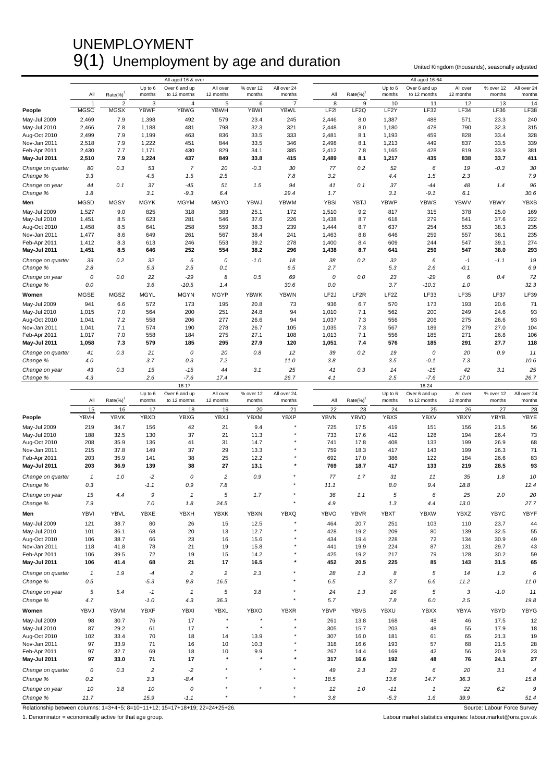### UNEMPLOYMENT  $9(1)$  Unemployment by age and duration United Kingdom (thousands), seasonally adjusted

|                               |                            |                |                | All aged 16 & over    |                |              |                |                   |                  |                   | All aged 16-64   |                |              |                |
|-------------------------------|----------------------------|----------------|----------------|-----------------------|----------------|--------------|----------------|-------------------|------------------|-------------------|------------------|----------------|--------------|----------------|
|                               |                            |                | Up to 6        | Over 6 and up         | All over       | % over 12    | All over 24    |                   |                  | Up to 6           | Over 6 and up    | All over       | % over 12    | All over 24    |
|                               | All                        | $Rate(\%)$     | months         | to 12 months          | 12 months      | months       | months         | All               | $Rate(\%)^1$     | months            | to 12 months     | 12 months      | months       | months         |
|                               | $\overline{1}$             | $\overline{2}$ | 3              | 4                     | 5              | 6            | $\overline{7}$ | 8                 | 9                | 10                | 11               | 12             | 13           | 14             |
| People                        | <b>MGSC</b>                | <b>MGSX</b>    | <b>YBWF</b>    | <b>YBWG</b>           | <b>YBWH</b>    | YBWI         | <b>YBWL</b>    | LF2I              | LF <sub>2Q</sub> | LF <sub>2</sub> Y | LF32             | LF34           | <b>LF36</b>  | LF38           |
| May-Jul 2009                  | 2,469                      | 7.9            | 1,398          | 492                   | 579            | 23.4         | 245            | 2,446             | 8.0              | 1,387             | 488              | 571            | 23.3         | 240            |
| May-Jul 2010                  | 2,466                      | 7.8            | 1,188          | 481                   | 798            | 32.3         | 321            | 2,448             | 8.0              | 1,180             | 478              | 790            | 32.3         | 315            |
| Aug-Oct 2010<br>Nov-Jan 2011  | 2,499                      | 7.9            | 1,199          | 463                   | 836<br>844     | 33.5<br>33.5 | 333<br>346     | 2,481             | 8.1              | 1,193             | 459<br>449       | 828<br>837     | 33.4<br>33.5 | 328            |
| Feb-Apr 2011                  | 2,518<br>2,430             | 7.9<br>7.7     | 1,222<br>1,171 | 451<br>430            | 829            | 34.1         | 385            | 2,498<br>2,412    | 8.1<br>7.8       | 1,213<br>1,165    | 428              | 819            | 33.9         | 339<br>381     |
| May-Jul 2011                  | 2,510                      | 7.9            | 1,224          | 437                   | 849            | 33.8         | 415            | 2,489             | 8.1              | 1,217             | 435              | 838            | 33.7         | 411            |
|                               |                            |                |                |                       |                |              |                |                   |                  |                   |                  |                |              |                |
| Change on quarter<br>Change % | 80<br>3.3                  | 0.3            | 53<br>4.5      | $\overline{7}$<br>1.5 | 20<br>2.5      | $-0.3$       | 30<br>7.8      | 77<br>3.2         | 0.2              | 52<br>4.4         | 6<br>1.5         | 19<br>2.3      | $-0.3$       | 30<br>7.9      |
|                               |                            |                |                |                       |                |              |                |                   |                  |                   |                  |                |              |                |
| Change on year<br>Change %    | 44<br>1.8                  | 0.1            | 37<br>3.1      | $-45$<br>$-9.3$       | 51<br>6.4      | 1.5          | 94<br>29.4     | 41<br>1.7         | 0.1              | 37<br>3.1         | $-44$<br>$-9.1$  | 48<br>6.1      | 1.4          | 96<br>30.6     |
|                               |                            |                |                |                       |                |              |                |                   |                  |                   |                  |                |              |                |
| Men                           | <b>MGSD</b>                | <b>MGSY</b>    | <b>MGYK</b>    | <b>MGYM</b>           | <b>MGYO</b>    | YBWJ         | <b>YBWM</b>    | <b>YBSI</b>       | YBTJ             | <b>YBWP</b>       | <b>YBWS</b>      | <b>YBWV</b>    | <b>YBWY</b>  | YBXB           |
| May-Jul 2009                  | 1,527                      | 9.0            | 825            | 318                   | 383            | 25.1         | 172            | 1,510             | 9.2              | 817               | 315              | 378            | 25.0         | 169            |
| May-Jul 2010                  | 1,451                      | 8.5            | 623            | 281                   | 546            | 37.6         | 226            | 1,438             | 8.7              | 618               | 279              | 541            | 37.6         | 222            |
| Aug-Oct 2010<br>Nov-Jan 2011  | 1,458<br>1,477             | 8.5<br>8.6     | 641<br>649     | 258<br>261            | 559<br>567     | 38.3<br>38.4 | 239<br>241     | 1,444<br>1,463    | 8.7<br>8.8       | 637<br>646        | 254<br>259       | 553<br>557     | 38.3<br>38.1 | 235<br>235     |
| Feb-Apr 2011                  | 1,412                      | 8.3            | 613            | 246                   | 553            | 39.2         | 278            | 1,400             | 8.4              | 609               | 244              | 547            | 39.1         | 274            |
| <b>May-Jul 2011</b>           | 1,451                      | 8.5            | 646            | 252                   | 554            | 38.2         | 296            | 1,438             | 8.7              | 641               | 250              | 547            | 38.0         | 293            |
|                               |                            |                | 32             |                       | 0              |              |                |                   |                  |                   |                  |                |              |                |
| Change on quarter<br>Change % | 39<br>2.8                  | 0.2            | 5.3            | 6<br>2.5              | 0.1            | $-1.0$       | 18<br>6.5      | 38<br>2.7         | 0.2              | 32<br>5.3         | 6<br>2.6         | $-1$<br>$-0.1$ | $-1.1$       | 19<br>6.9      |
|                               |                            |                |                |                       |                |              |                |                   |                  |                   |                  |                |              |                |
| Change on year                | 0<br>$0.0\,$               | 0.0            | 22<br>3.6      | $-29$<br>$-10.5$      | 8<br>1.4       | 0.5          | 69<br>30.6     | 0<br>0.0          | 0.0              | 23<br>3.7         | $-29$<br>$-10.3$ | 6<br>1.0       | 0.4          | 72<br>32.3     |
| Change %                      |                            |                |                |                       |                |              |                |                   |                  |                   |                  |                |              |                |
| Women                         | <b>MGSE</b>                | <b>MGSZ</b>    | <b>MGYL</b>    | <b>MGYN</b>           | <b>MGYP</b>    | <b>YBWK</b>  | <b>YBWN</b>    | LF <sub>2</sub> J | LF <sub>2R</sub> | LF <sub>2</sub> Z | LF33             | LF35           | LF37         | LF39           |
| May-Jul 2009                  | 941                        | 6.6            | 572            | 173                   | 195            | 20.8         | 73             | 936               | 6.7              | 570               | 173              | 193            | 20.6         | 71             |
| May-Jul 2010                  | 1,015                      | 7.0            | 564            | 200                   | 251            | 24.8         | 94             | 1,010             | 7.1              | 562               | 200              | 249            | 24.6         | 93             |
| Aug-Oct 2010                  | 1,041                      | 7.2            | 558            | 206                   | 277            | 26.6         | 94             | 1,037             | 7.3              | 556               | 206              | 275            | 26.6         | 93             |
| Nov-Jan 2011<br>Feb-Apr 2011  | 1,041                      | 7.1            | 574<br>558     | 190                   | 278<br>275     | 26.7<br>27.1 | 105<br>108     | 1,035             | 7.3              | 567               | 189<br>185       | 279            | 27.0         | 104            |
| May-Jul 2011                  | 1,017<br>1,058             | 7.0<br>7.3     | 579            | 184<br>185            | 295            | 27.9         | 120            | 1,013<br>1,051    | 7.1<br>7.4       | 556<br>576        | 185              | 271<br>291     | 26.8<br>27.7 | 106<br>118     |
|                               |                            |                |                |                       |                |              |                |                   |                  |                   |                  |                |              |                |
| Change on quarter             | 41<br>4.0                  | 0.3            | 21<br>3.7      | 0<br>0.3              | 20<br>7.2      | 0.8          | 12<br>11.0     | 39<br>3.8         | 0.2              | 19<br>3.5         | 0<br>$-0.1$      | 20<br>7.3      | 0.9          | 11<br>10.6     |
| Change %                      |                            |                |                |                       |                |              |                |                   |                  |                   |                  |                |              |                |
| Change on year                | 43<br>4.3                  | 0.3            | 15<br>2.6      | $-15$<br>$-7.6$       | 44<br>17.4     | 3.1          | 25<br>26.7     | 41<br>4.1         | 0.3              | 14<br>2.5         | $-15$<br>$-7.6$  | 42<br>17.0     | 3.1          | 25             |
| Change %                      |                            |                |                | $16 - 17$             |                |              |                |                   |                  |                   | 18-24            |                |              | 26.7           |
|                               |                            |                | Up to 6        | Over 6 and up         | All over       | % over 12    | All over 24    |                   |                  | Up to 6           | Over 6 and up    | All over       | % over 12    | All over 24    |
|                               | All                        | $Rate(\%)$     | months         | to 12 months          | 12 months      | months       | months         | All               | $Rate(\%)^1$     | months            | to 12 months     | 12 months      | months       | months         |
|                               |                            |                |                |                       |                |              |                |                   |                  |                   |                  |                |              |                |
|                               | 15                         | 16             | 17             | 18                    | 19             | 20           | 21             | 22                | 23               | 24                | 25               | 26             | 27           | 28             |
| People                        | YBVH                       | <b>YBVK</b>    | <b>YBXD</b>    | YBXG                  | YBXJ           | <b>YBXM</b>  | YBXP           | <b>YBVN</b>       | <b>YBVQ</b>      | <b>YBXS</b>       | <b>YBXV</b>      | YBXY           | YBYB         | YBYE           |
| May-Jul 2009                  | 219                        | 34.7           | 156            | 42                    | 21             | 9.4          |                | 725               | 17.5             | 419               | 151              | 156            | 21.5         | 56             |
| May-Jul 2010                  | 188                        | 32.5           | 130            | 37                    | 21             | 11.3         |                | 733               | 17.6             | 412               | 128              | 194            | 26.4         | 73             |
| Aug-Oct 2010                  | 208                        | 35.9           | 136            | 41                    | 31             | 14.7         |                | 741               | 17.8             | 408               | 133              | 199            | 26.9         | 68             |
| Nov-Jan 2011                  | 215                        | 37.8           | 149            | 37                    | 29             | 13.3         |                | 759               | 18.3             | 417               | 143              | 199            | 26.3         | 71             |
| Feb-Apr 2011                  | 203                        | 35.9           | 141            | 38                    | 25             | 12.2         |                | 692               | 17.0             | 386               | 122              | 184            | 26.6         | 83             |
| May-Jul 2011                  | 203                        | 36.9           | 139            | 38                    | 27             | 13.1         |                | 769               | 18.7             | 417               | 133              | 219            | 28.5         | 93             |
| Change on quarter             | $\mathbf{1}$               | 1.0            | $-2$           | 0                     | $\overline{c}$ | 0.9          |                | 77                | 1.7              | 31                | 11               | 35             | 1.8          | 10             |
| Change %                      | 0.3                        |                | $-1.1$         | 0.9                   | 7.8            |              |                | 11.1              |                  | 8.0               | 9.4              | 18.8           |              | 12.4           |
|                               |                            |                | 9              | $\mathbf{1}$          | 5              |              |                |                   |                  | 5                 | 6                |                |              |                |
| Change on year                | 15                         | 4.4            |                |                       |                | 1.7          |                | 36                | 1.1              |                   |                  | 25             | 2.0          | 20             |
| Change %                      | 7.9                        |                | 7.0            | 1.8                   | 24.5           |              |                | 4.9               |                  | 1.3               | 4.4              | 13.0           |              | 27.7           |
| Men                           | YBVI                       | <b>YBVL</b>    | YBXE           | <b>YBXH</b>           | <b>YBXK</b>    | <b>YBXN</b>  | <b>YBXQ</b>    | <b>YBVO</b>       | <b>YBVR</b>      | <b>YBXT</b>       | <b>YBXW</b>      | YBXZ           | <b>YBYC</b>  | YBYF           |
| May-Jul 2009                  | 121                        | 38.7           | 80             | 26                    | 15             | 12.5         |                | 464               | 20.7             | 251               | 103              | 110            | 23.7         | 44             |
| May-Jul 2010                  | 101                        | 36.1           | 68             | 20                    | 13             | 12.7         |                | 428               | 19.2             | 209               | 80               | 139            | 32.5         | 55             |
| Aug-Oct 2010                  | 106                        | 38.7           | 66             | 23                    | 16             | 15.6         |                | 434               | 19.4             | 228               | 72               | 134            | 30.9         | 49             |
| Nov-Jan 2011                  | 118                        | 41.8           | 78             | 21                    | 19             | 15.8         |                | 441               | 19.9             | 224               | 87               | 131            | 29.7         | 43             |
| Feb-Apr 2011                  | 106<br>106                 | 39.5<br>41.4   | 72<br>68       | 19<br>21              | 15<br>17       | 14.2<br>16.5 |                | 425<br>452        | 19.2<br>20.5     | 217<br>225        | 79<br>85         | 128<br>143     | 30.2<br>31.5 | 59<br>65       |
| May-Jul 2011                  |                            |                |                |                       |                |              |                |                   |                  |                   |                  |                |              |                |
| Change on quarter             | $\boldsymbol{\mathcal{I}}$ | 1.9            | $-4$           | $\sqrt{2}$            | $\overline{c}$ | 2.3          |                | 28                | 1.3              | 8                 | 5                | 14             | 1.3          | 6              |
| Change %                      | 0.5                        |                | $-5.3$         | 9.8                   | 16.5           |              |                | 6.5               |                  | 3.7               | 6.6              | 11.2           |              | 11.0           |
| Change on year                | $\sqrt{5}$                 | 5.4            | $-1$           | $\mathbf{1}$          | 5              | 3.8          |                | 24                | 1.3              | 16                | 5                | 3              | $-1.0$       | 11             |
| Change %                      | 4.7                        |                | $-1.0$         | 4.3                   | 36.3           |              |                | 5.7               |                  | 7.8               | 6.0              | 2.5            |              | 19.8           |
| Women                         | YBVJ                       | <b>YBVM</b>    | <b>YBXF</b>    | <b>YBXI</b>           | <b>YBXL</b>    | YBXO         | <b>YBXR</b>    | YBVP              | <b>YBVS</b>      | YBXU              | <b>YBXX</b>      | YBYA           | YBYD         | YBYG           |
| May-Jul 2009                  | 98                         | 30.7           | 76             | 17                    | $\star$        | ۸            |                | 261               | 13.8             | 168               | 48               | 46             | 17.5         | 12             |
| May-Jul 2010                  | 87                         | 29.2           | 61             | 17                    | $\star$        | $^\star$     |                | 305               | 15.7             | 203               | 48               | 55             | 17.9         | 18             |
| Aug-Oct 2010                  | 102                        | 33.4           | 70             | 18                    | 14             | 13.9         |                | 307               | 16.0             | 181               | 61               | 65             | 21.3         | 19             |
| Nov-Jan 2011                  | 97                         | 33.9           | 71             | 16                    | 10             | 10.3         |                | 318               | 16.6             | 193               | 57               | 68             | 21.5         | 28             |
| Feb-Apr 2011                  | 97                         | 32.7           | 69             | 18                    | 10             | 9.9          |                | 267               | 14.4             | 169               | 42               | 56             | 20.9         | 23             |
| May-Jul 2011                  | 97                         | 33.0           | 71             | 17                    | $\star$        | $\star$      |                | 317               | 16.6             | 192               | 48               | 76             | 24.1         | 27             |
| Change on quarter             | 0                          | 0.3            | $\sqrt{2}$     | $-2$                  |                | $\star$      |                | 49                | 2.3              | 23                | 6                | 20             | 3.1          | $\overline{4}$ |
| Change %                      | 0.2                        |                | 3.3            | $-8.4$                |                |              |                | 18.5              |                  | 13.6              | 14.7             | 36.3           |              | 15.8           |
| Change on year                |                            | 3.8            | 10             | 0                     |                |              |                | 12                | 1.0              | $-11$             | $\mathbf{1}$     | 22             | 6.2          | 9              |
| Change %                      | 10<br>11.7                 |                | 15.9           | $-1.1$                |                |              | $^\star$       | 3.8               |                  | $-5.3$            | 1.6              | 39.9           |              | 51.4           |

Relationship between columns: 1=3+4+5; 8=10+11+12; 15=17+18+19; 22=24+25+26. Source: Labour Force Survey Source: Labour Force Survey

1. Denominator = economically active for that age group. Labour market statistics enquiries: labour.market@ons.gov.uk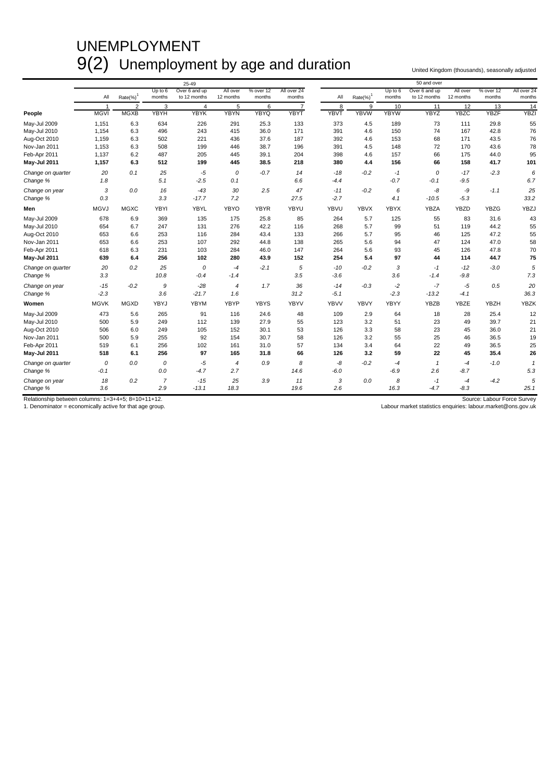### UNEMPLOYMENT 9(2) Unemployment by age and duration United Kingdom (thousands), seasonally adjusted

|                            |                |                |                       | 25-49            |                |             |                |             |              |             | 50 and over    |                |             |              |
|----------------------------|----------------|----------------|-----------------------|------------------|----------------|-------------|----------------|-------------|--------------|-------------|----------------|----------------|-------------|--------------|
|                            |                |                | Up to $6$             | Over 6 and up    | All over       | % over 12   | All over 24    |             |              | Up to 6     | Over 6 and up  | All over       | % over 12   | All over 24  |
|                            | All            | $Rate(\%)^1$   | months                | to 12 months     | 12 months      | months      | months         | All         | $Rate(\%)^1$ | months      | to 12 months   | 12 months      | months      | months       |
|                            | $\overline{1}$ | $\overline{2}$ | 3                     | $\overline{4}$   | 5              | 6           | $\overline{7}$ | 8           | 9            | 10          | 11             | 12             | 13          | 14           |
| People                     | <b>MGVI</b>    | <b>MGXB</b>    | YBYH                  | <b>YBYK</b>      | <b>YBYN</b>    | <b>YBYQ</b> | <b>YBYT</b>    | <b>YBVT</b> | <b>YBVW</b>  | <b>YBYW</b> | <b>YBYZ</b>    | <b>YBZC</b>    | <b>YBZF</b> | <b>YBZI</b>  |
| May-Jul 2009               | 1,151          | 6.3            | 634                   | 226              | 291            | 25.3        | 133            | 373         | 4.5          | 189         | 73             | 111            | 29.8        | 55           |
| May-Jul 2010               | 1,154          | 6.3            | 496                   | 243              | 415            | 36.0        | 171            | 391         | 4.6          | 150         | 74             | 167            | 42.8        | 76           |
| Aug-Oct 2010               | 1,159          | 6.3            | 502                   | 221              | 436            | 37.6        | 187            | 392         | 4.6          | 153         | 68             | 171            | 43.5        | 76           |
| Nov-Jan 2011               | 1,153          | 6.3            | 508                   | 199              | 446            | 38.7        | 196            | 391         | 4.5          | 148         | 72             | 170            | 43.6        | 78           |
| Feb-Apr 2011               | 1,137          | 6.2            | 487                   | 205              | 445            | 39.1        | 204            | 398         | 4.6          | 157         | 66             | 175            | 44.0        | 95           |
| May-Jul 2011               | 1,157          | 6.3            | 512                   | 199              | 445            | 38.5        | 218            | 380         | 4.4          | 156         | 66             | 158            | 41.7        | 101          |
| Change on quarter          | 20             | 0.1            | 25                    | $-5$             | 0              | $-0.7$      | 14             | $-18$       | $-0.2$       | $-1$        | 0              | $-17$          | $-2.3$      | 6            |
| Change %                   | 1.8            |                | 5.1                   | $-2.5$           | 0.1            |             | 6.6            | $-4.4$      |              | $-0.7$      | $-0.1$         | $-9.5$         |             | 6.7          |
| Change on year             | 3              | 0.0            | 16                    | $-43$            | 30             | 2.5         | 47             | $-11$       | $-0.2$       | 6           | -8             | -9             | $-1.1$      | 25           |
| Change %                   | 0.3            |                | 3.3                   | $-17.7$          | 7.2            |             | 27.5           | $-2.7$      |              | 4.1         | $-10.5$        | $-5.3$         |             | 33.2         |
| Men                        | <b>MGVJ</b>    | <b>MGXC</b>    | <b>YBYI</b>           | YBYL             | <b>YBYO</b>    | <b>YBYR</b> | YBYU           | YBVU        | <b>YBVX</b>  | <b>YBYX</b> | YBZA           | <b>YBZD</b>    | <b>YBZG</b> | YBZJ         |
| May-Jul 2009               | 678            | 6.9            | 369                   | 135              | 175            | 25.8        | 85             | 264         | 5.7          | 125         | 55             | 83             | 31.6        | 43           |
| May-Jul 2010               | 654            | 6.7            | 247                   | 131              | 276            | 42.2        | 116            | 268         | 5.7          | 99          | 51             | 119            | 44.2        | 55           |
| Aug-Oct 2010               | 653            | 6.6            | 253                   | 116              | 284            | 43.4        | 133            | 266         | 5.7          | 95          | 46             | 125            | 47.2        | 55           |
| Nov-Jan 2011               | 653            | 6.6            | 253                   | 107              | 292            | 44.8        | 138            | 265         | 5.6          | 94          | 47             | 124            | 47.0        | 58           |
| Feb-Apr 2011               | 618            | 6.3            | 231                   | 103              | 284            | 46.0        | 147            | 264         | 5.6          | 93          | 45             | 126            | 47.8        | 70           |
| May-Jul 2011               | 639            | 6.4            | 256                   | 102              | 280            | 43.9        | 152            | 254         | 5.4          | 97          | 44             | 114            | 44.7        | 75           |
| Change on quarter          | 20             | 0.2            | 25                    | 0                | $-4$           | $-2.1$      | 5              | $-10$       | $-0.2$       | 3           | $-1$           | $-12$          | $-3.0$      | 5            |
| Change %                   | 3.3            |                | 10.8                  | $-0.4$           | $-1.4$         |             | 3.5            | $-3.6$      |              | 3.6         | $-1.4$         | $-9.8$         |             | 7.3          |
| Change on year             | $-15$          | $-0.2$         | 9                     | $-28$            | $\overline{4}$ | 1.7         | 36             | $-14$       | $-0.3$       | $-2$        | $-7$           | $-5$           | 0.5         | 20           |
| Change %                   | $-2.3$         |                | 3.6                   | $-21.7$          | 1.6            |             | 31.2           | $-5.1$      |              | $-2.3$      | $-13.2$        | $-4.1$         |             | 36.3         |
| Women                      | <b>MGVK</b>    | <b>MGXD</b>    | YBYJ                  | <b>YBYM</b>      | <b>YBYP</b>    | <b>YBYS</b> | <b>YBYV</b>    | <b>YBVV</b> | <b>YBVY</b>  | <b>YBYY</b> | YBZB           | <b>YBZE</b>    | <b>YBZH</b> | <b>YBZK</b>  |
| May-Jul 2009               | 473            | 5.6            | 265                   | 91               | 116            | 24.6        | 48             | 109         | 2.9          | 64          | 18             | 28             | 25.4        | 12           |
| May-Jul 2010               | 500            | 5.9            | 249                   | 112              | 139            | 27.9        | 55             | 123         | 3.2          | 51          | 23             | 49             | 39.7        | 21           |
| Aug-Oct 2010               | 506            | 6.0            | 249                   | 105              | 152            | 30.1        | 53             | 126         | 3.3          | 58          | 23             | 45             | 36.0        | 21           |
| Nov-Jan 2011               | 500            | 5.9            | 255                   | 92               | 154            | 30.7        | 58             | 126         | 3.2          | 55          | 25             | 46             | 36.5        | 19           |
| Feb-Apr 2011               | 519            | 6.1            | 256                   | 102              | 161            | 31.0        | 57             | 134         | 3.4          | 64          | 22             | 49             | 36.5        | 25           |
| May-Jul 2011               | 518            | 6.1            | 256                   | 97               | 165            | 31.8        | 66             | 126         | 3.2          | 59          | 22             | 45             | 35.4        | 26           |
| Change on quarter          | $\Omega$       | 0.0            | 0                     | $-5$             | 4              | 0.9         | 8              | -8          | $-0.2$       | $-4$        | $\mathbf{1}$   | $-4$           | $-1.0$      | $\mathbf{1}$ |
| Change %                   | $-0.1$         |                | 0.0                   | $-4.7$           | 2.7            |             | 14.6           | $-6.0$      |              | $-6.9$      | 2.6            | $-8.7$         |             | 5.3          |
| Change on year<br>Change % | 18<br>3.6      | 0.2            | $\overline{7}$<br>2.9 | $-15$<br>$-13.1$ | 25<br>18.3     | 3.9         | 11<br>19.6     | 3<br>2.6    | 0.0          | 8<br>16.3   | $-1$<br>$-4.7$ | $-4$<br>$-8.3$ | $-4.2$      | 5<br>25.1    |
|                            |                |                |                       |                  |                |             |                |             |              |             |                |                |             |              |

Relationship between columns: 1=3+4+5; 8=10+11+12.<br>
1. Denominator = economically active for that age group.<br>
1. Denominator = economically active for that age group.<br>
Uabour market statistics enquiries: labour market @ons

Labour market statistics enquiries: labour.market@ons.gov.uk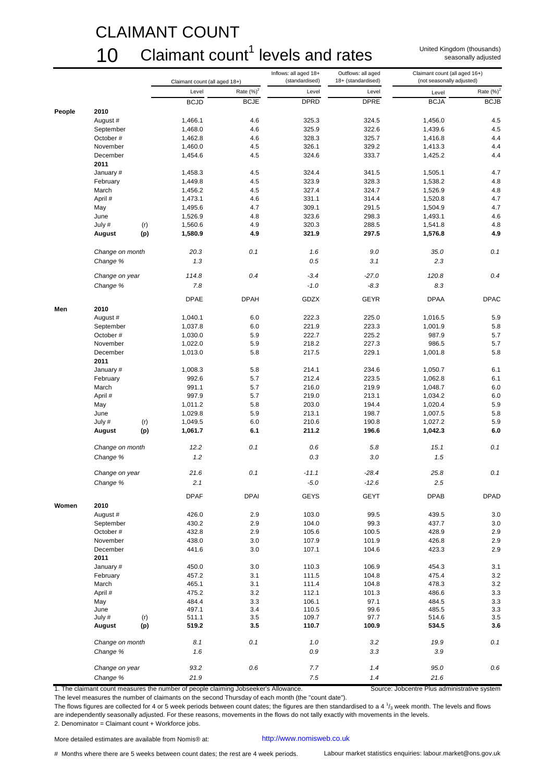### CLAIMANT COUNT

### $10$  Claimant count<sup>1</sup> levels and rates

United Kingdom (thousands) seasonally adjusted

|        |                 | Claimant count (all aged 18+) |               | Inflows: all aged 18+<br>(standardised) | Outflows: all aged<br>18+ (standardised) | Claimant count (all aged 16+)<br>(not seasonally adjusted) |               |
|--------|-----------------|-------------------------------|---------------|-----------------------------------------|------------------------------------------|------------------------------------------------------------|---------------|
|        |                 | Level                         | Rate $(\%)^2$ | Level                                   | Level                                    | Level                                                      | Rate $(\%)^2$ |
|        |                 | <b>BCJD</b>                   | <b>BCJE</b>   | <b>DPRD</b>                             | <b>DPRE</b>                              | <b>BCJA</b>                                                | <b>BCJB</b>   |
| People | 2010            |                               |               |                                         |                                          |                                                            |               |
|        | August #        | 1,466.1                       | 4.6           | 325.3                                   | 324.5                                    | 1,456.0                                                    | 4.5           |
|        | September       | 1,468.0                       | 4.6           | 325.9                                   | 322.6                                    | 1,439.6                                                    | 4.5           |
|        | October#        | 1,462.8                       | 4.6           | 328.3                                   | 325.7                                    | 1,416.8                                                    | 4.4           |
|        | November        | 1,460.0                       | 4.5           | 326.1                                   | 329.2                                    | 1,413.3                                                    | 4.4           |
|        | December        | 1,454.6                       | 4.5           | 324.6                                   | 333.7                                    | 1,425.2                                                    | 4.4           |
|        | 2011            |                               |               |                                         |                                          |                                                            |               |
|        |                 | 1,458.3                       |               |                                         |                                          |                                                            | 4.7           |
|        | January #       |                               | 4.5           | 324.4                                   | 341.5                                    | 1,505.1                                                    |               |
|        | February        | 1,449.8                       | 4.5           | 323.9                                   | 328.3                                    | 1,538.2                                                    | 4.8           |
|        | March           | 1,456.2                       | 4.5           | 327.4                                   | 324.7                                    | 1,526.9                                                    | 4.8           |
|        | April #         | 1,473.1                       | 4.6           | 331.1                                   | 314.4                                    | 1,520.8                                                    | 4.7           |
|        | May             | 1,495.6                       | 4.7           | 309.1                                   | 291.5                                    | 1,504.9                                                    | 4.7           |
|        | June            | 1,526.9                       | 4.8           | 323.6                                   | 298.3                                    | 1,493.1                                                    | 4.6           |
|        | July #<br>(r)   | 1,560.6                       | 4.9           | 320.3                                   | 288.5                                    | 1,541.8                                                    | 4.8           |
|        | (p)<br>August   | 1,580.9                       | 4.9           | 321.9                                   | 297.5                                    | 1,576.8                                                    | 4.9           |
|        | Change on month | 20.3                          | 0.1           | 1.6                                     | 9.0                                      | 35.0                                                       | 0.1           |
|        | Change %        | 1.3                           |               | 0.5                                     | 3.1                                      | 2.3                                                        |               |
|        | Change on year  | 114.8                         | 0.4           | $-3.4$                                  | $-27.0$                                  | 120.8                                                      | 0.4           |
|        | Change %        | 7.8                           |               | $-1.0$                                  | $-8.3$                                   | 8.3                                                        |               |
|        |                 | <b>DPAE</b>                   | <b>DPAH</b>   | GDZX                                    | <b>GEYR</b>                              | <b>DPAA</b>                                                | <b>DPAC</b>   |
| Men    | 2010            |                               |               |                                         |                                          |                                                            |               |
|        | August #        | 1,040.1                       | 6.0           | 222.3                                   | 225.0                                    | 1,016.5                                                    | 5.9           |
|        | September       | 1,037.8                       | 6.0           | 221.9                                   | 223.3                                    | 1,001.9                                                    | 5.8           |
|        | October#        | 1,030.0                       | 5.9           | 222.7                                   | 225.2                                    | 987.9                                                      | 5.7           |
|        | November        | 1,022.0                       | 5.9           | 218.2                                   | 227.3                                    | 986.5                                                      | 5.7           |
|        | December        | 1,013.0                       | 5.8           | 217.5                                   | 229.1                                    | 1,001.8                                                    | 5.8           |
|        | 2011            |                               | 5.8           | 214.1                                   | 234.6                                    |                                                            | 6.1           |
|        | January #       | 1,008.3                       |               |                                         |                                          | 1,050.7                                                    |               |
|        | February        | 992.6                         | 5.7           | 212.4                                   | 223.5                                    | 1,062.8                                                    | 6.1           |
|        | March           | 991.1                         | 5.7           | 216.0                                   | 219.9                                    | 1,048.7                                                    | 6.0           |
|        | April #         | 997.9                         | 5.7           | 219.0                                   | 213.1                                    | 1,034.2                                                    | 6.0           |
|        | May             | 1,011.2                       | 5.8           | 203.0                                   | 194.4                                    | 1,020.4                                                    | 5.9           |
|        | June            | 1,029.8                       | 5.9           | 213.1                                   | 198.7                                    | 1,007.5                                                    | 5.8           |
|        | July #<br>(r)   | 1,049.5                       | 6.0           | 210.6                                   | 190.8                                    | 1,027.2                                                    | 5.9           |
|        | (p)<br>August   | 1,061.7                       | 6.1           | 211.2                                   | 196.6                                    | 1,042.3                                                    | 6.0           |
|        | Change on month | 12.2                          | 0.1           | 0.6                                     | 5.8                                      | 15.1                                                       | 0.1           |
|        | Change %        | 1.2                           |               | 0.3                                     | 3.0                                      | 1.5                                                        |               |
|        |                 |                               |               |                                         |                                          |                                                            |               |
|        | Change on year  | 21.6                          | 0.1           | $-11.1$                                 | $-28.4$                                  | 25.8                                                       | 0.1           |
|        | Change %        | 2.1                           |               | $-5.0$                                  | $-12.6$                                  | 2.5                                                        |               |
|        |                 | <b>DPAF</b>                   | <b>DPAI</b>   | GEYS                                    | <b>GEYT</b>                              | <b>DPAB</b>                                                | <b>DPAD</b>   |
| Women  | 2010            |                               |               |                                         |                                          |                                                            |               |
|        | August #        | 426.0                         | 2.9           | 103.0                                   | 99.5                                     | 439.5                                                      | 3.0           |
|        | September       | 430.2                         | 2.9           | 104.0                                   | 99.3                                     | 437.7                                                      | 3.0           |
|        | October #       | 432.8                         | 2.9           | 105.6                                   | 100.5                                    | 428.9                                                      | 2.9           |
|        | November        | 438.0                         | 3.0           | 107.9                                   | 101.9                                    | 426.8                                                      | 2.9           |
|        | December        | 441.6                         | 3.0           | 107.1                                   | 104.6                                    | 423.3                                                      | 2.9           |
|        | 2011            |                               |               |                                         |                                          |                                                            |               |
|        | January #       | 450.0                         | 3.0           | 110.3                                   | 106.9                                    | 454.3                                                      | 3.1           |
|        | February        | 457.2                         | 3.1           | 111.5                                   | 104.8                                    | 475.4                                                      | 3.2           |
|        | March           | 465.1                         | 3.1           | 111.4                                   | 104.8                                    | 478.3                                                      | 3.2           |
|        | April #         | 475.2                         | 3.2           | 112.1                                   | 101.3                                    | 486.6                                                      | 3.3           |
|        | May             | 484.4                         | 3.3           | 106.1                                   | 97.1                                     | 484.5                                                      | 3.3           |
|        | June            | 497.1                         | 3.4           | 110.5                                   | 99.6                                     | 485.5                                                      | 3.3           |
|        | July #<br>(r)   | 511.1                         | 3.5           | 109.7                                   | 97.7                                     | 514.6                                                      | $3.5\,$       |
|        | (p)<br>August   | 519.2                         | 3.5           | 110.7                                   | 100.9                                    | 534.5                                                      | 3.6           |
|        | Change on month | 8.1                           | 0.1           | 1.0                                     | 3.2                                      | 19.9                                                       | 0.1           |
|        | Change %        | 1.6                           |               | 0.9                                     | 3.3                                      | 3.9                                                        |               |
|        | Change on year  | 93.2                          | 0.6           | 7.7                                     | 1.4                                      | 95.0                                                       | 0.6           |
|        |                 |                               |               |                                         |                                          |                                                            |               |
|        | Change %        | 21.9                          |               | $7.5\,$                                 | 1.4                                      | 21.6                                                       |               |

1. The claimant count measures the number of people claiming Jobseeker's Allowance. Source: Jobcentre Plus administrative system

The level measures the number of claimants on the second Thursday of each month (the "count date"). The flows figures are collected for 4 or 5 week periods between count dates; the figures are then standardised to a 4  $^{\prime\prime}_3$  week month. The levels and flows are independently seasonally adjusted. For these reasons, movements in the flows do not tally exactly with movements in the levels.

2. Denominator = Claimant count + Workforce jobs.

More detailed estimates are available from Nomis® at: [http://www.nomisweb.co.uk](http://www.nomisweb.co.uk/)

# Months where there are 5 weeks between count dates; the rest are 4 week periods. Labour market statistics enquiries: labour.market@ons.gov.uk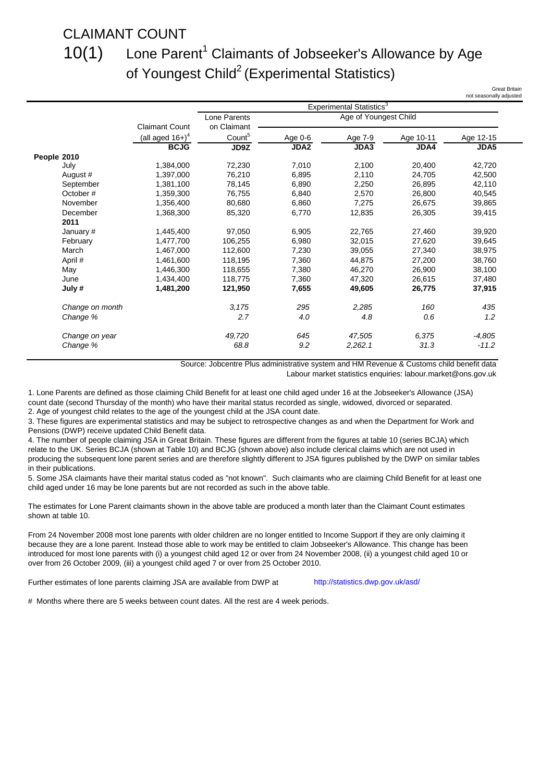### CLAIMANT COUNT

### 10(1)

### Lone Parent<sup>1</sup> Claimants of Jobseeker's Allowance by Age of Youngest Child<sup>2</sup> (Experimental Statistics)

Great Britain sonally adiusted

|                 |                                |                    |             | Experimental Statistics <sup>3</sup> |           |             |
|-----------------|--------------------------------|--------------------|-------------|--------------------------------------|-----------|-------------|
|                 |                                | Lone Parents       |             | Age of Youngest Child                |           |             |
|                 | <b>Claimant Count</b>          | on Claimant        |             |                                      |           |             |
|                 | (all aged $16+$ ) <sup>4</sup> | Count <sup>5</sup> | Age 0-6     | Age 7-9                              | Age 10-11 | Age 12-15   |
|                 | <b>BCJG</b>                    | JD9Z               | <b>JDA2</b> | JDA3                                 | JDA4      | <b>JDA5</b> |
| People 2010     |                                |                    |             |                                      |           |             |
| July            | 1,384,000                      | 72,230             | 7,010       | 2,100                                | 20,400    | 42,720      |
| August #        | 1,397,000                      | 76,210             | 6,895       | 2,110                                | 24,705    | 42.500      |
| September       | 1,381,100                      | 78,145             | 6,890       | 2,250                                | 26,895    | 42,110      |
| October#        | 1,359,300                      | 76,755             | 6,840       | 2,570                                | 26,800    | 40,545      |
| November        | 1,356,400                      | 80,680             | 6,860       | 7,275                                | 26,675    | 39,865      |
| December        | 1,368,300                      | 85,320             | 6,770       | 12,835                               | 26,305    | 39,415      |
| 2011            |                                |                    |             |                                      |           |             |
| January #       | 1,445,400                      | 97,050             | 6,905       | 22,765                               | 27,460    | 39,920      |
| February        | 1,477,700                      | 106,255            | 6,980       | 32,015                               | 27,620    | 39,645      |
| March           | 1,467,000                      | 112,600            | 7,230       | 39,055                               | 27,340    | 38,975      |
| April #         | 1,461,600                      | 118,195            | 7,360       | 44,875                               | 27,200    | 38,760      |
| May             | 1,446,300                      | 118,655            | 7,380       | 46,270                               | 26,900    | 38,100      |
| June            | 1.434.400                      | 118,775            | 7,360       | 47,320                               | 26,615    | 37,480      |
| July #          | 1,481,200                      | 121,950            | 7,655       | 49,605                               | 26,775    | 37,915      |
| Change on month |                                | 3,175              | 295         | 2,285                                | 160       | 435         |
| Change %        |                                | 2.7                | 4.0         | 4.8                                  | 0.6       | 1.2         |
| Change on year  |                                | 49,720             | 645         | 47,505                               | 6,375     | $-4,805$    |
| Change %        |                                | 68.8               | 9.2         | 2,262.1                              | 31.3      | $-11.2$     |

Source: Jobcentre Plus administrative system and HM Revenue & Customs child benefit data

Labour market statistics enquiries: labour.market@ons.gov.uk

1. Lone Parents are defined as those claiming Child Benefit for at least one child aged under 16 at the Jobseeker's Allowance (JSA) count date (second Thursday of the month) who have their marital status recorded as single, widowed, divorced or separated. 2. Age of youngest child relates to the age of the youngest child at the JSA count date.

3. These figures are experimental statistics and may be subject to retrospective changes as and when the Department for Work and Pensions (DWP) receive updated Child Benefit data.

4. The number of people claiming JSA in Great Britain. These figures are different from the figures at table 10 (series BCJA) which relate to the UK. Series BCJA (shown at Table 10) and BCJG (shown above) also include clerical claims which are not used in producing the subsequent lone parent series and are therefore slightly different to JSA figures published by the DWP on similar tables in their publications.

5. Some JSA claimants have their marital status coded as "not known". Such claimants who are claiming Child Benefit for at least one child aged under 16 may be lone parents but are not recorded as such in the above table.

The estimates for Lone Parent claimants shown in the above table are produced a month later than the Claimant Count estimates shown at table 10.

From 24 November 2008 most lone parents with older children are no longer entitled to Income Support if they are only claiming it because they are a lone parent. Instead those able to work may be entitled to claim Jobseeker's Allowance. This change has been introduced for most lone parents with (i) a youngest child aged 12 or over from 24 November 2008, (ii) a youngest child aged 10 or over from 26 October 2009, (iii) a youngest child aged 7 or over from 25 October 2010.

Further estimates of lone parents claiming JSA are available from DWP at

<http://statistics.dwp.gov.uk/asd/>

# Months where there are 5 weeks between count dates. All the rest are 4 week periods.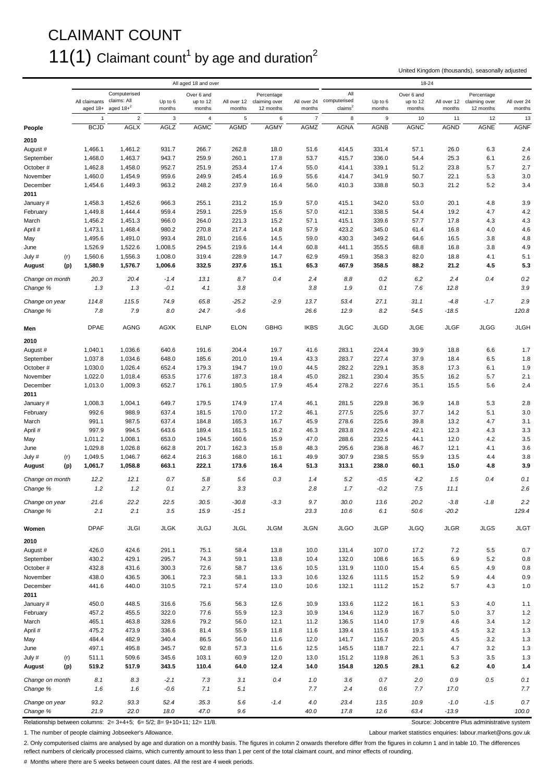### CLAIMANT COUNT  $11(1)$  Claimant count<sup>1</sup> by age and duration<sup>2</sup>

United Kingdom (thousands), seasonally adjusted

|                             |                           |                                             |                    | All aged 18 and over             |                       |                                          |                |                                                        |                     | 18-24                            |                       |                                          |                       |
|-----------------------------|---------------------------|---------------------------------------------|--------------------|----------------------------------|-----------------------|------------------------------------------|----------------|--------------------------------------------------------|---------------------|----------------------------------|-----------------------|------------------------------------------|-----------------------|
|                             | All claimants<br>aged 18+ | Computerised<br>claims: All<br>aged $18+^2$ | Up to 6<br>months  | Over 6 and<br>up to 12<br>months | All over 12<br>months | Percentage<br>claiming over<br>12 months | months         | All<br>All over 24 computerised<br>claims <sup>2</sup> | Up to $6$<br>months | Over 6 and<br>up to 12<br>months | All over 12<br>months | Percentage<br>claiming over<br>12 months | All over 24<br>months |
|                             | $\overline{1}$            | $\overline{2}$                              | $\mathbf{3}$       | $\overline{4}$                   | 5                     | 6                                        | $\overline{7}$ | 8                                                      | 9                   | 10                               | 11                    | 12                                       | 13                    |
| People                      | <b>BCJD</b>               | <b>AGLX</b>                                 | <b>AGLZ</b>        | <b>AGMC</b>                      | <b>AGMD</b>           | <b>AGMY</b>                              | <b>AGMZ</b>    | <b>AGNA</b>                                            | <b>AGNB</b>         | <b>AGNC</b>                      | <b>AGND</b>           | <b>AGNE</b>                              | <b>AGNF</b>           |
| 2010                        |                           |                                             |                    |                                  |                       |                                          |                |                                                        |                     |                                  |                       |                                          |                       |
| August #                    | 1,466.1                   | 1,461.2                                     | 931.7              | 266.7                            | 262.8                 | 18.0                                     | 51.6           | 414.5                                                  | 331.4               | 57.1                             | 26.0                  | 6.3                                      | 2.4                   |
| September                   | 1,468.0                   | 1,463.7                                     | 943.7              | 259.9                            | 260.1                 | 17.8                                     | 53.7           | 415.7                                                  | 336.0               | 54.4                             | 25.3                  | 6.1                                      | 2.6                   |
| October#                    | 1,462.8                   | 1,458.0                                     | 952.7              | 251.9                            | 253.4                 | 17.4                                     | 55.0           | 414.1                                                  | 339.1               | 51.2                             | 23.8                  | 5.7                                      | 2.7                   |
| November                    | 1,460.0                   | 1,454.9                                     | 959.6              | 249.9                            | 245.4                 | 16.9                                     | 55.6           | 414.7                                                  | 341.9               | 50.7                             | 22.1                  | 5.3                                      | 3.0                   |
| December<br>2011            | 1,454.6                   | 1,449.3                                     | 963.2              | 248.2                            | 237.9                 | 16.4                                     | 56.0           | 410.3                                                  | 338.8               | 50.3                             | 21.2                  | 5.2                                      | 3.4                   |
| January #                   | 1,458.3                   | 1,452.6                                     | 966.3              | 255.1                            | 231.2                 | 15.9                                     | 57.0           | 415.1                                                  | 342.0               | 53.0                             | 20.1                  | 4.8                                      | 3.9                   |
| February                    | 1,449.8                   | 1,444.4                                     | 959.4              | 259.1                            | 225.9                 | 15.6                                     | 57.0           | 412.1                                                  | 338.5               | 54.4                             | 19.2                  | 4.7                                      | 4.2                   |
| March                       | 1,456.2                   | 1,451.3                                     | 966.0              | 264.0                            | 221.3                 | 15.2                                     | 57.1           | 415.1                                                  | 339.6               | 57.7                             | 17.8                  | 4.3                                      | 4.3                   |
| April #                     | 1,473.1                   | 1,468.4                                     | 980.2              | 270.8                            | 217.4                 | 14.8                                     | 57.9           | 423.2                                                  | 345.0               | 61.4                             | 16.8                  | 4.0                                      | 4.6                   |
| May                         | 1,495.6                   | 1,491.0                                     | 993.4              | 281.0                            | 216.6                 | 14.5                                     | 59.0           | 430.3                                                  | 349.2               | 64.6                             | 16.5                  | 3.8                                      | 4.8                   |
| June<br>July #<br>(r)       | 1,526.9<br>1,560.6        | 1,522.6<br>1,556.3                          | 1,008.5<br>1,008.0 | 294.5<br>319.4                   | 219.6<br>228.9        | 14.4<br>14.7                             | 60.8<br>62.9   | 441.1<br>459.1                                         | 355.5<br>358.3      | 68.8<br>82.0                     | 16.8<br>18.8          | 3.8<br>4.1                               | 4.9<br>5.1            |
| August<br>(p)               | 1,580.9                   | 1,576.7                                     | 1,006.6            | 332.5                            | 237.6                 | 15.1                                     | 65.3           | 467.9                                                  | 358.5               | 88.2                             | 21.2                  | 4.5                                      | 5.3                   |
|                             |                           |                                             |                    |                                  |                       |                                          |                |                                                        |                     |                                  |                       |                                          |                       |
| Change on month             | 20.3                      | 20.4                                        | $-1.4$             | 13.1                             | 8.7                   | 0.4                                      | 2.4            | 8.8                                                    | 0.2                 | 6.2                              | 2.4                   | 0.4                                      | 0.2                   |
| Change %                    | 1.3                       | 1.3                                         | $-0.1$             | 4.1                              | 3.8                   |                                          | 3.8            | 1.9                                                    | 0.1                 | 7.6                              | 12.8                  |                                          | 3.9                   |
| Change on year              | 114.8                     | 115.5                                       | 74.9               | 65.8                             | $-25.2$               | $-2.9$                                   | 13.7           | 53.4                                                   | 27.1                | 31.1                             | $-4.8$                | $-1.7$                                   | 2.9                   |
| Change %                    | 7.8                       | 7.9                                         | 8.0                | 24.7                             | $-9.6$                |                                          | 26.6           | 12.9                                                   | 8.2                 | 54.5                             | $-18.5$               |                                          | 120.8                 |
| Men                         | <b>DPAE</b>               | <b>AGNG</b>                                 | <b>AGXK</b>        | <b>ELNP</b>                      | <b>ELON</b>           | <b>GBHG</b>                              | <b>IKBS</b>    | <b>JLGC</b>                                            | <b>JLGD</b>         | <b>JLGE</b>                      | <b>JLGF</b>           | <b>JLGG</b>                              | <b>JLGH</b>           |
| 2010                        |                           |                                             |                    |                                  |                       |                                          |                |                                                        |                     |                                  |                       |                                          |                       |
| August #                    | 1,040.1                   | 1,036.6                                     | 640.6              | 191.6                            | 204.4                 | 19.7                                     | 41.6           | 283.1                                                  | 224.4               | 39.9                             | 18.8                  | 6.6                                      | 1.7                   |
| September                   | 1,037.8                   | 1,034.6                                     | 648.0              | 185.6                            | 201.0                 | 19.4                                     | 43.3           | 283.7                                                  | 227.4               | 37.9                             | 18.4                  | 6.5                                      | 1.8                   |
| October#<br>November        | 1,030.0<br>1,022.0        | 1,026.4<br>1,018.4                          | 652.4<br>653.5     | 179.3<br>177.6                   | 194.7<br>187.3        | 19.0<br>18.4                             | 44.5<br>45.0   | 282.2<br>282.1                                         | 229.1<br>230.4      | 35.8<br>35.5                     | 17.3<br>16.2          | 6.1<br>5.7                               | 1.9<br>2.1            |
| December                    | 1,013.0                   | 1,009.3                                     | 652.7              | 176.1                            | 180.5                 | 17.9                                     | 45.4           | 278.2                                                  | 227.6               | 35.1                             | 15.5                  | 5.6                                      | 2.4                   |
| 2011                        |                           |                                             |                    |                                  |                       |                                          |                |                                                        |                     |                                  |                       |                                          |                       |
| January #                   | 1,008.3                   | 1,004.1                                     | 649.7              | 179.5                            | 174.9                 | 17.4                                     | 46.1           | 281.5                                                  | 229.8               | 36.9                             | 14.8                  | 5.3                                      | 2.8                   |
| February                    | 992.6                     | 988.9                                       | 637.4              | 181.5                            | 170.0                 | 17.2                                     | 46.1           | 277.5                                                  | 225.6               | 37.7                             | 14.2                  | 5.1                                      | 3.0                   |
| March<br>April #            | 991.1<br>997.9            | 987.5<br>994.5                              | 637.4<br>643.6     | 184.8<br>189.4                   | 165.3<br>161.5        | 16.7<br>16.2                             | 45.9<br>46.3   | 278.6<br>283.8                                         | 225.6<br>229.4      | 39.8<br>42.1                     | 13.2<br>12.3          | 4.7<br>4.3                               | 3.1<br>3.3            |
| May                         | 1,011.2                   | 1,008.1                                     | 653.0              | 194.5                            | 160.6                 | 15.9                                     | 47.0           | 288.6                                                  | 232.5               | 44.1                             | 12.0                  | 4.2                                      | 3.5                   |
| June                        | 1,029.8                   | 1,026.8                                     | 662.8              | 201.7                            | 162.3                 | 15.8                                     | 48.3           | 295.6                                                  | 236.8               | 46.7                             | 12.1                  | 4.1                                      | 3.6                   |
| July #<br>(r)               | 1,049.5                   | 1,046.7                                     | 662.4              | 216.3                            | 168.0                 | 16.1                                     | 49.9           | 307.9                                                  | 238.5               | 55.9                             | 13.5                  | 4.4                                      | 3.8                   |
| August<br>(p)               | 1,061.7                   | 1,058.8                                     | 663.1              | 222.1                            | 173.6                 | 16.4                                     | 51.3           | 313.1                                                  | 238.0               | 60.1                             | 15.0                  | 4.8                                      | 3.9                   |
| Change on month             | 12.2                      | 12.1                                        | 0.7                | 5.8                              | 5.6                   | 0.3                                      | 1.4            | 5.2                                                    | $-0.5$              | 4.2                              | 1.5                   | 0.4                                      | 0.1                   |
| Change %                    | 1.2                       | 1.2                                         | 0.1                | 2.7                              | 3.3                   |                                          | 2.8            | 1.7                                                    | $-0.2$              | 7.5                              | 11.1                  |                                          | 2.6                   |
| Change on year              | 21.6                      | 22.2                                        | 22.5               | 30.5                             | $-30.8$               | $-3.3$                                   | 9.7            | 30.0                                                   | 13.6                | 20.2                             | $-3.8$                | $-1.8$                                   | 2.2                   |
| Change %                    | 2.1                       | 2.1                                         | 3.5                | 15.9                             | $-15.1$               |                                          | 23.3           | 10.6                                                   | 6.1                 | 50.6                             | $-20.2$               |                                          | 129.4                 |
| Women                       | <b>DPAF</b>               | JLGI                                        | <b>JLGK</b>        | <b>JLGJ</b>                      | JLGL                  | <b>JLGM</b>                              | <b>JLGN</b>    | <b>JLGO</b>                                            | <b>JLGP</b>         | <b>JLGQ</b>                      | <b>JLGR</b>           | <b>JLGS</b>                              | <b>JLGT</b>           |
| 2010                        |                           |                                             |                    |                                  |                       |                                          |                |                                                        |                     |                                  |                       |                                          |                       |
| August #                    | 426.0                     | 424.6                                       | 291.1              | 75.1                             | 58.4                  | 13.8                                     | 10.0           | 131.4                                                  | 107.0               | 17.2                             | 7.2                   | 5.5                                      | 0.7                   |
| September<br>October #      | 430.2<br>432.8            | 429.1<br>431.6                              | 295.7<br>300.3     | 74.3<br>72.6                     | 59.1<br>58.7          | 13.8<br>13.6                             | 10.4<br>10.5   | 132.0<br>131.9                                         | 108.6<br>110.0      | 16.5<br>15.4                     | 6.9                   | 5.2<br>4.9                               | 0.8<br>$0.8\,$        |
| November                    | 438.0                     | 436.5                                       | 306.1              | 72.3                             | 58.1                  | 13.3                                     | 10.6           | 132.6                                                  | 111.5               | 15.2                             | 6.5<br>5.9            | 4.4                                      | 0.9                   |
| December                    | 441.6                     | 440.0                                       | 310.5              | 72.1                             | 57.4                  | 13.0                                     | 10.6           | 132.1                                                  | 111.2               | 15.2                             | 5.7                   | 4.3                                      | 1.0                   |
| 2011<br>January #           | 450.0                     | 448.5                                       | 316.6              | 75.6                             | 56.3                  | 12.6                                     | 10.9           | 133.6                                                  | 112.2               | 16.1                             | 5.3                   | 4.0                                      | 1.1                   |
| February                    | 457.2                     | 455.5                                       | 322.0              | 77.6                             | 55.9                  | 12.3                                     | 10.9           | 134.6                                                  | 112.9               | 16.7                             | 5.0                   | 3.7                                      | 1.2                   |
| March                       | 465.1                     | 463.8                                       | 328.6              | 79.2                             | 56.0                  | 12.1                                     | 11.2           | 136.5                                                  | 114.0               | 17.9                             | 4.6                   | 3.4                                      | 1.2                   |
| April #                     | 475.2                     | 473.9                                       | 336.6              | 81.4                             | 55.9                  | 11.8                                     | 11.6           | 139.4                                                  | 115.6               | 19.3                             | 4.5                   | 3.2                                      | 1.3                   |
| May                         | 484.4                     | 482.9                                       | 340.4              | 86.5                             | 56.0                  | 11.6                                     | 12.0           | 141.7                                                  | 116.7               | 20.5                             | 4.5                   | 3.2                                      | $1.3$                 |
| June                        | 497.1                     | 495.8                                       | 345.7              | 92.8                             | 57.3                  | 11.6                                     | 12.5           | 145.5                                                  | 118.7               | 22.1                             | 4.7                   | 3.2                                      | $1.3$                 |
| July #<br>(r)               | 511.1                     | 509.6                                       | 345.6              | 103.1                            | 60.9                  | 12.0                                     | 13.0           | 151.2                                                  | 119.8               | 26.1                             | 5.3                   | 3.5                                      | 1.3                   |
| August<br>(p)               | 519.2                     | 517.9                                       | 343.5              | 110.4                            | 64.0                  | 12.4                                     | 14.0           | 154.8                                                  | 120.5               | 28.1                             | 6.2                   | 4.0                                      | $1.4$                 |
| Change on month<br>Change % | 8.1<br>1.6                | 8.3<br>1.6                                  | $-2.1$<br>$-0.6$   | 7.3<br>7.1                       | 3.1<br>5.1            | 0.4                                      | 1.0<br>7.7     | 3.6<br>2.4                                             | 0.7<br>0.6          | 2.0<br>7.7                       | $0.9\,$<br>17.0       | 0.5                                      | 0.1<br>7.7            |
| Change on year              | 93.2                      | 93.3                                        | 52.4               | 35.3                             | 5.6                   | $-1.4$                                   | 4.0            | 23.4                                                   | 13.5                | 10.9                             | $-1.0$                | $-1.5$                                   | $0.7\,$               |
| Change %                    | 21.9                      | 22.0                                        | 18.0               | 47.0                             | 9.6                   |                                          | 40.0           | 17.8                                                   | 12.6                | 63.4                             | $-13.9$               |                                          | 100.0                 |

Relationship between columns:  $2=3+4+5$ ; 6= 5/2; 8= 9+10+11; 12= 11/8. Source: Jobcentre Plus administrative system

1. The number of people claiming Jobseeker's Allowance. Labour market statistics enquiries: labour.market@ons.gov.uk

2. Only computerised claims are analysed by age and duration on a monthly basis. The figures in column 2 onwards therefore differ from the figures in column 1 and in table 10. The differences reflect numbers of clerically processed claims, which currently amount to less than 1 per cent of the total claimant count, and minor effects of rounding.

# Months where there are 5 weeks between count dates. All the rest are 4 week periods.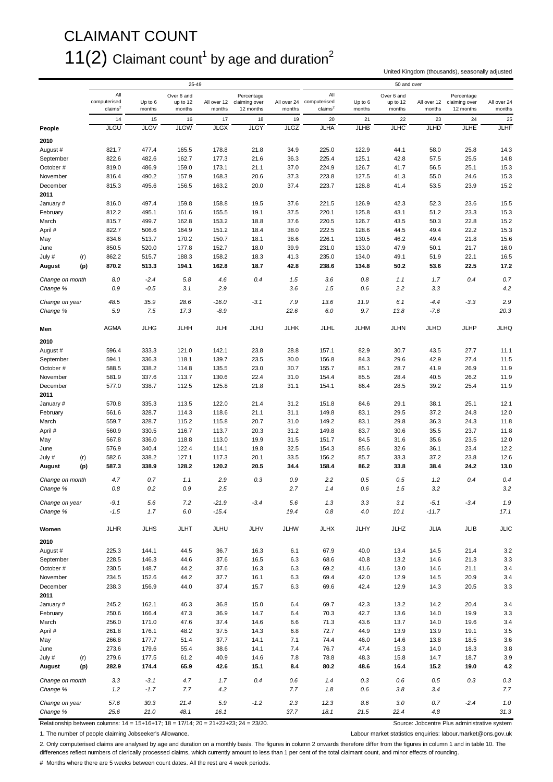### CLAIMANT COUNT  $11(2)$  Claimant count<sup>1</sup> by age and duration<sup>2</sup>

United Kingdom (thousands), seasonally adjusted

|                             |     |                                            |                   | 25-49                            |                       |                                          |                |                                                        |                   | 50 and over                      |                       |                                          |                       |
|-----------------------------|-----|--------------------------------------------|-------------------|----------------------------------|-----------------------|------------------------------------------|----------------|--------------------------------------------------------|-------------------|----------------------------------|-----------------------|------------------------------------------|-----------------------|
|                             |     | All<br>computerised<br>claims <sup>2</sup> | Up to 6<br>months | Over 6 and<br>up to 12<br>months | All over 12<br>months | Percentage<br>claiming over<br>12 months | months         | All<br>All over 24 computerised<br>claims <sup>2</sup> | Up to 6<br>months | Over 6 and<br>up to 12<br>months | All over 12<br>months | Percentage<br>claiming over<br>12 months | All over 24<br>months |
|                             |     | 14                                         | 15                | 16                               | 17                    | 18                                       | 19             | 20                                                     | 21                | 22                               | 23                    | 24                                       | 25                    |
| People                      |     | <b>JLGU</b>                                | JLGV              | <b>JLGW</b>                      | <b>JLGX</b>           | <b>JLGY</b>                              | <b>JLGZ</b>    | <b>JLHA</b>                                            | <b>JLHB</b>       | JLHC                             | <b>JLHD</b>           | <b>JLHE</b>                              | JLHF                  |
| 2010                        |     |                                            |                   |                                  |                       |                                          |                |                                                        |                   |                                  |                       |                                          |                       |
| August #                    |     | 821.7                                      | 477.4             | 165.5                            | 178.8                 | 21.8                                     | 34.9           | 225.0                                                  | 122.9             | 44.1                             | 58.0                  | 25.8                                     | 14.3                  |
| September                   |     | 822.6                                      | 482.6             | 162.7                            | 177.3                 | 21.6                                     | 36.3           | 225.4                                                  | 125.1             | 42.8                             | 57.5                  | 25.5                                     | 14.8                  |
| October#                    |     | 819.0                                      | 486.9             | 159.0                            | 173.1                 | 21.1                                     | 37.0           | 224.9                                                  | 126.7             | 41.7                             | 56.5                  | 25.1                                     | 15.3                  |
| November<br>December        |     | 816.4<br>815.3                             | 490.2<br>495.6    | 157.9<br>156.5                   | 168.3<br>163.2        | 20.6<br>20.0                             | 37.3<br>37.4   | 223.8<br>223.7                                         | 127.5<br>128.8    | 41.3<br>41.4                     | 55.0<br>53.5          | 24.6<br>23.9                             | 15.3<br>15.2          |
| 2011                        |     |                                            |                   |                                  |                       |                                          |                |                                                        |                   |                                  |                       |                                          |                       |
| January #                   |     | 816.0                                      | 497.4             | 159.8                            | 158.8                 | 19.5                                     | 37.6           | 221.5                                                  | 126.9             | 42.3                             | 52.3                  | 23.6                                     | 15.5                  |
| February                    |     | 812.2                                      | 495.1             | 161.6                            | 155.5                 | 19.1                                     | 37.5           | 220.1                                                  | 125.8             | 43.1                             | 51.2                  | 23.3                                     | 15.3                  |
| March                       |     | 815.7                                      | 499.7             | 162.8                            | 153.2                 | 18.8                                     | 37.6           | 220.5                                                  | 126.7             | 43.5                             | 50.3                  | 22.8                                     | 15.2                  |
| April #                     |     | 822.7                                      | 506.6             | 164.9                            | 151.2                 | 18.4                                     | 38.0           | 222.5                                                  | 128.6             | 44.5                             | 49.4                  | 22.2                                     | 15.3                  |
| May                         |     | 834.6                                      | 513.7             | 170.2                            | 150.7                 | 18.1                                     | 38.6           | 226.1                                                  | 130.5             | 46.2                             | 49.4                  | 21.8                                     | 15.6                  |
| June                        |     | 850.5                                      | 520.0             | 177.8                            | 152.7                 | 18.0                                     | 39.9           | 231.0                                                  | 133.0             | 47.9                             | 50.1                  | 21.7                                     | 16.0                  |
| July #                      | (r) | 862.2                                      | 515.7             | 188.3                            | 158.2                 | 18.3                                     | 41.3           | 235.0                                                  | 134.0             | 49.1                             | 51.9                  | 22.1                                     | 16.5                  |
| August                      | (p) | 870.2                                      | 513.3             | 194.1                            | 162.8                 | 18.7                                     | 42.8           | 238.6                                                  | 134.8             | 50.2                             | 53.6                  | 22.5                                     | 17.2                  |
| Change on month             |     | 8.0                                        | $-2.4$            | 5.8                              | 4.6                   | 0.4                                      | 1.5            | 3.6                                                    | 0.8               | 1.1                              | 1.7                   | 0.4                                      | 0.7                   |
| Change %                    |     | 0.9                                        | $-0.5$            | 3.1                              | 2.9                   |                                          | 3.6            | 1.5                                                    | 0.6               | 2.2                              | 3.3                   |                                          | 4.2                   |
|                             |     |                                            |                   |                                  |                       |                                          |                |                                                        |                   |                                  |                       |                                          |                       |
| Change on year<br>Change %  |     | 48.5<br>5.9                                | 35.9<br>7.5       | 28.6<br>17.3                     | $-16.0$<br>$-8.9$     | $-3.1$                                   | 7.9<br>22.6    | 13.6<br>6.0                                            | 11.9<br>9.7       | 6.1<br>13.8                      | $-4.4$<br>-7.6        | $-3.3$                                   | 2.9<br>20.3           |
|                             |     |                                            |                   |                                  |                       |                                          |                |                                                        |                   |                                  |                       |                                          |                       |
| Men                         |     | AGMA                                       | <b>JLHG</b>       | <b>JLHH</b>                      | JLHI                  | JLHJ                                     | <b>JLHK</b>    | JLHL                                                   | <b>JLHM</b>       | <b>JLHN</b>                      | <b>JLHO</b>           | JLHP                                     | <b>JLHQ</b>           |
| 2010                        |     |                                            |                   |                                  |                       |                                          |                |                                                        |                   |                                  |                       |                                          |                       |
| August #                    |     | 596.4                                      | 333.3             | 121.0                            | 142.1                 | 23.8                                     | 28.8           | 157.1                                                  | 82.9              | 30.7                             | 43.5                  | 27.7                                     | 11.1                  |
| September<br>October#       |     | 594.1<br>588.5                             | 336.3<br>338.2    | 118.1<br>114.8                   | 139.7<br>135.5        | 23.5<br>23.0                             | 30.0<br>30.7   | 156.8<br>155.7                                         | 84.3<br>85.1      | 29.6<br>28.7                     | 42.9<br>41.9          | 27.4<br>26.9                             | 11.5<br>11.9          |
| November                    |     | 581.9                                      | 337.6             | 113.7                            | 130.6                 | 22.4                                     | 31.0           | 154.4                                                  | 85.5              | 28.4                             | 40.5                  | 26.2                                     | 11.9                  |
| December                    |     | 577.0                                      | 338.7             | 112.5                            | 125.8                 | 21.8                                     | 31.1           | 154.1                                                  | 86.4              | 28.5                             | 39.2                  | 25.4                                     | 11.9                  |
| 2011                        |     |                                            |                   |                                  |                       |                                          |                |                                                        |                   |                                  |                       |                                          |                       |
| January #                   |     | 570.8                                      | 335.3             | 113.5                            | 122.0                 | 21.4                                     | 31.2           | 151.8                                                  | 84.6              | 29.1                             | 38.1                  | 25.1                                     | 12.1                  |
| February                    |     | 561.6                                      | 328.7             | 114.3                            | 118.6                 | 21.1                                     | 31.1           | 149.8                                                  | 83.1              | 29.5                             | 37.2                  | 24.8                                     | 12.0                  |
| March                       |     | 559.7                                      | 328.7             | 115.2                            | 115.8                 | 20.7                                     | 31.0           | 149.2                                                  | 83.1              | 29.8                             | 36.3                  | 24.3                                     | 11.8                  |
| April #                     |     | 560.9                                      | 330.5             | 116.7                            | 113.7                 | 20.3                                     | 31.2           | 149.8                                                  | 83.7              | 30.6                             | 35.5                  | 23.7                                     | 11.8                  |
| May                         |     | 567.8                                      | 336.0             | 118.8                            | 113.0                 | 19.9                                     | 31.5           | 151.7                                                  | 84.5              | 31.6                             | 35.6                  | 23.5                                     | 12.0                  |
| June<br>July #              | (r) | 576.9<br>582.6                             | 340.4<br>338.2    | 122.4<br>127.1                   | 114.1<br>117.3        | 19.8<br>20.1                             | 32.5<br>33.5   | 154.3<br>156.2                                         | 85.6<br>85.7      | 32.6<br>33.3                     | 36.1<br>37.2          | 23.4<br>23.8                             | 12.2<br>12.6          |
| August                      | (p) | 587.3                                      | 338.9             | 128.2                            | 120.2                 | 20.5                                     | 34.4           | 158.4                                                  | 86.2              | 33.8                             | 38.4                  | 24.2                                     | 13.0                  |
|                             |     |                                            |                   |                                  |                       |                                          |                |                                                        |                   |                                  |                       |                                          |                       |
| Change on month             |     | 4.7                                        | 0.7               | 1.1                              | 2.9                   | 0.3                                      | 0.9            | 2.2                                                    | 0.5               | 0.5                              | 1.2                   | 0.4                                      | 0.4                   |
| Change %                    |     | 0.8                                        | 0.2               | 0.9                              | 2.5                   |                                          | 2.7            | 1.4                                                    | 0.6               | 1.5                              | 3.2                   |                                          | 3.2                   |
| Change on year              |     | $-9.1$                                     | $5.6\,$           | 7.2                              | $-21.9$               | $-3.4$                                   | 5.6            | 1.3                                                    | 3.3               | 3.1                              | $-5.1$                | $-3.4$                                   | 1.9                   |
| Change %                    |     | $-1.5$                                     | 1.7               | 6.0                              | $-15.4$               |                                          | 19.4           | $0.8\,$                                                | 4.0               | 10.1                             | $-11.7$               |                                          | 17.1                  |
| Women                       |     | <b>JLHR</b>                                | <b>JLHS</b>       | JLHT                             | JLHU                  | JLHV                                     | <b>JLHW</b>    | <b>JLHX</b>                                            | JLHY              | JLHZ                             | JLIA                  | JLIB                                     | JLIC                  |
| 2010                        |     |                                            |                   |                                  |                       |                                          |                |                                                        |                   |                                  |                       |                                          |                       |
| August #                    |     | 225.3                                      | 144.1             | 44.5                             | 36.7                  | 16.3                                     | 6.1            | 67.9                                                   | 40.0              | 13.4                             | 14.5                  | 21.4                                     | 3.2                   |
| September                   |     | 228.5                                      | 146.3             | 44.6                             | 37.6                  | 16.5                                     | 6.3            | 68.6                                                   | 40.8              | 13.2                             | 14.6                  | 21.3                                     | 3.3                   |
| October #                   |     | 230.5                                      | 148.7             | 44.2                             | 37.6                  | 16.3                                     | 6.3            | 69.2                                                   | 41.6              | 13.0                             | 14.6                  | 21.1                                     | 3.4                   |
| November                    |     | 234.5<br>238.3                             | 152.6<br>156.9    | 44.2<br>44.0                     | 37.7<br>37.4          | 16.1<br>15.7                             | 6.3            | 69.4<br>69.6                                           | 42.0              | 12.9<br>12.9                     | 14.5<br>14.3          | 20.9<br>20.5                             | 3.4                   |
| December<br>2011            |     |                                            |                   |                                  |                       |                                          | 6.3            |                                                        | 42.4              |                                  |                       |                                          | 3.3                   |
| January #                   |     | 245.2                                      | 162.1             | 46.3                             | 36.8                  | 15.0                                     | 6.4            | 69.7                                                   | 42.3              | 13.2                             | 14.2                  | 20.4                                     | 3.4                   |
| February                    |     | 250.6                                      | 166.4             | 47.3                             | 36.9                  | 14.7                                     | 6.4            | 70.3                                                   | 42.7              | 13.6                             | 14.0                  | 19.9                                     | 3.3                   |
| March                       |     | 256.0                                      | 171.0             | 47.6                             | 37.4                  | 14.6                                     | 6.6            | 71.3                                                   | 43.6              | 13.7                             | 14.0                  | 19.6                                     | 3.4                   |
| April #                     |     | 261.8                                      | 176.1             | 48.2                             | 37.5                  | 14.3                                     | 6.8            | 72.7                                                   | 44.9              | 13.9                             | 13.9                  | 19.1                                     | 3.5                   |
| May                         |     | 266.8                                      | 177.7             | 51.4                             | 37.7                  | 14.1                                     | 7.1            | 74.4                                                   | 46.0              | 14.6                             | 13.8                  | 18.5                                     | 3.6                   |
| June                        |     | 273.6                                      | 179.6             | 55.4                             | 38.6                  | 14.1                                     | 7.4            | 76.7                                                   | 47.4              | 15.3                             | 14.0                  | 18.3                                     | 3.8                   |
| July #                      | (r) | 279.6                                      | 177.5             | 61.2                             | 40.9                  | 14.6                                     | 7.8            | 78.8                                                   | 48.3              | 15.8                             | 14.7                  | 18.7                                     | $3.9\,$               |
| August                      | (p) | 282.9                                      | 174.4             | 65.9                             | 42.6                  | 15.1                                     | 8.4            | 80.2                                                   | 48.6              | 16.4                             | 15.2                  | 19.0                                     | 4.2                   |
| Change on month<br>Change % |     | 3.3<br>1.2                                 | $-3.1$<br>$-1.7$  | 4.7<br>7.7                       | 1.7<br>4.2            | 0.4                                      | $0.6\,$<br>7.7 | 1.4<br>1.8                                             | $0.3\,$<br>0.6    | 0.6<br>3.8                       | 0.5<br>3.4            | 0.3                                      | $0.3\,$<br>7.7        |
|                             |     |                                            |                   |                                  |                       |                                          |                |                                                        |                   |                                  |                       |                                          |                       |
| Change on year<br>Change %  |     | 57.6<br>25.6                               | 30.3<br>21.0      | 21.4                             | 5.9                   | $-1.2$                                   | 2.3<br>37.7    | 12.3                                                   | 8.6<br>21.5       | 3.0                              | 0.7<br>4.8            | $-2.4$                                   | 1.0<br>31.3           |
|                             |     |                                            |                   | 48.1                             | 16.1                  |                                          |                | 18.1                                                   |                   | 22.4                             |                       |                                          |                       |

Relationship between columns: 14 = 15+16+17; 18 = 17/14; 20 = 21+22+23; 24 = 23/20. Source: Jobcentre Plus administrative system

1. The number of people claiming Jobseeker's Allowance. Labour market statistics enquiries: labour.market@ons.gov.uk

2. Only computerised claims are analysed by age and duration on a monthly basis. The figures in column 2 onwards therefore differ from the figures in column 1 and in table 10. The differences reflect numbers of clerically processed claims, which currently amount to less than 1 per cent of the total claimant count, and minor effects of rounding.

# Months where there are 5 weeks between count dates. All the rest are 4 week periods.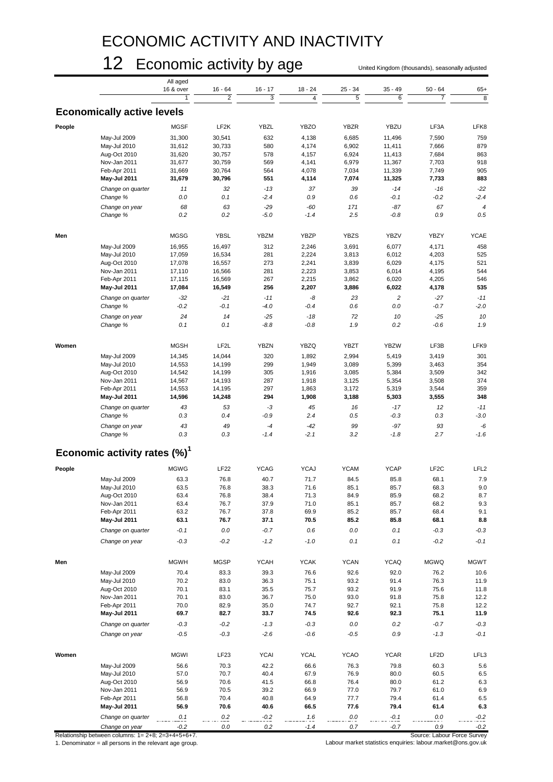### ECONOMIC ACTIVITY AND INACTIVITY

### 12 Economic activity by age United Kingdom (thousands), seasonally adjusted

|        |                                          | All aged    |                   |                |                 |             |                 |                   |                  |
|--------|------------------------------------------|-------------|-------------------|----------------|-----------------|-------------|-----------------|-------------------|------------------|
|        |                                          | 16 & over   | $16 - 64$         | $16 - 17$      | $18 - 24$       | $25 - 34$   | 35 - 49         | $50 - 64$         | $65+$            |
|        |                                          |             | $\overline{2}$    | 3              | $\overline{4}$  | 5           | 6               | $\overline{7}$    | 8                |
|        | <b>Economically active levels</b>        |             |                   |                |                 |             |                 |                   |                  |
|        |                                          |             |                   |                |                 |             |                 |                   |                  |
| People |                                          | <b>MGSF</b> | LF <sub>2</sub> K | YBZL           | <b>YBZO</b>     | <b>YBZR</b> | YBZU            | LF3A              | LFK8             |
|        | May-Jul 2009                             | 31,300      | 30,541            | 632            | 4,138           | 6,685       | 11,496          | 7,590             | 759              |
|        | May-Jul 2010                             | 31,612      | 30,733            | 580            | 4,174           | 6,902       | 11,411          | 7,666             | 879              |
|        | Aug-Oct 2010                             | 31,620      | 30,757            | 578            | 4,157           | 6,924       | 11,413          | 7,684             | 863              |
|        | Nov-Jan 2011                             | 31,677      | 30,759            | 569            | 4,141           | 6,979       | 11,367          | 7,703             | 918              |
|        | Feb-Apr 2011                             | 31,669      | 30,764            | 564            | 4,078           | 7,034       | 11,339          | 7,749             | 905              |
|        | May-Jul 2011                             | 31,679      | 30,796            | 551            | 4,114           | 7,074       | 11,325          | 7,733             | 883              |
|        |                                          |             |                   |                |                 |             |                 |                   |                  |
|        | Change on quarter                        | 11          | 32                | $-13$          | 37              | 39          | $-14$           | $-16$             | $-22$            |
|        | Change %                                 | 0.0         | 0.1               | $-2.4$         | 0.9             | 0.6         | -0.1            | $-0.2$            | $-2.4$           |
|        | Change on year                           | 68          | 63                | $-29$          | $-60$           | 171         | $-87$           | 67                | $\overline{4}$   |
|        | Change %                                 | 0.2         | 0.2               | $-5.0$         | $-1.4$          | 2.5         | $-0.8$          | 0.9               | 0.5              |
|        |                                          |             |                   |                |                 |             |                 |                   |                  |
| Men    |                                          | <b>MGSG</b> | <b>YBSL</b>       | <b>YBZM</b>    | YBZP            | <b>YBZS</b> | <b>YBZV</b>     | YBZY              | <b>YCAE</b>      |
|        | May-Jul 2009                             | 16,955      | 16,497            | 312            | 2,246           | 3,691       | 6,077           | 4,171             | 458              |
|        | May-Jul 2010                             | 17,059      | 16,534            | 281            | 2,224           | 3,813       | 6,012           | 4,203             | 525              |
|        | Aug-Oct 2010                             | 17,078      | 16,557            | 273            | 2,241           | 3,839       | 6,029           | 4,175             | 521              |
|        | Nov-Jan 2011                             | 17,110      | 16,566            | 281            | 2,223           | 3,853       | 6,014           | 4,195             | 544              |
|        | Feb-Apr 2011                             | 17,115      | 16,569            | 267            | 2,215           | 3,862       | 6,020           | 4,205             | 546              |
|        | May-Jul 2011                             | 17,084      | 16,549            | 256            | 2,207           | 3,886       | 6,022           | 4,178             | 535              |
|        |                                          |             |                   |                |                 |             |                 |                   |                  |
|        | Change on quarter                        | $-32$       | $-21$             | $-11$          | -8              | 23          | $\overline{c}$  | $-27$             | $-11$            |
|        | Change %                                 | $-0.2$      | $-0.1$            | $-4.0$         | $-0.4$          | 0.6         | 0.0             | $-0.7$            | $-2.0$           |
|        | Change on year                           | 24          | 14                | $-25$          | $-18$           | 72          | 10              | $-25$             | 10               |
|        | Change %                                 | 0.1         | 0.1               | $-8.8$         | $-0.8$          | 1.9         | 0.2             | $-0.6$            | 1.9              |
|        |                                          |             |                   |                |                 |             |                 |                   |                  |
| Women  |                                          | <b>MGSH</b> | LF2L              | <b>YBZN</b>    | <b>YBZQ</b>     | <b>YBZT</b> | <b>YBZW</b>     | LF3B              | LFK9             |
|        | May-Jul 2009                             | 14,345      | 14,044            | 320            | 1,892           | 2,994       | 5,419           | 3,419             | 301              |
|        | May-Jul 2010                             | 14,553      | 14,199            | 299            | 1,949           | 3,089       | 5,399           | 3,463             | 354              |
|        | Aug-Oct 2010                             | 14,542      | 14,199            | 305            | 1,916           | 3,085       | 5,384           | 3,509             | 342              |
|        | Nov-Jan 2011                             | 14,567      | 14,193            | 287            | 1,918           | 3,125       | 5,354           | 3,508             | 374              |
|        | Feb-Apr 2011                             | 14,553      | 14,195            | 297            | 1,863           | 3,172       | 5,319           | 3,544             | 359              |
|        | May-Jul 2011                             | 14,596      | 14,248            | 294            | 1,908           | 3,188       | 5,303           | 3,555             | 348              |
|        | Change on quarter                        | 43          | 53                | $-3$           | 45              | 16          | $-17$           | 12                | $-11$            |
|        | Change %                                 | 0.3         | 0.4               | $-0.9$         | 2.4             | 0.5         | $-0.3$          | 0.3               | $-3.0$           |
|        |                                          |             |                   |                |                 |             |                 |                   |                  |
|        | Change on year                           | 43<br>0.3   | 49<br>0.3         | $-4$<br>$-1.4$ | $-42$<br>$-2.1$ | 99<br>3.2   | $-97$<br>$-1.8$ | 93<br>2.7         | $-6$<br>$-1.6$   |
|        | Change %                                 |             |                   |                |                 |             |                 |                   |                  |
|        | Economic activity rates (%) <sup>1</sup> |             |                   |                |                 |             |                 |                   |                  |
| People |                                          | <b>MGWG</b> | <b>LF22</b>       | <b>YCAG</b>    | <b>YCAJ</b>     | <b>YCAM</b> | <b>YCAP</b>     | LF <sub>2</sub> C | LFL <sub>2</sub> |
|        |                                          |             |                   |                |                 |             |                 |                   |                  |
|        | May-Jul 2009                             | 63.3        | 76.8              | 40.7           | 71.7            | 84.5        | 85.8            | 68.1              | 7.9              |
|        | May-Jul 2010                             | 63.5        | 76.8              | 38.3           | 71.6            | 85.1        | 85.7            | 68.3              | 9.0              |
|        | Aug-Oct 2010                             | 63.4        | 76.8              | 38.4           | 71.3            | 84.9        | 85.9            | 68.2              | 8.7              |
|        | Nov-Jan 2011                             | 63.4        | 76.7              | 37.9           | 71.0            | 85.1        | 85.7            | 68.2              | 9.3              |
|        | Feb-Apr 2011                             | 63.2        | 76.7              | 37.8           | 69.9            | 85.2        | 85.7            | 68.4              | 9.1              |
|        | May-Jul 2011                             | 63.1        | 76.7              | 37.1           | 70.5            | 85.2        | 85.8            | 68.1              | 8.8              |
|        | Change on quarter                        | $-0.1$      | $0.0\,$           | $-0.7$         | 0.6             | $0.0\,$     | 0.1             | $-0.3$            | $-0.3$           |
|        | Change on year                           | $-0.3$      | $-0.2$            | $-1.2$         | $-1.0$          | 0.1         | 0.1             | $-0.2$            | $-0.1$           |
|        |                                          |             |                   |                |                 |             |                 |                   |                  |
| Men    |                                          | <b>MGWH</b> | <b>MGSP</b>       | <b>YCAH</b>    | <b>YCAK</b>     | <b>YCAN</b> | <b>YCAQ</b>     | <b>MGWQ</b>       | <b>MGWT</b>      |
|        | May-Jul 2009                             | 70.4        | 83.3              | 39.3           | 76.6            | 92.6        | 92.0            | 76.2              | 10.6             |
|        | May-Jul 2010                             | 70.2        | 83.0              | 36.3           | 75.1            | 93.2        | 91.4            | 76.3              | 11.9             |
|        |                                          |             |                   |                |                 |             |                 |                   |                  |
|        | Aug-Oct 2010                             | 70.1        | 83.1              | 35.5           | 75.7            | 93.2        | 91.9            | 75.6              | 11.8             |
|        | Nov-Jan 2011                             | 70.1        | 83.0              | 36.7           | 75.0            | 93.0        | 91.8            | 75.8              | 12.2             |
|        | Feb-Apr 2011                             | 70.0        | 82.9              | 35.0           | 74.7            | 92.7        | 92.1            | 75.8              | 12.2             |
|        | May-Jul 2011                             | 69.7        | 82.7              | 33.7           | 74.5            | 92.6        | 92.3            | 75.1              | 11.9             |
|        | Change on quarter                        | $-0.3$      | $-0.2$            | $-1.3$         | $-0.3$          | $0.0\,$     | $0.2\,$         | $-0.7$            | $-0.3$           |
|        | Change on year                           | $-0.5$      | $-0.3$            | $-2.6$         | $-0.6$          | -0.5        | 0.9             | $-1.3$            | $-0.1$           |
|        |                                          |             |                   |                |                 |             |                 |                   |                  |
| Women  |                                          | <b>MGWI</b> | LF23              | <b>YCAI</b>    | <b>YCAL</b>     | <b>YCAO</b> | <b>YCAR</b>     | LF <sub>2</sub> D | LFL3             |
|        | May-Jul 2009                             | 56.6        | 70.3              | 42.2           | 66.6            | 76.3        | 79.8            | 60.3              | 5.6              |
|        | May-Jul 2010                             | 57.0        | 70.7              | 40.4           | 67.9            | 76.9        | 80.0            | 60.5              | 6.5              |
|        | Aug-Oct 2010                             | 56.9        | 70.6              | 41.5           | 66.8            | 76.4        | 80.0            | 61.2              | 6.3              |
|        | Nov-Jan 2011                             | 56.9        | 70.5              | 39.2           | 66.9            | 77.0        | 79.7            | 61.0              | 6.9              |
|        | Feb-Apr 2011                             | 56.8        | 70.4              | 40.8           | 64.9            | 77.7        | 79.4            | 61.4              | 6.5              |
|        | May-Jul 2011                             | 56.9        | 70.6              | 40.6           | 66.5            | 77.6        | 79.4            | 61.4              | 6.3              |
|        |                                          |             |                   |                |                 |             |                 |                   |                  |
|        | Change on quarter                        | 0.1         | Q.2               | $-0.2$         | 1.6             | 0.0         | $-0.1$          | 0.0               | $-0.2$           |
|        | Change on year                           | $-0.2$      | $0.0\,$           | $0.2\,$        | $-1.4$          | 0.7         | $-0.7$          | $0.9\,$           | $-0.2$           |

Relationship between columns:  $1 = 2+8$ ;  $2=3+4+5+6+7$ .<br>1. Denominator = all persons in the relevant age group.

1. Denominator = all persons in the relevant age group. Labour market statistics enquiries: labour.market@ons.gov.uk

Source: Labour Force Survey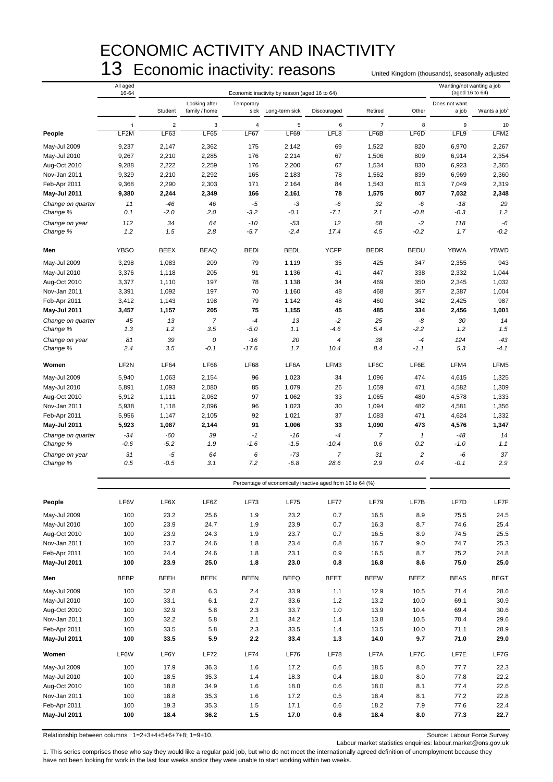### ECONOMIC ACTIVITY AND INACTIVITY 13 Economic inactivity: reasons United Kingdom (thousands), seasonally adjusted

|                               | All aged<br>16-64 |                |                                |                   | Economic inactivity by reason (aged 16 to 64)              |                        |                |                       | Wanting/not wanting a job<br>(aged 16 to 64) |                          |
|-------------------------------|-------------------|----------------|--------------------------------|-------------------|------------------------------------------------------------|------------------------|----------------|-----------------------|----------------------------------------------|--------------------------|
|                               |                   | Student        | Looking after<br>family / home | Temporary<br>sick | Long-term sick                                             | Discouraged            | Retired        | Other                 | Does not want<br>a job                       | Wants a job <sup>1</sup> |
|                               | 1                 | $\overline{2}$ | 3                              | $\overline{4}$    | 5                                                          | 6                      | $\overline{7}$ | 8                     | 9                                            | 10                       |
| People                        | LF <sub>2</sub> M | LF63           | LF65                           | LF67              | LF69                                                       | LFL8                   | LF6B           | LF6D                  | LFL9                                         | LFM <sub>2</sub>         |
| May-Jul 2009                  | 9,237             | 2,147          | 2,362                          | 175               | 2,142                                                      | 69                     | 1,522          | 820                   | 6,970                                        | 2,267                    |
| May-Jul 2010                  | 9,267             | 2,210          | 2,285                          | 176               | 2,214                                                      | 67                     | 1,506          | 809                   | 6,914                                        | 2,354                    |
| Aug-Oct 2010                  | 9,288             | 2,222          | 2,259                          | 176               | 2,200                                                      | 67                     | 1,534          | 830                   | 6,923                                        | 2,365                    |
| Nov-Jan 2011<br>Feb-Apr 2011  | 9,329<br>9,368    | 2,210<br>2,290 | 2,292<br>2,303                 | 165<br>171        | 2,183<br>2,164                                             | 78<br>84               | 1,562<br>1,543 | 839<br>813            | 6,969<br>7,049                               | 2,360<br>2,319           |
| <b>May-Jul 2011</b>           | 9,380             | 2,244          | 2,349                          | 166               | 2,161                                                      | 78                     | 1,575          | 807                   | 7,032                                        | 2,348                    |
| Change on quarter             | 11                | $-46$          | 46                             | $-5$              | -3                                                         | -6                     | 32             | -6                    | $-18$                                        | 29                       |
| Change %                      | 0.1               | $-2.0$         | 2.0                            | $-3.2$            | $-0.1$                                                     | $-7.1$                 | 2.1            | $-0.8$                | $-0.3$                                       | 1.2                      |
| Change on year<br>Change %    | 112<br>1.2        | 34<br>1.5      | 64<br>2.8                      | $-10$<br>$-5.7$   | $-53$<br>$-2.4$                                            | 12<br>17.4             | 68<br>4.5      | $-2$<br>$-0.2$        | 118<br>1.7                                   | -6<br>$-0.2$             |
| Men                           | <b>YBSO</b>       | <b>BEEX</b>    | <b>BEAQ</b>                    | <b>BEDI</b>       | <b>BEDL</b>                                                | <b>YCFP</b>            | <b>BEDR</b>    | <b>BEDU</b>           | <b>YBWA</b>                                  | <b>YBWD</b>              |
| May-Jul 2009                  | 3,298             | 1,083          | 209                            | 79                | 1,119                                                      | 35                     | 425            | 347                   | 2,355                                        | 943                      |
| May-Jul 2010                  | 3,376             | 1,118          | 205                            | 91                | 1,136                                                      | 41                     | 447            | 338                   | 2,332                                        | 1,044                    |
| Aug-Oct 2010                  | 3,377             | 1,110          | 197                            | 78                | 1,138                                                      | 34                     | 469            | 350                   | 2,345                                        | 1,032                    |
| Nov-Jan 2011                  | 3,391             | 1,092          | 197                            | 70                | 1,160                                                      | 48                     | 468            | 357                   | 2,387                                        | 1,004                    |
| Feb-Apr 2011                  | 3,412             | 1,143          | 198                            | 79                | 1,142                                                      | 48                     | 460            | 342                   | 2,425                                        | 987                      |
| <b>May-Jul 2011</b>           | 3,457             | 1,157          | 205                            | 75                | 1,155                                                      | 45                     | 485            | 334                   | 2,456                                        | 1,001                    |
| Change on quarter             | 45                | 13             | $\overline{7}$                 | $-4$              | 13                                                         | $-2$                   | 25             | -8                    | 30                                           | 14                       |
| Change %                      | 1.3               | 1.2            | 3.5                            | $-5.0$            | 1.1                                                        | -4.6                   | 5.4            | $-2.2$                | 1.2                                          | 1.5                      |
| Change on year<br>Change %    | 81<br>2.4         | 39<br>3.5      | 0<br>$-0.1$                    | $-16$<br>$-17.6$  | 20<br>1.7                                                  | $\overline{4}$<br>10.4 | 38<br>8.4      | $-4$<br>-1.1          | 124<br>5.3                                   | $-43$<br>$-4.1$          |
| Women                         | LF <sub>2N</sub>  | <b>LF64</b>    | <b>LF66</b>                    | <b>LF68</b>       | LF6A                                                       | LFM3                   | LF6C           | LF6E                  | LFM4                                         | LFM <sub>5</sub>         |
| May-Jul 2009                  | 5,940             | 1,063          | 2,154                          | 96                | 1,023                                                      | 34                     | 1,096          | 474                   | 4,615                                        | 1,325                    |
| May-Jul 2010                  | 5,891             | 1,093          | 2,080                          | 85                | 1,079                                                      | 26                     | 1,059          | 471                   | 4,582                                        | 1,309                    |
| Aug-Oct 2010                  | 5,912             | 1,111          | 2,062                          | 97                | 1,062                                                      | 33                     | 1,065          | 480                   | 4,578                                        | 1,333                    |
| Nov-Jan 2011                  | 5,938             | 1,118          | 2,096                          | 96                | 1,023                                                      | 30                     | 1,094          | 482                   | 4,581                                        | 1,356                    |
| Feb-Apr 2011                  | 5,956             | 1,147          | 2,105                          | 92                | 1,021                                                      | 37                     | 1,083          | 471                   | 4,624                                        | 1,332                    |
| <b>May-Jul 2011</b>           | 5,923<br>$-34$    | 1,087<br>-60   | 2,144<br>39                    | 91<br>$-1$        | 1,006<br>$-16$                                             | 33<br>$-4$             | 1,090<br>7     | 473                   | 4,576<br>-48                                 | 1,347<br>14              |
| Change on quarter<br>Change % | $-0.6$            | $-5.2$         | 1.9                            | $-1.6$            | $-1.5$                                                     | $-10.4$                | 0.6            | $\mathbf{1}$<br>0.2   | $-1.0$                                       | 1.1                      |
| Change on year<br>Change %    | 31<br>0.5         | -5<br>$-0.5$   | 64<br>3.1                      | 6<br>7.2          | $-73$<br>$-6.8$                                            | $\overline{7}$<br>28.6 | 31<br>2.9      | $\overline{c}$<br>0.4 | -6<br>$-0.1$                                 | 37<br>2.9                |
|                               |                   |                |                                |                   |                                                            |                        |                |                       |                                              |                          |
|                               |                   |                |                                |                   | Percentage of economically inactive aged from 16 to 64 (%) |                        |                |                       |                                              |                          |
| People                        | LF6V              | LF6X           | LF6Z                           | LF73              | <b>LF75</b>                                                | LF77                   | <b>LF79</b>    | LF7B                  | LF7D                                         | LF7F                     |
| May-Jul 2009                  | 100               | 23.2           | 25.6                           | 1.9               | 23.2                                                       | 0.7                    | 16.5           | 8.9                   | 75.5                                         | 24.5                     |
| May-Jul 2010                  | 100               | 23.9           | 24.7                           | 1.9               | 23.9                                                       | 0.7                    | 16.3           | 8.7                   | 74.6                                         | 25.4                     |
| Aug-Oct 2010                  | 100               | 23.9           | 24.3                           | 1.9               | 23.7                                                       | 0.7                    | 16.5           | 8.9                   | 74.5                                         | 25.5                     |
| Nov-Jan 2011                  | 100               | 23.7           | 24.6                           | 1.8               | 23.4                                                       | 0.8                    | 16.7           | 9.0                   | 74.7                                         | 25.3                     |
| Feb-Apr 2011<br>May-Jul 2011  | 100<br>100        | 24.4<br>23.9   | 24.6<br>25.0                   | 1.8<br>1.8        | 23.1<br>23.0                                               | 0.9<br>0.8             | 16.5<br>16.8   | 8.7<br>8.6            | 75.2<br>75.0                                 | 24.8<br>25.0             |
| Men                           | <b>BEBP</b>       | <b>BEEH</b>    | <b>BEEK</b>                    | <b>BEEN</b>       | <b>BEEQ</b>                                                | <b>BEET</b>            | <b>BEEW</b>    | <b>BEEZ</b>           | <b>BEAS</b>                                  | <b>BEGT</b>              |
| May-Jul 2009                  | 100               | 32.8           | 6.3                            | 2.4               | 33.9                                                       | 1.1                    | 12.9           | 10.5                  | 71.4                                         | 28.6                     |
| May-Jul 2010                  | 100               | 33.1           | 6.1                            | 2.7               | 33.6                                                       | 1.2                    | 13.2           | 10.0                  | 69.1                                         | 30.9                     |
| Aug-Oct 2010                  | 100               | 32.9           | 5.8                            | 2.3               | 33.7                                                       | 1.0                    | 13.9           | 10.4                  | 69.4                                         | 30.6                     |
| Nov-Jan 2011                  | 100               | 32.2           | 5.8                            | 2.1               | 34.2                                                       | 1.4                    | 13.8           | 10.5                  | 70.4                                         | 29.6                     |
| Feb-Apr 2011                  | 100               | 33.5           | 5.8                            | 2.3               | 33.5                                                       | 1.4                    | 13.5           | 10.0                  | 71.1                                         | 28.9                     |
| May-Jul 2011                  | 100               | 33.5           | 5.9                            | $2.2\,$           | 33.4                                                       | 1.3                    | 14.0           | 9.7                   | 71.0                                         | 29.0                     |
| Women                         | LF6W              | LF6Y           | <b>LF72</b>                    | <b>LF74</b>       | <b>LF76</b>                                                | LF78                   | LF7A           | LF7C                  | LF7E                                         | LF7G                     |
| May-Jul 2009                  | 100               | 17.9           | 36.3                           | 1.6               | 17.2                                                       | 0.6                    | 18.5           | 8.0                   | 77.7                                         | 22.3                     |
| May-Jul 2010                  | 100               | 18.5           | 35.3                           | 1.4               | 18.3                                                       | 0.4                    | 18.0           | 8.0                   | 77.8                                         | 22.2                     |
| Aug-Oct 2010<br>Nov-Jan 2011  | 100<br>100        | 18.8<br>18.8   | 34.9<br>35.3                   | 1.6<br>1.6        | 18.0<br>17.2                                               | 0.6<br>0.5             | 18.0<br>18.4   | 8.1<br>8.1            | 77.4<br>77.2                                 | 22.6<br>22.8             |
| Feb-Apr 2011                  | 100               | 19.3           | 35.3                           | 1.5               | 17.1                                                       | 0.6                    | 18.2           | 7.9                   | 77.6                                         | 22.4                     |
| <b>May-Jul 2011</b>           | 100               | 18.4           | 36.2                           | 1.5               | 17.0                                                       | 0.6                    | 18.4           | 8.0                   | 77.3                                         | 22.7                     |

Relationship between columns : 1=2+3+4+5+6+7+8; 1=9+10. Source: Labour Force Survey

Labour market statistics enquiries: labour.market@ons.gov.uk

1. This series comprises those who say they would like a regular paid job, but who do not meet the internationally agreed definition of unemployment because they have not been looking for work in the last four weeks and/or they were unable to start working within two weeks.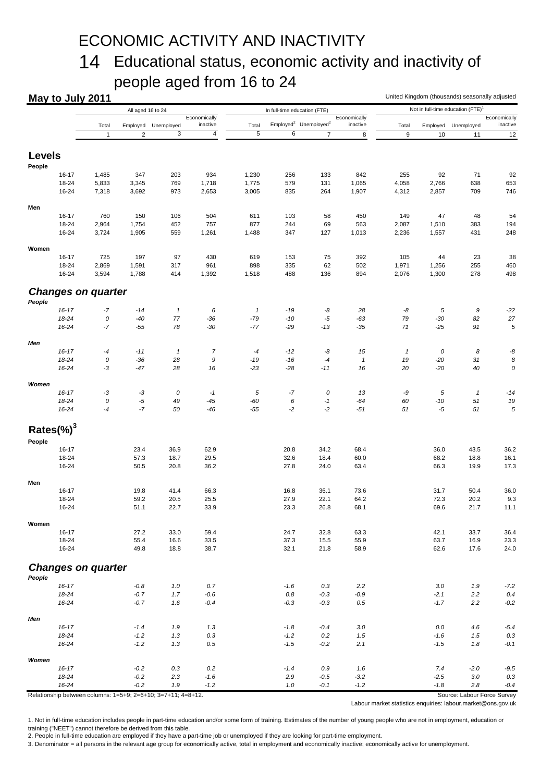### ECONOMIC ACTIVITY AND INACTIVITY

### 14 Educational status, economic activity and inactivity of people aged from 16 to 24

|                | May to July 2011 |                           |                   |                            |                          |                |                |                                               |                          | United Kingdom (thousands) seasonally adjusted |                |                                               |                          |
|----------------|------------------|---------------------------|-------------------|----------------------------|--------------------------|----------------|----------------|-----------------------------------------------|--------------------------|------------------------------------------------|----------------|-----------------------------------------------|--------------------------|
|                |                  |                           | All aged 16 to 24 |                            |                          |                |                | In full-time education (FTE)                  |                          |                                                |                | Not in full-time education (FTE) <sup>1</sup> |                          |
|                |                  | Total                     | Employed          | Unemployed                 | Economically<br>inactive | Total          |                | Employed <sup>2</sup> Unemployed <sup>2</sup> | Economically<br>inactive | Total                                          | Employed       | Unemployed                                    | Economically<br>inactive |
|                |                  | $\mathbf{1}$              | $\overline{2}$    | 3                          | $\overline{4}$           | 5              | 6              | $\overline{7}$                                | 8                        | 9                                              | 10             | 11                                            | 12                       |
| Levels         |                  |                           |                   |                            |                          |                |                |                                               |                          |                                                |                |                                               |                          |
| People         |                  |                           |                   |                            |                          |                |                |                                               |                          |                                                |                |                                               |                          |
|                | 16-17            | 1,485                     | 347               | 203                        | 934                      | 1,230          | 256            | 133                                           | 842                      | 255                                            | 92             | 71                                            | 92                       |
|                | 18-24<br>16-24   | 5,833<br>7,318            | 3,345<br>3,692    | 769<br>973                 | 1,718<br>2,653           | 1,775<br>3,005 | 579<br>835     | 131<br>264                                    | 1,065<br>1,907           | 4,058<br>4,312                                 | 2,766<br>2,857 | 638<br>709                                    | 653<br>746               |
| Men            |                  |                           |                   |                            |                          |                |                |                                               |                          |                                                |                |                                               |                          |
|                | $16 - 17$        | 760                       | 150               | 106                        | 504                      | 611            | 103            | 58                                            | 450                      | 149                                            | 47             | 48                                            | 54                       |
|                | 18-24            | 2,964                     | 1,754             | 452                        | 757                      | 877            | 244            | 69                                            | 563                      | 2,087                                          | 1,510          | 383                                           | 194                      |
|                | 16-24            | 3,724                     | 1,905             | 559                        | 1,261                    | 1,488          | 347            | 127                                           | 1,013                    | 2,236                                          | 1,557          | 431                                           | 248                      |
| Women          |                  |                           |                   |                            |                          |                |                |                                               |                          |                                                |                |                                               |                          |
|                | 16-17            | 725                       | 197               | 97                         | 430                      | 619            | 153            | 75                                            | 392                      | 105                                            | 44             | 23                                            | 38                       |
|                | 18-24<br>16-24   | 2,869<br>3,594            | 1,591<br>1,788    | 317<br>414                 | 961<br>1,392             | 898<br>1,518   | 335<br>488     | 62<br>136                                     | 502<br>894               | 1,971<br>2,076                                 | 1,256<br>1,300 | 255<br>278                                    | 460<br>498               |
|                |                  |                           |                   |                            |                          |                |                |                                               |                          |                                                |                |                                               |                          |
| People         |                  | <b>Changes on quarter</b> |                   |                            |                          |                |                |                                               |                          |                                                |                |                                               |                          |
|                | $16 - 17$        | -7                        | $-14$             | $\boldsymbol{\mathcal{I}}$ | 6                        | $\mathbf{1}$   | $-19$          | -8                                            | 28                       | -8                                             | $\sqrt{5}$     | 9                                             | $-22$                    |
|                | 18-24            | 0                         | $-40$             | $77\,$                     | $-36$                    | $-79$          | $-10$          | $-5$                                          | $-63$                    | 79                                             | $-30$          | 82                                            | 27                       |
|                | 16-24            | -7                        | $-55$             | 78                         | $-30$                    | $-77$          | $-29$          | $-13$                                         | $-35$                    | 71                                             | $-25$          | 91                                            | 5                        |
| Men            |                  |                           |                   |                            |                          |                |                |                                               |                          |                                                |                |                                               |                          |
|                | $16 - 17$        | -4                        | $-11$             | $\boldsymbol{\mathcal{I}}$ | $\overline{7}$           | -4             | $-12$          | -8                                            | 15                       | $\mathbf{1}$                                   | 0              | 8                                             | -8                       |
|                | 18-24<br>16-24   | 0<br>-3                   | $-36$<br>$-47$    | 28<br>28                   | 9<br>16                  | -19<br>$-23$   | $-16$<br>$-28$ | $^{\text{{\small -4}}}$<br>$-11$              | $\mathbf{1}$<br>16       | 19<br>20                                       | $-20$<br>$-20$ | 31<br>40                                      | 8<br>0                   |
| Women          |                  |                           |                   |                            |                          |                |                |                                               |                          |                                                |                |                                               |                          |
|                | $16 - 17$        | -3                        | $-3$              | 0                          | $-1$                     | 5              | $-7$           | 0                                             | 13                       | -9                                             | 5              | $\mathbf{1}$                                  | $-14$                    |
|                | 18-24            | 0                         | $-5$              | 49                         | $-45$                    | $-60$          | 6              | $-1$                                          | $-64$                    | 60                                             | $-10$          | 51                                            | 19                       |
|                | 16-24            | -4                        | $-7$              | 50                         | $-46$                    | $-55$          | $-2$           | $-2$                                          | $-51$                    | 51                                             | -5             | 51                                            | 5                        |
| Rates $(\%)^3$ |                  |                           |                   |                            |                          |                |                |                                               |                          |                                                |                |                                               |                          |
| People         |                  |                           |                   |                            |                          |                |                |                                               |                          |                                                |                |                                               |                          |
|                | $16 - 17$        |                           | 23.4              | 36.9                       | 62.9                     |                | 20.8           | 34.2                                          | 68.4                     |                                                | 36.0           | 43.5                                          | 36.2                     |
|                | 18-24<br>16-24   |                           | 57.3<br>50.5      | 18.7<br>20.8               | 29.5<br>36.2             |                | 32.6<br>27.8   | 18.4<br>24.0                                  | 60.0<br>63.4             |                                                | 68.2<br>66.3   | 18.8<br>19.9                                  | 16.1<br>17.3             |
| Men            |                  |                           |                   |                            |                          |                |                |                                               |                          |                                                |                |                                               |                          |
|                | $16 - 17$        |                           | 19.8              | 41.4                       | 66.3                     |                | 16.8           | 36.1                                          | 73.6                     |                                                | 31.7           | 50.4                                          | 36.0                     |
|                | 18-24            |                           | 59.2              | 20.5                       | 25.5                     |                | 27.9           | 22.1                                          | 64.2                     |                                                | 72.3           | 20.2                                          | 9.3                      |
|                | 16-24            |                           | 51.1              | 22.7                       | 33.9                     |                | 23.3           | 26.8                                          | 68.1                     |                                                | 69.6           | 21.7                                          | 11.1                     |
| Women          |                  |                           |                   |                            |                          |                |                |                                               |                          |                                                |                |                                               |                          |
|                | $16 - 17$        |                           | 27.2              | 33.0                       | 59.4                     |                | 24.7           | 32.8                                          | 63.3                     |                                                | 42.1           | 33.7                                          | 36.4                     |
|                | 18-24<br>16-24   |                           | 55.4<br>49.8      | 16.6<br>18.8               | 33.5<br>38.7             |                | 37.3<br>32.1   | 15.5<br>21.8                                  | 55.9<br>58.9             |                                                | 63.7<br>62.6   | 16.9<br>17.6                                  | 23.3<br>24.0             |
|                |                  | <b>Changes on quarter</b> |                   |                            |                          |                |                |                                               |                          |                                                |                |                                               |                          |
| People         |                  |                           |                   |                            |                          |                |                |                                               |                          |                                                |                |                                               |                          |
|                | $16 - 17$        |                           | $-0.8$            | 1.0                        | 0.7                      |                | $-1.6$         | 0.3                                           | 2.2                      |                                                | 3.0            | 1.9                                           | $-7.2$                   |
|                | 18-24            |                           | $-0.7$            | $1.7\,$                    | $-0.6$                   |                | $0.8\,$        | $-0.3$                                        | $-0.9$                   |                                                | $-2.1$         | 2.2                                           | 0.4                      |
|                | 16-24            |                           | $-0.7$            | 1.6                        | $-0.4$                   |                | $-0.3$         | $-0.3$                                        | $0.5\,$                  |                                                | $-1.7$         | 2.2                                           | $-0.2$                   |
| Men            | $16 - 17$        |                           | $-1.4$            | 1.9                        | 1.3                      |                | $-1.8$         | $-0.4$                                        | 3.0                      |                                                | 0.0            | 4.6                                           | $-5.4$                   |
|                | 18-24            |                           | $-1.2$            | 1.3                        | 0.3                      |                | $-1.2$         | $0.2\,$                                       | 1.5                      |                                                | $-1.6$         | 1.5                                           | $0.3\,$                  |
|                | 16-24            |                           | $-1.2$            | 1.3                        | 0.5                      |                | $-1.5$         | $-0.2$                                        | 2.1                      |                                                | $-1.5$         | 1.8                                           | $-0.1$                   |
| Women          |                  |                           |                   |                            |                          |                |                |                                               |                          |                                                |                |                                               |                          |
|                | $16 - 17$        |                           | $-0.2$            | 0.3                        | 0.2                      |                | $-1.4$         | $0.9\,$                                       | 1.6                      |                                                | 7.4            | $-2.0$                                        | $-9.5$                   |
|                | 18-24            |                           | $-0.2$            | 2.3                        | $-1.6$                   |                | 2.9            | $-0.5$                                        | $-3.2$                   |                                                | $-2.5$         | 3.0                                           | 0.3                      |
|                | 16-24            |                           | $-0.2$            | 1.9                        | $-1.2$                   |                | 1.0            | $-0.1$                                        | $-1.2$                   |                                                | $-1.8$         | 2.8                                           | $-0.4$                   |

Relationship between columns: 1=5+9; 2=6+10; 3=7+11; 4=8+12. Source: Labour Force Survey

Labour market statistics enquiries: labour.market@ons.gov.uk

1. Not in full-time education includes people in part-time education and/or some form of training. Estimates of the number of young people who are not in employment, education or training ("NEET") cannot therefore be derived from this table.

2. People in full-time education are employed if they have a part-time job or unemployed if they are looking for part-time employment.

3. Denominator = all persons in the relevant age group for economically active, total in employment and economically inactive; economically active for unemployment.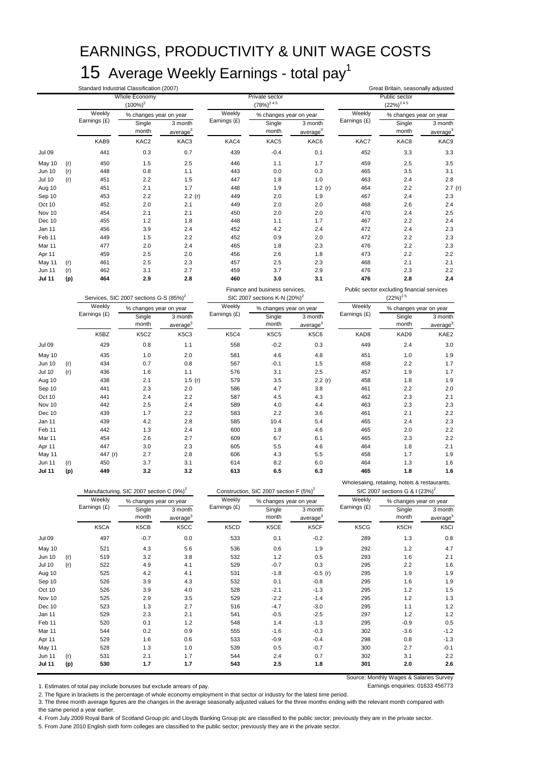### EARNINGS, PRODUCTIVITY & UNIT WAGE COSTS 15 Average Weekly Earnings - total pay<sup>1</sup>

Standard Industrial Classification (2007) Great Britain, seasonally adjusted **Single** month 3 month average<sup>3</sup> **Single** month 3 month average<sup>3</sup> **Single** month 3 month average<sup>3</sup> KAB9 KAC2 KAC3 KAC4 KAC5 KAC6 KAC7 KAC8 KAC9 Jul 09 441 0.3 0.7 439 -0.4 0.1 452 3.3 3.3 May 10 (r) 450 1.5 2.5 446 1.1 1.7 459 2.5 3.5 Jun 10 (r) 448 0.8 1.1 443 0.0 0.3 465 3.5 3.1 Jul 10 (r) 451 2.2 1.5 447 1.8 1.0 463 2.4 2.8 Aug 10 451 2.1 1.7 448 1.9 1.2 (r) 464 2.2 2.7 (r) Sep 10 453 2.2 2.2 (r) 449 2.0 1.9 467 2.4 2.3 Oct 10 452 2.0 2.1 449 2.0 2.0 468 2.6 2.4 Nov 10 454 2.1 2.1 450 2.0 2.0 470 2.4 2.5 Dec 10 455 1.2 1.8 448 1.1 1.7 467 2.2 2.4 Jan 11 456 3.9 2.4 452 4.2 2.4 472 2.4 2.3 Feb 11 449 1.5 2.2 452 0.9 2.0 472 2.2 2.3 Mar 11 477 2.0 2.4 465 1.8 2.3 476 2.2 2.3 Apr 11 459 2.5 2.0 456 2.6 1.8 473 2.2 2.2 May 11 (r) 461 2.5 2.3 457 2.5 2.3 468 2.1 2.1 Jun 11 (r) 462 3.1 2.7 459 3.7 2.9 476 2.3 2.2 **Jul 11 (p) 464 2.9 2.8 460 3.0 3.1 476 2.8 2.4** Single month 3 month average **Single** month 3 month average **Single** month 3 month average K5BZ K5C2 K5C3 K5C4 K5C5 K5C6 KAD8 KAD9 KAE2 Jul 09 429 0.8 1.1 558 -0.2 0.3 449 2.4 3.0 May 10 435 1.0 2.0 581 4.6 4.8 451 1.0 1.9 Jun 10 (r) 434 0.7 0.8 567 -0.1 1.5 458 2.2 1.7 Jul 10 (r) 436 1.6 1.1 576 3.1 2.5 457 1.9 1.7 Aug 10 438 2.1 1.5 (r) 579 3.5 2.2 (r) 458 1.8 1.9 Sep 10 441 2.3 2.0 586 4.7 3.8 461 2.2 2.0 Oct 10 441 2.4 2.2 587 4.5 4.3 462 2.3 2.1 Nov 10 442 2.5 2.4 589 4.0 4.4 463 2.3 2.3 Dec 10 439 1.7 2.2 583 2.2 3.6 461 2.1 2.2 Jan 11 439 4.2 2.8 585 10.4 5.4 465 2.4 2.3 Feb 11 442 1.3 2.4 600 1.8 4.6 465 2.0 2.2 Mar 11 454 2.6 2.7 609 6.7 6.1 465 2.3 2.2 Apr 11 447 3.0 2.3 605 5.5 4.6 464 1.8 2.1 May 11 447 (r) 2.7 2.8 606 4.3 5.5 458 1.7 1.9 Jun 11 (r) 450 3.7 3.1 614 8.2 6.0 464 1.3 1.6 **Jul 11 (p) 449 3.2 3.2 613 6.5 6.3 465 1.8 1.6** iole Economy  $(100\%)^2$ rivate secto<sup>-</sup>  $(78%)<sup>2 4 5</sup>$ ublic sect  $(22\%)^{245}$ Weekly Earnings (£) % changes year on year Weekly Earnings (£) % changes year on year % changes year on year % changes year on year Public sector excluding financial services  $(22\%)^2$ <sup>5</sup> Weekh Earnings (f) Weekly Earnings (£) % changes year on year Weekly Earnings (£) Weekly % changes year on year Weekly % changes year on year Weekly % changes year on year Manufacturing, SIC 2007 section C  $(9\%)^2$  Construction, SIC 2007 section F (5%)<sup>2</sup> Wholesaling, retailing, hotels & restaurants, SIC 2007 sections G & I (23%)<sup>2</sup> Services, SIC 2007 sections G-S (85%)<sup>2</sup> Finance and business services,  $SIC$  2007 sections  $K-N$  (20%)<sup>2</sup> **Weekly** Earnings (£) % changes year on year

|               |     | Weekly       | % changes year on year |                                 | Weekly       |                 | % changes year on year          |              | Weekly<br>% changes year on year |                                 |
|---------------|-----|--------------|------------------------|---------------------------------|--------------|-----------------|---------------------------------|--------------|----------------------------------|---------------------------------|
|               |     | Earnings (£) | Single<br>month        | 3 month<br>average <sup>3</sup> | Earnings (£) | Single<br>month | 3 month<br>average <sup>3</sup> | Earnings (£) | Single<br>month                  | 3 month<br>average <sup>3</sup> |
|               |     | K5CA         | K5CB                   | K5CC                            | K5CD         | K5CE            | K5CF                            | K5CG         | K5CH                             | K <sub>5Cl</sub>                |
| <b>Jul 09</b> |     | 497          | $-0.7$                 | 0.0                             | 533          | 0.1             | $-0.2$                          | 289          | 1.3                              | 0.8                             |
| May 10        |     | 521          | 4.3                    | 5.6                             | 536          | 0.6             | 1.9                             | 292          | 1.2                              | 4.7                             |
| <b>Jun 10</b> | (r) | 519          | 3.2                    | 3.8                             | 532          | 1.2             | 0.5                             | 293          | 1.6                              | 2.1                             |
| <b>Jul 10</b> | (r) | 522          | 4.9                    | 4.1                             | 529          | $-0.7$          | 0.3                             | 295          | 2.2                              | 1.6                             |
| Aug 10        |     | 525          | 4.2                    | 4.1                             | 531          | $-1.8$          | $-0.5(r)$                       | 295          | 1.9                              | 1.9                             |
| Sep 10        |     | 526          | 3.9                    | 4.3                             | 532          | 0.1             | $-0.8$                          | 295          | 1.6                              | 1.9                             |
| Oct 10        |     | 526          | 3.9                    | 4.0                             | 528          | $-2.1$          | $-1.3$                          | 295          | 1.2                              | 1.5                             |
| Nov 10        |     | 525          | 2.9                    | 3.5                             | 529          | $-2.2$          | $-1.4$                          | 295          | 1.2                              | 1.3                             |
| Dec 10        |     | 523          | 1.3                    | 2.7                             | 516          | $-4.7$          | $-3.0$                          | 295          | 1.1                              | 1.2                             |
| Jan 11        |     | 529          | 2.3                    | 2.1                             | 541          | $-0.5$          | $-2.5$                          | 297          | 1.2                              | 1.2                             |
| Feb 11        |     | 520          | 0.1                    | 1.2                             | 548          | 1.4             | $-1.3$                          | 295          | $-0.9$                           | 0.5                             |
| Mar 11        |     | 544          | 0.2                    | 0.9                             | 555          | $-1.6$          | $-0.3$                          | 302          | $-3.6$                           | $-1.2$                          |
| Apr 11        |     | 529          | 1.6                    | 0.6                             | 533          | $-0.9$          | $-0.4$                          | 298          | 0.8                              | $-1.3$                          |
| May 11        |     | 528          | 1.3                    | 1.0                             | 539          | 0.5             | $-0.7$                          | 300          | 2.7                              | $-0.1$                          |
| Jun 11        | (r) | 531          | 2.1                    | 1.7                             | 544          | 2.4             | 0.7                             | 302          | 3.1                              | 2.2                             |
| <b>Jul 11</b> | (p) | 530          | 1.7                    | 1.7                             | 543          | 2.5             | 1.8                             | 301          | 2.0                              | 2.6                             |

1. Estimates of total pay include bonuses but exclude arrears of pay.

Source: Monthly Wages & Salaries Survey

2. The figure in brackets is the percentage of whole economy employment in that sector or industry for the latest time period.

3. The three month average figures are the changes in the average seasonally adjusted values for the three months ending with the relevant month compared with the same period a year earlier.

4. From July 2009 Royal Bank of Scotland Group plc and Lloyds Banking Group plc are classified to the public sector; previously they are in the private sector.

5. From June 2010 English sixth form colleges are classified to the public sector; previously they are in the private sector.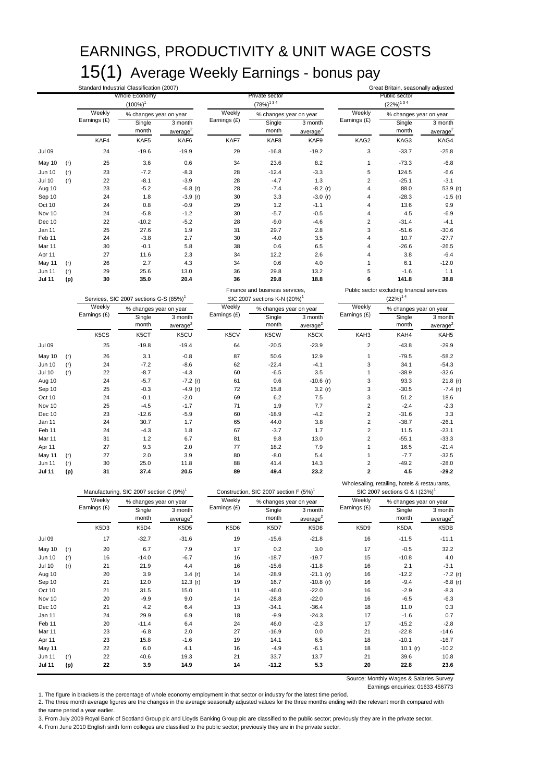### EARNINGS, PRODUCTIVITY & UNIT WAGE COSTS 15(1) Average Weekly Earnings - bonus pay

|                  |            |                               | Standard Industrial Classification (2007)           |                               |              |                                                    |                               |                         | Great Britain, seasonally adjusted            |                      |
|------------------|------------|-------------------------------|-----------------------------------------------------|-------------------------------|--------------|----------------------------------------------------|-------------------------------|-------------------------|-----------------------------------------------|----------------------|
|                  |            |                               | Whole Economy                                       |                               |              | Private sector                                     |                               |                         | Public sector<br>$(22\%)^{1.3.4}$             |                      |
|                  |            | Weekly                        | $(100\%)$ <sup>1</sup>                              |                               | Weekly       | $(78%)^{134}$                                      |                               | Weekly                  |                                               |                      |
|                  |            | Earnings (£)                  | % changes year on year<br>Single                    | 3 month                       | Earnings (£) | % changes year on year<br>Single                   | 3 month                       | Earnings (£)            | % changes year on year<br>Single              | 3 month              |
|                  |            |                               | month                                               | average <sup>2</sup>          |              | month                                              | average <sup>2</sup>          |                         | month                                         | average <sup>2</sup> |
|                  |            | KAF4                          | KAF5                                                | KAF6                          | KAF7         | KAF8                                               | KAF9                          | KAG2                    | KAG3                                          | KAG4                 |
| <b>Jul 09</b>    |            | 24                            | $-19.6$                                             | $-19.9$                       | 29           | $-16.8$                                            | $-19.2$                       | 3                       | $-33.7$                                       | $-25.8$              |
| May 10           | (r)        | 25                            | 3.6                                                 | 0.6                           | 34           | 23.6                                               | 8.2                           | $\mathbf{1}$            | $-73.3$                                       | $-6.8$               |
| Jun 10           | (r)        | 23                            | $-7.2$                                              | $-8.3$                        | 28           | $-12.4$                                            | $-3.3$                        | 5                       | 124.5                                         | $-6.6$               |
| <b>Jul 10</b>    | (r)        | 22                            | $-8.1$                                              | $-3.9$                        | 28           | $-4.7$                                             | 1.3                           | $\overline{\mathbf{c}}$ | $-25.1$                                       | $-3.1$               |
| Aug 10           |            | 23                            | $-5.2$                                              | $-6.8$ (r)                    | 28           | $-7.4$                                             | $-8.2(r)$                     | 4                       | 88.0                                          | 53.9 (r)             |
| Sep 10           |            | 24                            | 1.8                                                 | $-3.9$ (r)                    | 30           | 3.3                                                | $-3.0$ (r)                    | 4                       | $-28.3$                                       | $-1.5$ (r)           |
| Oct 10           |            | 24                            | 0.8                                                 | $-0.9$                        | 29           | 1.2                                                | $-1.1$                        | 4                       | 13.6                                          | 9.9                  |
| Nov 10           |            | 24                            | $-5.8$                                              | $-1.2$                        | 30           | $-5.7$                                             | $-0.5$                        | 4                       | 4.5                                           | $-6.9$               |
| Dec 10           |            | 22                            | $-10.2$                                             | $-5.2$                        | 28           | $-9.0$                                             | $-4.6$                        | $\overline{\mathbf{c}}$ | $-31.4$                                       | $-4.1$               |
| Jan 11           |            | 25                            | 27.6                                                | 1.9                           | 31           | 29.7                                               | 2.8                           | 3                       | $-51.6$                                       | $-30.6$              |
| Feb 11           |            | 24                            | $-3.8$                                              | 2.7                           | 30           | $-4.0$                                             | 3.5                           | 4                       | 10.7                                          | $-27.7$              |
| Mar 11           |            | 30<br>27                      | $-0.1$                                              | 5.8<br>2.3                    | 38<br>34     | 0.6                                                | 6.5<br>2.6                    | 4<br>4                  | $-26.6$<br>3.8                                | $-26.5$<br>$-6.4$    |
| Apr 11           |            | 26                            | 11.6<br>2.7                                         | 4.3                           | 34           | 12.2<br>0.6                                        | 4.0                           | 1                       | 6.1                                           | $-12.0$              |
| May 11<br>Jun 11 | (r)<br>(r) | 29                            | 25.6                                                | 13.0                          | 36           | 29.8                                               | 13.2                          | 5                       | $-1.6$                                        | 1.1                  |
| <b>Jul 11</b>    | (p)        | 30                            | 35.0                                                | 20.4                          | 36           | 29.8                                               | 18.8                          | 6                       | 141.8                                         | 38.8                 |
|                  |            |                               |                                                     |                               |              | Finance and business services,                     |                               |                         | Public sector excluding financial services    |                      |
|                  |            |                               | Services, SIC 2007 sections G-S (85%) <sup>1</sup>  |                               |              | SIC 2007 sections K-N (20%)                        |                               |                         | $(22\%)^{14}$                                 |                      |
|                  |            | Weekly                        | % changes year on year                              |                               | Weekly       | % changes year on year                             |                               | Weekly                  | % changes year on year                        |                      |
|                  |            | Earnings (£)                  | Single                                              | 3 month                       | Earnings (£) | Single                                             | 3 month                       | Earnings (£)            | Single                                        | 3 month              |
|                  |            |                               | month                                               | average <sup>2</sup>          |              | month                                              | average <sup>2</sup>          |                         | month                                         | average <sup>2</sup> |
|                  |            | K5CS                          | K5CT                                                | K5CU                          | K5CV         | K5CW                                               | K <sub>5</sub> C <sub>X</sub> | KAH3                    | KAH4                                          | KAH <sub>5</sub>     |
| <b>Jul 09</b>    |            | 25                            | $-19.8$                                             | $-19.4$                       | 64           | $-20.5$                                            | $-23.9$                       | $\boldsymbol{2}$        | $-43.8$                                       | $-29.9$              |
| May 10           | (r)        | 26                            | 3.1                                                 | $-0.8$                        | 87           | 50.6                                               | 12.9                          | 1                       | $-79.5$                                       | $-58.2$              |
| <b>Jun 10</b>    | (r)        | 24                            | $-7.2$                                              | $-8.6$                        | 62           | $-22.4$                                            | $-4.1$                        | 3                       | 34.1                                          | $-54.3$              |
| <b>Jul 10</b>    | (r)        | 22                            | $-8.7$                                              | $-4.3$                        | 60           | $-6.5$                                             | 3.5                           | 1                       | $-38.9$                                       | $-32.6$              |
| Aug 10           |            | 24                            | $-5.7$                                              | $-7.2(r)$                     | 61           | 0.6                                                | $-10.6$ (r)                   | 3                       | 93.3                                          | $21.8$ (r)           |
| Sep 10           |            | 25                            | $-0.3$                                              | $-4.9(r)$                     | 72           | 15.8                                               | 3.2(r)                        | 3                       | $-30.5$                                       | $-7.4$ (r)           |
| Oct 10           |            | 24                            | $-0.1$                                              | $-2.0$                        | 69           | 6.2                                                | 7.5                           | 3                       | 51.2                                          | 18.6                 |
| Nov 10           |            | 25                            | $-4.5$                                              | $-1.7$                        | 71           | 1.9                                                | 7.7                           | $\overline{\mathbf{c}}$ | $-2.4$                                        | $-2.3$               |
| Dec 10           |            | 23                            | $-12.6$                                             | $-5.9$                        | 60           | $-18.9$                                            | $-4.2$                        | $\overline{\mathbf{c}}$ | $-31.6$                                       | 3.3                  |
| Jan 11           |            | 24                            | 30.7                                                | 1.7                           | 65           | 44.0                                               | 3.8                           | $\overline{\mathbf{c}}$ | $-38.7$                                       | $-26.1$              |
| Feb 11           |            | 24                            | $-4.3$                                              | 1.8                           | 67           | $-3.7$                                             | 1.7                           | $\overline{\mathbf{c}}$ | 11.5                                          | $-23.1$              |
| Mar 11           |            | 31                            | 1.2                                                 | 6.7                           | 81           | 9.8                                                | 13.0                          | $\mathbf 2$             | $-55.1$                                       | $-33.3$              |
| Apr 11           |            | 27                            | 9.3                                                 | 2.0                           | 77           | 18.2                                               | 7.9                           | 1                       | 16.5                                          | $-21.4$              |
| May 11<br>Jun 11 | (r)        | 27<br>30                      | 2.0<br>25.0                                         | 3.9<br>11.8                   | 80<br>88     | $-8.0$<br>41.4                                     | 5.4<br>14.3                   | 1<br>$\mathbf 2$        | $-7.7$<br>$-49.2$                             | $-32.5$<br>$-28.0$   |
| <b>Jul 11</b>    | (r)<br>(p) | 31                            | 37.4                                                | 20.5                          | 89           | 49.4                                               | 23.2                          | $\overline{\mathbf{2}}$ | 4.5                                           | $-29.2$              |
|                  |            |                               |                                                     |                               |              |                                                    |                               |                         | Wholesaling, retailing, hotels & restaurants, |                      |
|                  |            |                               | Manufacturing, SIC 2007 section C (9%) <sup>1</sup> |                               |              | Construction, SIC 2007 section F (5%) <sup>1</sup> |                               |                         | SIC 2007 sections G & I (23%) <sup>1</sup>    |                      |
|                  |            | Weekly                        | % changes year on year                              |                               | Weekly       | % changes year on year                             |                               | Weekly                  | % changes year on year                        |                      |
|                  |            | Earnings (£)                  | Single                                              | 3 month                       | Earnings (£) | Single                                             | 3 month                       | Earnings (£)            | Single                                        | 3 month              |
|                  |            |                               | month                                               | average $2$                   |              | month                                              | average $^{2}$                |                         | month                                         | average $2$          |
|                  |            | K <sub>5</sub> D <sub>3</sub> | K <sub>5</sub> D <sub>4</sub>                       | K <sub>5</sub> D <sub>5</sub> | K5D6         | K5D7                                               | K5D8                          | K5D9                    | K5DA                                          | K <sub>5</sub> DB    |
| Jul 09           |            | 17                            | $-32.7$                                             | $-31.6$                       | 19           | $-15.6$                                            | $-21.8$                       | 16                      | $-11.5$                                       | $-11.1$              |
| May 10           | (r)        | 20                            | 6.7                                                 | 7.9                           | 17           | 0.2                                                | 3.0                           | 17                      | $-0.5$                                        | 32.2                 |
| <b>Jun 10</b>    | (r)        | 16                            | $-14.0$                                             | $-6.7$                        | 16           | $-18.7$                                            | $-19.7$                       | 15                      | $-10.8$                                       | 4.0                  |
| <b>Jul 10</b>    | (r)        | 21                            | 21.9                                                | 4.4                           | 16           | $-15.6$                                            | $-11.8$                       | 16                      | 2.1                                           | $-3.1$               |
| Aug 10           |            | 20                            | 3.9                                                 | 3.4 $(r)$                     | 14           | $-28.9$                                            | $-21.1(r)$                    | 16                      | $-12.2$                                       | $-7.2$ (r)           |
| Sep 10           |            | 21                            | 12.0                                                | 12.3 $(r)$                    | 19           | 16.7                                               | $-10.8$ (r)                   | 16                      | $-9.4$                                        | $-6.8$ (r)           |
| Oct 10           |            | 21                            | 31.5                                                | 15.0                          | 11           | $-46.0$                                            | $-22.0$                       | 16                      | $-2.9$                                        | -8.3                 |
| Nov 10           |            | 20                            | $-9.9$                                              | 9.0                           | 14           | $-28.8$                                            | $-22.0$                       | 16                      | $-6.5$                                        | $-6.3$               |
| Dec 10           |            | 21                            | 4.2                                                 | 6.4                           | 13           | $-34.1$                                            | $-36.4$                       | 18                      | 11.0                                          | 0.3                  |
| Jan 11           |            | 24                            | 29.9                                                | 6.9                           | 18           | $-9.9$                                             | $-24.3$                       | 17                      | $-1.6$                                        | 0.7                  |
| Feb 11           |            | 20                            | $-11.4$                                             | 6.4                           | 24           | 46.0                                               | $-2.3$                        | 17                      | $-15.2$                                       | $-2.8$               |
| Mar 11           |            | 23                            | $-6.8$                                              | 2.0                           | 27           | $-16.9$                                            | 0.0                           | 21                      | $-22.8$                                       | $-14.6$              |
| Apr 11           |            | 23                            | 15.8                                                | $-1.6$                        | 19           | 14.1                                               | 6.5                           | 18                      | $-10.1$                                       | $-16.7$              |
| May 11           |            | 22                            | 6.0                                                 | 4.1                           | 16           | $-4.9$                                             | $-6.1$                        | 18                      | 10.1 $(r)$                                    | $-10.2$              |

Source: Monthly Wages & Salaries Survey

Earnings enquiries: 01633 456773

1. The figure in brackets is the percentage of whole economy employment in that sector or industry for the latest time period.

2. The three month average figures are the changes in the average seasonally adjusted values for the three months ending with the relevant month compared with the same period a year earlier.

Jun 11 (r) 22 40.6 19.3 21 33.7 13.7 21 39.6 10.8 **Jul 11 (p) 22 3.9 14.9 14 -11.2 5.3 20 22.8 23.6**

3. From July 2009 Royal Bank of Scotland Group plc and Lloyds Banking Group plc are classified to the public sector; previously they are in the private sector.

4. From June 2010 English sixth form colleges are classified to the public sector; previously they are in the private sector.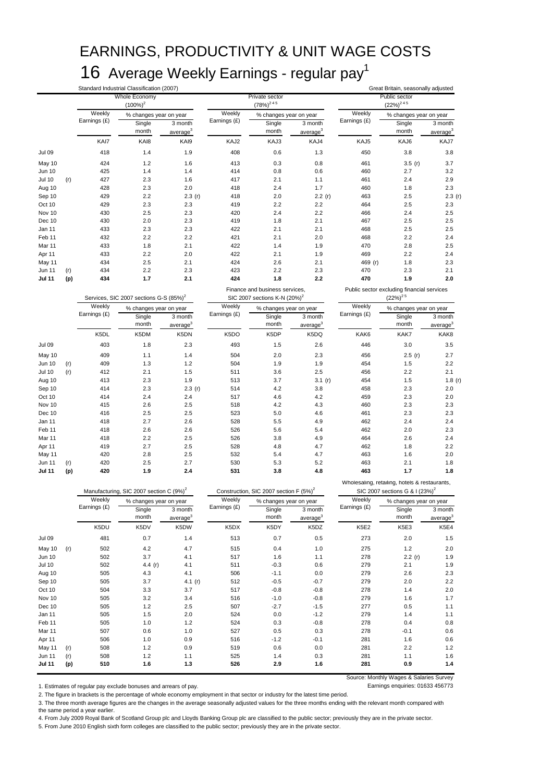### EARNINGS, PRODUCTIVITY & UNIT WAGE COSTS 16 Average Weekly Earnings - regular pay<sup>1</sup>

|                         |     |                        | Standard Industrial Classification (2007)           |                                           |                        |                                                    |                                                       |                                 | Great Britain, seasonally adjusted                                                          |                                 |  |
|-------------------------|-----|------------------------|-----------------------------------------------------|-------------------------------------------|------------------------|----------------------------------------------------|-------------------------------------------------------|---------------------------------|---------------------------------------------------------------------------------------------|---------------------------------|--|
|                         |     |                        | Whole Economy                                       |                                           |                        | Private sector                                     |                                                       | Public sector<br>$(22\%)^{245}$ |                                                                                             |                                 |  |
|                         |     | Weekly                 | $(100\%)^2$                                         |                                           | Weekly                 | $(78\%)^{245}$                                     |                                                       | Weekly                          |                                                                                             |                                 |  |
|                         |     | Earnings (£)           | % changes year on year                              |                                           | Earnings (£)           | % changes year on year                             |                                                       | Earnings (£)                    | % changes year on year                                                                      |                                 |  |
|                         |     |                        | Single<br>month                                     | 3 month<br>average <sup>3</sup>           |                        | Single<br>month                                    | 3 month<br>average <sup>3</sup>                       |                                 | Single<br>month                                                                             | 3 month<br>average <sup>3</sup> |  |
|                         |     | KAI7                   | KAI8                                                | KAI9                                      | KAJ2                   | KAJ3                                               | KAJ4                                                  | KAJ5                            | KAJ6                                                                                        | KAJ7                            |  |
| <b>Jul 09</b>           |     | 418                    | 1.4                                                 | 1.9                                       | 408                    | 0.6                                                | 1.3                                                   | 450                             | 3.8                                                                                         | 3.8                             |  |
|                         |     |                        |                                                     |                                           |                        |                                                    |                                                       |                                 |                                                                                             |                                 |  |
| May 10<br><b>Jun 10</b> |     | 424<br>425             | 1.2<br>1.4                                          | 1.6<br>1.4                                | 413<br>414             | 0.3<br>0.8                                         | 0.8<br>0.6                                            | 461<br>460                      | 3.5(r)<br>2.7                                                                               | 3.7<br>3.2                      |  |
| <b>Jul 10</b>           | (r) | 427                    | 2.3                                                 | 1.6                                       | 417                    | 2.1                                                | 1.1                                                   | 461                             | 2.4                                                                                         | 2.9                             |  |
| Aug 10                  |     | 428                    | 2.3                                                 | 2.0                                       | 418                    | 2.4                                                | 1.7                                                   | 460                             | 1.8                                                                                         | 2.3                             |  |
| Sep 10                  |     | 429                    | 2.2                                                 | 2.3(r)                                    | 418                    | 2.0                                                | 2.2(r)                                                | 463                             | 2.5                                                                                         | 2.3(r)                          |  |
| Oct 10                  |     | 429                    | 2.3                                                 | 2.3                                       | 419                    | 2.2                                                | 2.2                                                   | 464                             | 2.5                                                                                         | 2.3                             |  |
| Nov 10                  |     | 430                    | 2.5                                                 | 2.3                                       | 420                    | 2.4                                                | 2.2                                                   | 466                             | 2.4                                                                                         | 2.5                             |  |
| Dec 10                  |     | 430                    | 2.0                                                 | 2.3                                       | 419                    | 1.8                                                | 2.1                                                   | 467                             | 2.5                                                                                         | 2.5                             |  |
| Jan 11                  |     | 433                    | 2.3                                                 | 2.3                                       | 422                    | 2.1                                                | 2.1                                                   | 468                             | 2.5                                                                                         | 2.5                             |  |
| Feb 11                  |     | 432                    | 2.2                                                 | 2.2                                       | 421                    | 2.1                                                | 2.0                                                   | 468                             | 2.2                                                                                         | 2.4                             |  |
| Mar 11                  |     | 433                    | 1.8                                                 | 2.1                                       | 422                    | 1.4                                                | 1.9                                                   | 470                             | 2.8                                                                                         | 2.5                             |  |
| Apr 11                  |     | 433                    | 2.2                                                 | 2.0                                       | 422                    | 2.1                                                | 1.9                                                   | 469                             | 2.2                                                                                         | 2.4                             |  |
| May 11                  |     | 434                    | 2.5                                                 | 2.1                                       | 424                    | 2.6                                                | 2.1                                                   | 469 (r)                         | 1.8                                                                                         | 2.3                             |  |
| Jun 11                  | (r) | 434                    | 2.2                                                 | 2.3                                       | 423                    | 2.2                                                | 2.3                                                   | 470                             | 2.3                                                                                         | 2.1                             |  |
| Jul 11                  | (p) | 434                    | 1.7                                                 | 2.1                                       | 424                    | 1.8                                                | 2.2                                                   | 470                             | 1.9                                                                                         | 2.0                             |  |
|                         |     |                        |                                                     |                                           |                        | Finance and business services,                     |                                                       |                                 | Public sector excluding financial services                                                  |                                 |  |
|                         |     | Weekly                 | Services, SIC 2007 sections G-S (85%) <sup>2</sup>  |                                           | Weekly                 | SIC 2007 sections K-N (20%) <sup>2</sup>           |                                                       |                                 | $(22\%)^{2.5}$                                                                              |                                 |  |
|                         |     | Earnings (£)           | % changes year on year                              |                                           | Earnings (£)           | % changes year on year                             |                                                       | Weekly<br>Earnings (£)          | % changes year on year                                                                      |                                 |  |
|                         |     |                        | Single<br>month                                     | 3 month                                   |                        | Single<br>month                                    | 3 month                                               |                                 | Single<br>month                                                                             | 3 month                         |  |
|                         |     | K5DL                   | K5DM                                                | average <sup>3</sup><br>K <sub>5</sub> DN | K5DO                   | K5DP                                               | average <sup>3</sup><br>K <sub>5</sub> D <sub>Q</sub> | KAK6                            | KAK7                                                                                        | average <sup>3</sup><br>KAK8    |  |
|                         |     |                        |                                                     |                                           |                        |                                                    |                                                       |                                 |                                                                                             |                                 |  |
| Jul 09                  |     | 403                    | 1.8                                                 | 2.3                                       | 493                    | 1.5                                                | 2.6                                                   | 446                             | 3.0                                                                                         | 3.5                             |  |
| May 10                  |     | 409                    | 1.1                                                 | 1.4                                       | 504                    | 2.0                                                | 2.3                                                   | 456                             | 2.5(r)                                                                                      | 2.7                             |  |
| <b>Jun 10</b>           | (r) | 409                    | 1.3                                                 | 1.2                                       | 504                    | 1.9                                                | 1.9                                                   | 454                             | 1.5                                                                                         | 2.2                             |  |
| <b>Jul 10</b>           | (r) | 412                    | 2.1                                                 | 1.5                                       | 511                    | 3.6                                                | 2.5                                                   | 456                             | 2.2                                                                                         | 2.1                             |  |
| Aug 10<br>Sep 10        |     | 413<br>414             | 2.3<br>2.3                                          | 1.9<br>2.3(r)                             | 513<br>514             | 3.7<br>4.2                                         | 3.1(r)<br>3.8                                         | 454<br>458                      | 1.5<br>2.3                                                                                  | 1.8 $(r)$<br>2.0                |  |
| Oct 10                  |     | 414                    | 2.4                                                 | 2.4                                       | 517                    | 4.6                                                | 4.2                                                   | 459                             | 2.3                                                                                         | 2.0                             |  |
| Nov 10                  |     | 415                    | 2.6                                                 | 2.5                                       | 518                    | 4.2                                                | 4.3                                                   | 460                             | 2.3                                                                                         | 2.3                             |  |
| Dec 10                  |     | 416                    | 2.5                                                 | 2.5                                       | 523                    | 5.0                                                | 4.6                                                   | 461                             | 2.3                                                                                         | 2.3                             |  |
| Jan 11                  |     | 418                    | 2.7                                                 | 2.6                                       | 528                    | 5.5                                                | 4.9                                                   | 462                             | 2.4                                                                                         | 2.4                             |  |
| Feb 11                  |     | 418                    | 2.6                                                 | 2.6                                       | 526                    | 5.6                                                | 5.4                                                   | 462                             | 2.0                                                                                         | 2.3                             |  |
| Mar 11                  |     | 418                    | 2.2                                                 | 2.5                                       | 526                    | 3.8                                                | 4.9                                                   | 464                             | 2.6                                                                                         | 2.4                             |  |
| Apr 11                  |     | 419                    | 2.7                                                 | 2.5                                       | 528                    | 4.8                                                | 4.7                                                   | 462                             | 1.8                                                                                         | 2.2                             |  |
| May 11                  |     | 420                    | 2.8                                                 | 2.5                                       | 532                    | 5.4                                                | 4.7                                                   | 463                             | 1.6                                                                                         | 2.0                             |  |
| Jun 11                  | (r) | 420                    | 2.5                                                 | 2.7                                       | 530                    | 5.3                                                | 5.2                                                   | 463                             | 2.1                                                                                         | 1.8                             |  |
| Jul 11                  | (p) | 420                    | 1.9                                                 | 2.4                                       | 531                    | 3.8                                                | 4.8                                                   | 463                             | 1.7                                                                                         | 1.8                             |  |
|                         |     |                        | Manufacturing, SIC 2007 section C (9%) <sup>2</sup> |                                           |                        | Construction, SIC 2007 section F (5%) <sup>2</sup> |                                                       |                                 | Wholesaling, retailing, hotels & restaurants,<br>SIC 2007 sections G & I (23%) <sup>2</sup> |                                 |  |
|                         |     | Weekly<br>Earnings (£) | % changes year on year                              |                                           | Weekly<br>Earnings (£) | % changes year on year                             |                                                       | Weekly<br>Earnings (£)          | % changes year on year                                                                      |                                 |  |
|                         |     |                        | Single                                              | 3 month                                   |                        | Single                                             | 3 month                                               |                                 | Single                                                                                      | 3 month                         |  |
|                         |     |                        | month                                               | average <sup>3</sup>                      |                        | month                                              | average <sup>3</sup>                                  |                                 | month                                                                                       | average <sup>3</sup>            |  |
|                         |     | K5DU                   | K5DV                                                | K5DW                                      | K5DX                   | K5DY                                               | K5DZ                                                  | K5E2                            | K5E3                                                                                        | K5E4                            |  |
| <b>Jul 09</b>           |     | 481                    | 0.7                                                 | 1.4                                       | 513                    | 0.7                                                | 0.5                                                   | 273                             | 2.0                                                                                         | 1.5                             |  |
| May 10                  | (r) | 502                    | 4.2                                                 | 4.7                                       | 515                    | 0.4                                                | 1.0                                                   | 275                             | 1.2                                                                                         | 2.0                             |  |
| Jun 10                  |     | 502                    | 3.7                                                 | 4.1                                       | 517                    | 1.6                                                | 1.1                                                   | 278                             | 2.2(r)                                                                                      | 1.9                             |  |
| <b>Jul 10</b>           |     | 502                    | 4.4 $(r)$                                           | 4.1                                       | 511                    | $-0.3$                                             | 0.6                                                   | 279                             | 2.1                                                                                         | 1.9                             |  |
| Aug 10                  |     | 505                    | 4.3                                                 | 4.1                                       | 506                    | $-1.1$                                             | 0.0                                                   | 279                             | 2.6                                                                                         | 2.3                             |  |
| Sep 10                  |     | 505                    | 3.7                                                 | 4.1 $(r)$                                 | 512                    | $-0.5$                                             | $-0.7$                                                | 279                             | 2.0                                                                                         | 2.2                             |  |
| Oct 10<br>Nov 10        |     | 504                    | 3.3                                                 | 3.7                                       | 517                    | $-0.8$                                             | $-0.8$                                                | 278                             | 1.4                                                                                         | 2.0                             |  |
| Dec 10                  |     | 505<br>505             | 3.2<br>1.2                                          | 3.4<br>2.5                                | 516<br>507             | $-1.0$<br>$-2.7$                                   | $-0.8$<br>$-1.5$                                      | 279<br>277                      | 1.6<br>0.5                                                                                  | 1.7<br>1.1                      |  |
| Jan 11                  |     | 505                    | 1.5                                                 | 2.0                                       | 524                    | 0.0                                                | $-1.2$                                                | 279                             | 1.4                                                                                         | 1.1                             |  |
| Feb 11                  |     | 505                    | 1.0                                                 | 1.2                                       | 524                    | 0.3                                                | $-0.8$                                                | 278                             | 0.4                                                                                         | 0.8                             |  |
| Mar 11                  |     | 507                    | 0.6                                                 | 1.0                                       | 527                    | 0.5                                                | 0.3                                                   | 278                             | $-0.1$                                                                                      | 0.6                             |  |
| Apr 11                  |     | 506                    | 1.0                                                 | 0.9                                       | 516                    | $-1.2$                                             | $-0.1$                                                | 281                             | 1.6                                                                                         | 0.6                             |  |
| May 11                  | (r) | 508                    | $1.2$                                               | 0.9                                       | 519                    | 0.6                                                | 0.0                                                   | 281                             | 2.2                                                                                         | 1.2                             |  |
| Jun 11                  | (r) | 508                    | $1.2$                                               | 1.1                                       | 525                    | 1.4                                                | 0.3                                                   | 281                             | 1.1                                                                                         | 1.6                             |  |

1. Estimates of regular pay exclude bonuses and arrears of pay.

2. The figure in brackets is the percentage of whole economy employment in that sector or industry for the latest time period.

3. The three month average figures are the changes in the average seasonally adjusted values for the three months ending with the relevant month compared with the same period a year earlier.

**Jul 11 (p) 510 1.6 1.3 526 2.9 1.6 281 0.9 1.4**

Source: Monthly Wages & Salaries Survey

4. From July 2009 Royal Bank of Scotland Group plc and Lloyds Banking Group plc are classified to the public sector; previously they are in the private sector.

5. From June 2010 English sixth form colleges are classified to the public sector; previously they are in the private sector.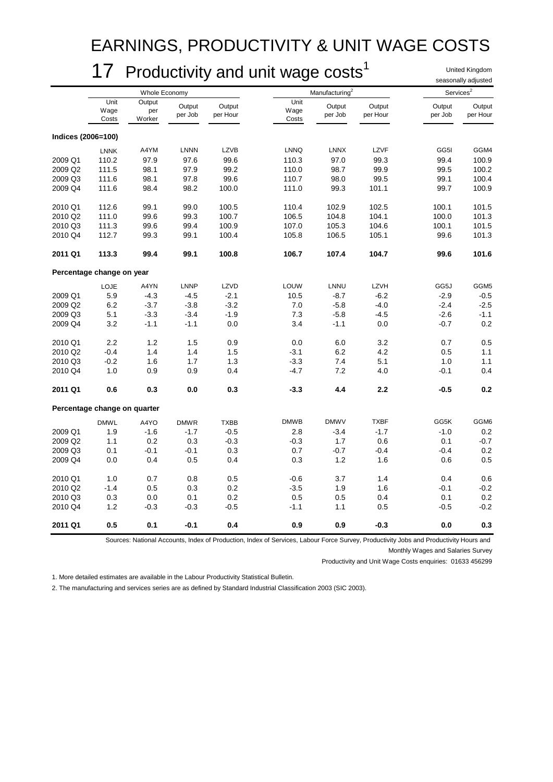### EARNINGS, PRODUCTIVITY & UNIT WAGE COSTS

### 17 Productivity and unit wage costs<sup>1</sup>

United Kingdom seasonally adjusted

|                    |                              | Whole Economy           |                   |                    | Manufacturing         |                   |                    | Services <sup>2</sup> |                    |
|--------------------|------------------------------|-------------------------|-------------------|--------------------|-----------------------|-------------------|--------------------|-----------------------|--------------------|
|                    | Unit<br>Wage<br>Costs        | Output<br>per<br>Worker | Output<br>per Job | Output<br>per Hour | Unit<br>Wage<br>Costs | Output<br>per Job | Output<br>per Hour | Output<br>per Job     | Output<br>per Hour |
| Indices (2006=100) |                              |                         |                   |                    |                       |                   |                    |                       |                    |
|                    | <b>LNNK</b>                  | A4YM                    | <b>LNNN</b>       | <b>LZVB</b>        | <b>LNNQ</b>           | <b>LNNX</b>       | LZVF               | GG5I                  | GGM4               |
| 2009 Q1            | 110.2                        | 97.9                    | 97.6              | 99.6               | 110.3                 | 97.0              | 99.3               | 99.4                  | 100.9              |
| 2009 Q2            | 111.5                        | 98.1                    | 97.9              | 99.2               | 110.0                 | 98.7              | 99.9               | 99.5                  | 100.2              |
| 2009 Q3            | 111.6                        | 98.1                    | 97.8              | 99.6               | 110.7                 | 98.0              | 99.5               | 99.1                  | 100.4              |
| 2009 Q4            | 111.6                        | 98.4                    | 98.2              | 100.0              | 111.0                 | 99.3              | 101.1              | 99.7                  | 100.9              |
| 2010 Q1            | 112.6                        | 99.1                    | 99.0              | 100.5              | 110.4                 | 102.9             | 102.5              | 100.1                 | 101.5              |
| 2010 Q2            | 111.0                        | 99.6                    | 99.3              | 100.7              | 106.5                 | 104.8             | 104.1              | 100.0                 | 101.3              |
| 2010 Q3            | 111.3                        | 99.6                    | 99.4              | 100.9              | 107.0                 | 105.3             | 104.6              | 100.1                 | 101.5              |
| 2010 Q4            | 112.7                        | 99.3                    | 99.1              | 100.4              | 105.8                 | 106.5             | 105.1              | 99.6                  | 101.3              |
| 2011 Q1            | 113.3                        | 99.4                    | 99.1              | 100.8              | 106.7                 | 107.4             | 104.7              | 99.6                  | 101.6              |
|                    | Percentage change on year    |                         |                   |                    |                       |                   |                    |                       |                    |
|                    | LOJE                         | A4YN                    | <b>LNNP</b>       | LZVD               | LOUW                  | LNNU              | LZVH               | GG5J                  | GGM <sub>5</sub>   |
| 2009 Q1            | 5.9                          | $-4.3$                  | $-4.5$            | $-2.1$             | 10.5                  | $-8.7$            | $-6.2$             | $-2.9$                | $-0.5$             |
| 2009 Q2            | 6.2                          | $-3.7$                  | $-3.8$            | $-3.2$             | 7.0                   | $-5.8$            | $-4.0$             | $-2.4$                | $-2.5$             |
| 2009 Q3            | 5.1                          | $-3.3$                  | $-3.4$            | $-1.9$             | 7.3                   | $-5.8$            | $-4.5$             | $-2.6$                | $-1.1$             |
| 2009 Q4            | 3.2                          | $-1.1$                  | $-1.1$            | 0.0                | 3.4                   | $-1.1$            | 0.0                | $-0.7$                | 0.2                |
| 2010 Q1            | 2.2                          | 1.2                     | 1.5               | 0.9                | 0.0                   | 6.0               | 3.2                | 0.7                   | 0.5                |
| 2010 Q2            | $-0.4$                       | 1.4                     | 1.4               | 1.5                | $-3.1$                | 6.2               | 4.2                | 0.5                   | 1.1                |
| 2010 Q3            | $-0.2$                       | 1.6                     | 1.7               | 1.3                | $-3.3$                | 7.4               | 5.1                | 1.0                   | 1.1                |
| 2010 Q4            | 1.0                          | 0.9                     | 0.9               | 0.4                | $-4.7$                | 7.2               | 4.0                | -0.1                  | 0.4                |
| 2011 Q1            | 0.6                          | 0.3                     | 0.0               | 0.3                | $-3.3$                | 4.4               | 2.2                | $-0.5$                | 0.2                |
|                    | Percentage change on quarter |                         |                   |                    |                       |                   |                    |                       |                    |
|                    | <b>DMWL</b>                  | A4YO                    | <b>DMWR</b>       | <b>TXBB</b>        | <b>DMWB</b>           | <b>DMWV</b>       | <b>TXBF</b>        | GG5K                  | GGM6               |
| 2009 Q1            | 1.9                          | $-1.6$                  | $-1.7$            | $-0.5$             | 2.8                   | $-3.4$            | $-1.7$             | $-1.0$                | 0.2                |
| 2009 Q2            | 1.1                          | 0.2                     | 0.3               | $-0.3$             | $-0.3$                | 1.7               | $0.6\,$            | 0.1                   | $-0.7$             |
| 2009 Q3            | 0.1                          | $-0.1$                  | $-0.1$            | 0.3                | 0.7                   | $-0.7$            | $-0.4$             | $-0.4$                | 0.2                |
| 2009 Q4            | 0.0                          | 0.4                     | 0.5               | 0.4                | 0.3                   | 1.2               | 1.6                | 0.6                   | 0.5                |
| 2010 Q1            | 1.0                          | 0.7                     | 0.8               | 0.5                | $-0.6$                | 3.7               | 1.4                | 0.4                   | 0.6                |
| 2010 Q2            | $-1.4$                       | 0.5                     | 0.3               | 0.2                | $-3.5$                | 1.9               | 1.6                | -0.1                  | $-0.2$             |
| 2010 Q3            | 0.3                          | 0.0                     | 0.1               | 0.2                | 0.5                   | 0.5               | 0.4                | 0.1                   | $0.2\,$            |
| 2010 Q4            | 1.2                          | $-0.3$                  | $-0.3$            | $-0.5$             | $-1.1$                | 1.1               | 0.5                | $-0.5$                | $-0.2$             |
| 2011 Q1            | 0.5                          | 0.1                     | $-0.1$            | 0.4                | 0.9                   | 0.9               | $-0.3$             | 0.0                   | 0.3                |

Sources: National Accounts, Index of Production, Index of Services, Labour Force Survey, Productivity Jobs and Productivity Hours and Monthly Wages and Salaries Survey

Productivity and Unit Wage Costs enquiries: 01633 456299

1. More detailed estimates are available in the Labour Productivity Statistical Bulletin.

2. The manufacturing and services series are as defined by Standard Industrial Classification 2003 (SIC 2003).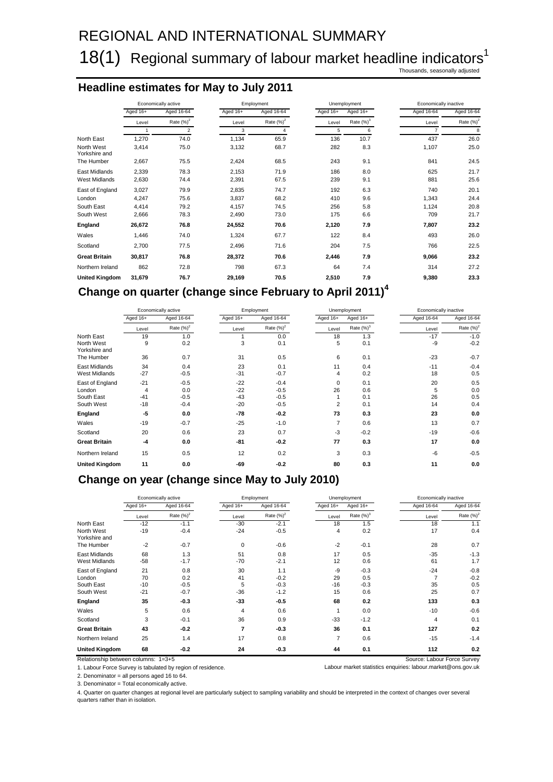### 18(1) Regional summary of labour market headline indicators<sup>1</sup>

Thousands, seasonally adjusted

#### **Headline estimates for May to July 2011**

|                             |            | Economically active |          | Employment    |          | Unemployment  | Economically inactive |               |
|-----------------------------|------------|---------------------|----------|---------------|----------|---------------|-----------------------|---------------|
|                             | Aged $16+$ | Aged 16-64          | Aged 16+ | Aged 16-64    | Aged 16+ | Aged 16+      | Aged 16-64            | Aged 16-64    |
|                             | Level      | Rate $(\%)^2$       | Level    | Rate $(\%)^2$ | Level    | Rate $(\%)^3$ | Level                 | Rate $(\%)^2$ |
|                             | 1          | $\overline{2}$      | 3        | 4             | 5        | 6             | $\overline{7}$        | 8             |
| North East                  | 1,270      | 74.0                | 1,134    | 65.9          | 136      | 10.7          | 437                   | 26.0          |
| North West<br>Yorkshire and | 3,414      | 75.0                | 3,132    | 68.7          | 282      | 8.3           | 1,107                 | 25.0          |
| The Humber                  | 2,667      | 75.5                | 2,424    | 68.5          | 243      | 9.1           | 841                   | 24.5          |
| East Midlands               | 2,339      | 78.3                | 2,153    | 71.9          | 186      | 8.0           | 625                   | 21.7          |
| <b>West Midlands</b>        | 2,630      | 74.4                | 2,391    | 67.5          | 239      | 9.1           | 881                   | 25.6          |
| East of England             | 3,027      | 79.9                | 2,835    | 74.7          | 192      | 6.3           | 740                   | 20.1          |
| London                      | 4,247      | 75.6                | 3,837    | 68.2          | 410      | 9.6           | 1,343                 | 24.4          |
| South East                  | 4.414      | 79.2                | 4.157    | 74.5          | 256      | 5.8           | 1,124                 | 20.8          |
| South West                  | 2,666      | 78.3                | 2,490    | 73.0          | 175      | 6.6           | 709                   | 21.7          |
| England                     | 26,672     | 76.8                | 24,552   | 70.6          | 2,120    | 7.9           | 7,807                 | 23.2          |
| Wales                       | 1,446      | 74.0                | 1,324    | 67.7          | 122      | 8.4           | 493                   | 26.0          |
| Scotland                    | 2,700      | 77.5                | 2,496    | 71.6          | 204      | 7.5           | 766                   | 22.5          |
| <b>Great Britain</b>        | 30,817     | 76.8                | 28,372   | 70.6          | 2,446    | 7.9           | 9,066                 | 23.2          |
| Northern Ireland            | 862        | 72.8                | 798      | 67.3          | 64       | 7.4           | 314                   | 27.2          |
| <b>United Kingdom</b>       | 31,679     | 76.7                | 29,169   | 70.5          | 2,510    | 7.9           | 9,380                 | 23.3          |

### **Change on quarter (change since February to April 2011)<sup>4</sup>**

|                             |          | Economically active |          | Employment   |                | Unemployment  | Economically inactive |               |
|-----------------------------|----------|---------------------|----------|--------------|----------------|---------------|-----------------------|---------------|
|                             | Aged 16+ | Aged 16-64          | Aged 16+ | Aged 16-64   | Aged $16+$     | Aged 16+      | Aged 16-64            | Aged 16-64    |
|                             | Level    | Rate $(\%)^2$       | Level    | Rate $(%)^2$ | Level          | Rate $(\%)^3$ | Level                 | Rate $(\%)^2$ |
| North East                  | 19       | 1.0                 |          | 0.0          | 18             | 1.3           | $-17$                 | $-1.0$        |
| North West<br>Yorkshire and | 9        | 0.2                 | 3        | 0.1          | 5              | 0.1           | -9                    | $-0.2$        |
| The Humber                  | 36       | 0.7                 | 31       | 0.5          | 6              | 0.1           | $-23$                 | $-0.7$        |
| East Midlands               | 34       | 0.4                 | 23       | 0.1          | 11             | 0.4           | $-11$                 | $-0.4$        |
| <b>West Midlands</b>        | $-27$    | $-0.5$              | $-31$    | $-0.7$       | 4              | 0.2           | 18                    | 0.5           |
| East of England             | $-21$    | $-0.5$              | $-22$    | $-0.4$       | 0              | 0.1           | 20                    | 0.5           |
| London                      | 4        | 0.0                 | $-22$    | $-0.5$       | 26             | 0.6           | 5                     | 0.0           |
| South East                  | $-41$    | $-0.5$              | $-43$    | $-0.5$       |                | 0.1           | 26                    | 0.5           |
| South West                  | $-18$    | $-0.4$              | $-20$    | $-0.5$       | $\overline{2}$ | 0.1           | 14                    | 0.4           |
| England                     | -5       | 0.0                 | $-78$    | $-0.2$       | 73             | 0.3           | 23                    | 0.0           |
| Wales                       | $-19$    | $-0.7$              | $-25$    | $-1.0$       | 7              | 0.6           | 13                    | 0.7           |
| Scotland                    | 20       | 0.6                 | 23       | 0.7          | $-3$           | $-0.2$        | $-19$                 | $-0.6$        |
| <b>Great Britain</b>        | $-4$     | 0.0                 | $-81$    | $-0.2$       | 77             | 0.3           | 17                    | 0.0           |
| Northern Ireland            | 15       | 0.5                 | 12       | 0.2          | 3              | 0.3           | $-6$                  | $-0.5$        |
| <b>United Kingdom</b>       | 11       | 0.0                 | -69      | $-0.2$       | 80             | 0.3           | 11                    | 0.0           |

#### **Change on year (change since May to July 2010)**

|                                       |             | Economically active |             | Employment    |                | Unemployment  |                | Economically inactive |  |
|---------------------------------------|-------------|---------------------|-------------|---------------|----------------|---------------|----------------|-----------------------|--|
|                                       | Aged 16+    | Aged 16-64          | Aged 16+    | Aged 16-64    | Aged 16+       | Aged 16+      | Aged 16-64     | Aged 16-64            |  |
|                                       | Level       | Rate $(\%)^2$       | Level       | Rate $(\%)^2$ | Level          | Rate $(\%)^3$ | Level          | Rate $(\%)^2$         |  |
| North East                            | $-12$       | $-1.1$              | $-30$       | $-2.1$        | 18             | 1.5           | 18             | 1.1                   |  |
| North West<br>Yorkshire and           | $-19$       | $-0.4$              | $-24$       | $-0.5$        | 4              | 0.2           | 17             | 0.4                   |  |
| The Humber                            | $-2$        | $-0.7$              | 0           | $-0.6$        | $-2$           | $-0.1$        | 28             | 0.7                   |  |
| East Midlands<br><b>West Midlands</b> | 68<br>$-58$ | 1.3<br>$-1.7$       | 51<br>$-70$ | 0.8<br>$-2.1$ | 17<br>12       | 0.5<br>0.6    | $-35$<br>61    | $-1.3$<br>1.7         |  |
| East of England                       | 21          | 0.8                 | 30          | 1.1           | -9             | $-0.3$        | $-24$          | $-0.8$                |  |
| London                                | 70          | 0.2                 | 41          | $-0.2$        | 29             | 0.5           | $\overline{7}$ | $-0.2$                |  |
| South East                            | $-10$       | $-0.5$              | 5           | $-0.3$        | $-16$          | $-0.3$        | 35             | 0.5                   |  |
| South West                            | $-21$       | $-0.7$              | $-36$       | $-1.2$        | 15             | 0.6           | 25             | 0.7                   |  |
| England                               | 35          | $-0.3$              | $-33$       | $-0.5$        | 68             | 0.2           | 133            | 0.3                   |  |
| Wales                                 | 5           | 0.6                 | 4           | 0.6           | 1              | 0.0           | $-10$          | $-0.6$                |  |
| Scotland                              | 3           | $-0.1$              | 36          | 0.9           | $-33$          | $-1.2$        | 4              | 0.1                   |  |
| <b>Great Britain</b>                  | 43          | $-0.2$              | 7           | $-0.3$        | 36             | 0.1           | 127            | 0.2                   |  |
| Northern Ireland                      | 25          | 1.4                 | 17          | 0.8           | $\overline{7}$ | 0.6           | $-15$          | $-1.4$                |  |
| <b>United Kingdom</b>                 | 68          | $-0.2$              | 24          | $-0.3$        | 44             | 0.1           | 112            | 0.2                   |  |

Relationship between columns: 1=3+5<br>1. Labour Force Survey is tabulated by region of residence. 
<br>1. Labour market statistics enquiries: labour market @ons.gov.uk 2. Denominator = all persons aged 16 to 64.

3. Denominator = Total economically active.

4. Quarter on quarter changes at regional level are particularly subject to sampling variability and should be interpreted in the context of changes over several quarters rather than in isolation.

Labour market statistics enquiries: labour market@ons.gov.uk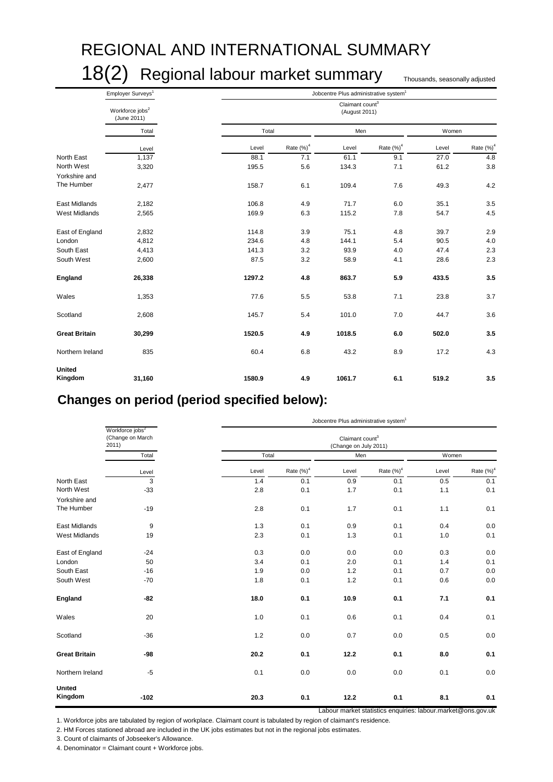# REGIONAL AND INTERNATIONAL SUMMARY

18(2) Regional labour market summary Thousands, seasonally adjusted

|                          | Employer Surveys <sup>1</sup>              |        | Jobcentre Plus administrative system <sup>1</sup> |                                              |             |       |               |  |  |  |  |
|--------------------------|--------------------------------------------|--------|---------------------------------------------------|----------------------------------------------|-------------|-------|---------------|--|--|--|--|
|                          | Workforce jobs <sup>2</sup><br>(June 2011) |        |                                                   | Claimant count <sup>3</sup><br>(August 2011) |             |       |               |  |  |  |  |
|                          | Total                                      |        | Total                                             |                                              | Men         |       | Women         |  |  |  |  |
|                          | Level                                      | Level  | Rate $(\%)^4$                                     | Level                                        | Rate $(%)4$ | Level | Rate $(\%)^4$ |  |  |  |  |
| North East               | 1,137                                      | 88.1   | 7.1                                               | 61.1                                         | 9.1         | 27.0  | 4.8           |  |  |  |  |
| North West               | 3,320                                      | 195.5  | 5.6                                               | 134.3                                        | 7.1         | 61.2  | 3.8           |  |  |  |  |
| Yorkshire and            |                                            |        |                                                   |                                              |             |       |               |  |  |  |  |
| The Humber               | 2,477                                      | 158.7  | 6.1                                               | 109.4                                        | 7.6         | 49.3  | 4.2           |  |  |  |  |
| East Midlands            | 2,182                                      | 106.8  | 4.9                                               | 71.7                                         | 6.0         | 35.1  | 3.5           |  |  |  |  |
| <b>West Midlands</b>     | 2,565                                      | 169.9  | 6.3                                               | 115.2                                        | 7.8         | 54.7  | 4.5           |  |  |  |  |
| East of England          | 2,832                                      | 114.8  | 3.9                                               | 75.1                                         | 4.8         | 39.7  | 2.9           |  |  |  |  |
| London                   | 4,812                                      | 234.6  | 4.8                                               | 144.1                                        | 5.4         | 90.5  | 4.0           |  |  |  |  |
| South East               | 4,413                                      | 141.3  | 3.2                                               | 93.9                                         | 4.0         | 47.4  | 2.3           |  |  |  |  |
| South West               | 2,600                                      | 87.5   | 3.2                                               | 58.9                                         | 4.1         | 28.6  | 2.3           |  |  |  |  |
| England                  | 26,338                                     | 1297.2 | 4.8                                               | 863.7                                        | 5.9         | 433.5 | 3.5           |  |  |  |  |
| Wales                    | 1,353                                      | 77.6   | 5.5                                               | 53.8                                         | 7.1         | 23.8  | 3.7           |  |  |  |  |
| Scotland                 | 2,608                                      | 145.7  | 5.4                                               | 101.0                                        | 7.0         | 44.7  | 3.6           |  |  |  |  |
| <b>Great Britain</b>     | 30,299                                     | 1520.5 | 4.9                                               | 1018.5                                       | 6.0         | 502.0 | 3.5           |  |  |  |  |
| Northern Ireland         | 835                                        | 60.4   | 6.8                                               | 43.2                                         | 8.9         | 17.2  | 4.3           |  |  |  |  |
| <b>United</b><br>Kingdom | 31,160                                     | 1580.9 | 4.9                                               | 1061.7                                       | 6.1         | 519.2 | 3.5           |  |  |  |  |

### **Changes on period (period specified below):**

|                          |                                                         | Jobcentre Plus administrative system <sup>1</sup> |               |                                                      |               |       |               |  |  |
|--------------------------|---------------------------------------------------------|---------------------------------------------------|---------------|------------------------------------------------------|---------------|-------|---------------|--|--|
|                          | Workforce jobs <sup>2</sup><br>(Change on March<br>2011 |                                                   |               | Claimant count <sup>3</sup><br>(Change on July 2011) |               |       |               |  |  |
|                          | Total                                                   | Total                                             |               | Men                                                  |               | Women |               |  |  |
|                          | Level                                                   | Level                                             | Rate $(\%)^4$ | Level                                                | Rate $(\%)^4$ | Level | Rate $(\%)^4$ |  |  |
| North East               | $\overline{3}$                                          | 1.4                                               | 0.1           | 0.9                                                  | 0.1           | 0.5   | 0.1           |  |  |
| North West               | $-33$                                                   | 2.8                                               | 0.1           | 1.7                                                  | 0.1           | 1.1   | 0.1           |  |  |
| Yorkshire and            |                                                         |                                                   |               |                                                      |               |       |               |  |  |
| The Humber               | $-19$                                                   | 2.8                                               | 0.1           | 1.7                                                  | 0.1           | 1.1   | 0.1           |  |  |
| East Midlands            | 9                                                       | 1.3                                               | 0.1           | 0.9                                                  | 0.1           | 0.4   | 0.0           |  |  |
| <b>West Midlands</b>     | 19                                                      | 2.3                                               | 0.1           | 1.3                                                  | 0.1           | 1.0   | 0.1           |  |  |
| East of England          | $-24$                                                   | 0.3                                               | 0.0           | 0.0                                                  | 0.0           | 0.3   | 0.0           |  |  |
| London                   | 50                                                      | 3.4                                               | 0.1           | 2.0                                                  | 0.1           | 1.4   | 0.1           |  |  |
| South East               | $-16$                                                   | 1.9                                               | 0.0           | 1.2                                                  | 0.1           | 0.7   | 0.0           |  |  |
| South West               | $-70$                                                   | 1.8                                               | 0.1           | 1.2                                                  | 0.1           | 0.6   | 0.0           |  |  |
| England                  | $-82$                                                   | 18.0                                              | 0.1           | 10.9                                                 | 0.1           | 7.1   | 0.1           |  |  |
| Wales                    | 20                                                      | 1.0                                               | 0.1           | 0.6                                                  | 0.1           | 0.4   | 0.1           |  |  |
| Scotland                 | $-36$                                                   | 1.2                                               | 0.0           | 0.7                                                  | 0.0           | 0.5   | 0.0           |  |  |
| <b>Great Britain</b>     | -98                                                     | 20.2                                              | 0.1           | 12.2                                                 | 0.1           | 8.0   | 0.1           |  |  |
| Northern Ireland         | $-5$                                                    | 0.1                                               | 0.0           | 0.0                                                  | 0.0           | 0.1   | 0.0           |  |  |
| <b>United</b><br>Kingdom | $-102$                                                  | 20.3                                              | 0.1           | 12.2                                                 | 0.1           | 8.1   | 0.1           |  |  |

Labour market statistics enquiries: labour.market@ons.gov.uk

1. Workforce jobs are tabulated by region of workplace. Claimant count is tabulated by region of claimant's residence.

2. HM Forces stationed abroad are included in the UK jobs estimates but not in the regional jobs estimates.

3. Count of claimants of Jobseeker's Allowance.

4. Denominator = Claimant count + Workforce jobs.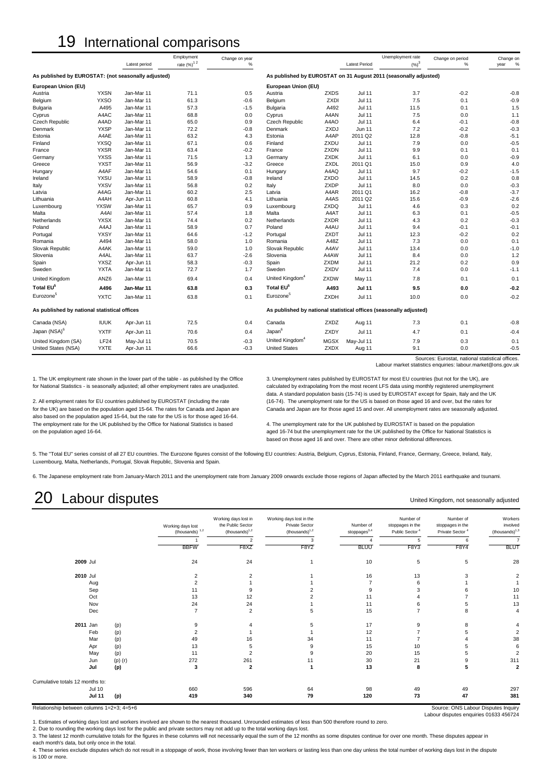### 19 International comparisons

|                                                     |                     |                          | Employment             | Change on year   |                             |                            |                      | Unemployment rate                                                  | Change on period | Change on     |
|-----------------------------------------------------|---------------------|--------------------------|------------------------|------------------|-----------------------------|----------------------------|----------------------|--------------------------------------------------------------------|------------------|---------------|
|                                                     |                     | Latest period            | rate (%) <sup>12</sup> | $\%$             |                             |                            | <b>Latest Period</b> | $(\%)^3$                                                           | %                | %<br>year     |
| As published by EUROSTAT: (not seasonally adjusted) |                     |                          |                        |                  |                             |                            |                      | As published by EUROSTAT on 31 August 2011 (seasonally adjusted)   |                  |               |
| European Union (EU)                                 |                     |                          |                        |                  | European Union (EU)         |                            |                      |                                                                    |                  |               |
| Austria                                             | <b>YXSN</b>         | Jan-Mar 11               | 71.1                   | 0.5              | Austria                     | ZXDS                       | <b>Jul 11</b>        | 3.7                                                                | $-0.2$           | $-0.8$        |
| Belgium                                             | <b>YXSO</b>         | Jan-Mar 11               | 61.3                   | $-0.6$           | Belgium                     | <b>ZXDI</b>                | Jul 11               | 7.5                                                                | 0.1              | $-0.9$        |
| Bulgaria                                            | A495                | Jan-Mar 11               | 57.3                   | $-1.5$           | Bulgaria                    | A492                       | <b>Jul 11</b>        | 11.5                                                               | 0.1              | 1.5           |
| Cyprus                                              | A4AC                | Jan-Mar 11               | 68.8                   | 0.0              | Cyprus                      | A4AN                       | Jul 11               | 7.5                                                                | 0.0              | 1.1           |
| Czech Republic                                      | A4AD                | Jan-Mar 11               | 65.0                   | 0.9              | Czech Republic              | A4AO                       | Jul 11               | 6.4                                                                | $-0.1$           | $-0.8$        |
| Denmark                                             | <b>YXSP</b>         | Jan-Mar 11               | 72.2                   | $-0.8$           | Denmark                     | ZXDJ                       | <b>Jun 11</b>        | 7.2                                                                | $-0.2$           | $-0.3$        |
| Estonia                                             | A4AE                | Jan-Mar 11               | 63.2                   | 4.3              | Estonia                     | A4AP                       | 2011 Q2              | 12.8                                                               | $-0.8$           | $-5.1$        |
| Finland                                             | <b>YXSQ</b>         | Jan-Mar 11               | 67.1                   | 0.6              | Finland                     | ZXDU                       | <b>Jul 11</b>        | 7.9                                                                | 0.0              | $-0.5$        |
| France                                              | <b>YXSR</b>         | Jan-Mar 11               | 63.4                   | $-0.2$           | France                      | ZXDN                       | <b>Jul 11</b>        | 9.9                                                                | 0.1              | 0.1           |
| Germany                                             | <b>YXSS</b>         | Jan-Mar 11               | 71.5                   | 1.3              | Germany                     | <b>ZXDK</b>                | <b>Jul 11</b>        | 6.1                                                                | 0.0              | $-0.9$        |
| Greece                                              | <b>YXST</b>         | Jan-Mar 11               | 56.9                   | $-3.2$           | Greece                      | ZXDL                       | 2011 Q1              | 15.0                                                               | 0.9              | 4.0           |
| Hungary                                             | A4AF                | Jan-Mar 11               | 54.6                   | 0.1              | Hungary                     | A4AQ                       | Jul 11               | 9.7                                                                | $-0.2$           | $-1.5$        |
| Ireland                                             | <b>YXSU</b>         | Jan-Mar 11               | 58.9                   | $-0.8$           | Ireland                     | ZXDO                       | Jul 11               | 14.5                                                               | 0.2              | 0.8           |
| Italy                                               | <b>YXSV</b>         | Jan-Mar 11               | 56.8                   | 0.2              | Italy                       | <b>ZXDP</b>                | <b>Jul 11</b>        | 8.0                                                                | 0.0              | $-0.3$        |
| Latvia                                              | A4AG                | Jan-Mar 11               | 60.2                   | 2.5              | Latvia                      | A4AR                       | 2011 Q1              | 16.2                                                               | $-0.8$           | $-3.7$        |
| Lithuania                                           | A4AH                | Apr-Jun 11               | 60.8                   | 4.1              | Lithuania                   | A4AS                       | 2011 Q2              | 15.6                                                               | $-0.9$           | $-2.6$        |
| Luxembourg                                          | <b>YXSW</b>         | Jan-Mar 11               | 65.7                   | 0.9              | Luxembourg                  | ZXDQ                       | <b>Jul 11</b>        | 4.6                                                                | 0.3              | 0.2           |
| Malta                                               | A4AI                | Jan-Mar 11               | 57.4                   | 1.8              | Malta                       | A4AT                       | <b>Jul 11</b>        | 6.3                                                                | 0.1              | $-0.5$        |
| Netherlands                                         | <b>YXSX</b>         | Jan-Mar 11               | 74.4                   | 0.2              | Netherlands                 | ZXDR                       | <b>Jul 11</b>        | 4.3                                                                | 0.2              | $-0.3$        |
| Poland                                              | A4AJ                | Jan-Mar 11               | 58.9                   | 0.7              | Poland                      | A4AU                       | Jul 11               | 9.4                                                                | $-0.1$           | $-0.1$        |
| Portugal                                            | <b>YXSY</b>         | Jan-Mar 11               | 64.6                   | $-1.2$           | Portugal                    | ZXDT                       | <b>Jul 11</b>        | 12.3                                                               | $-0.2$           | 0.2           |
| Romania                                             | A494                | Jan-Mar 11               | 58.0                   | 1.0              | Romania                     | A48Z                       | <b>Jul 11</b>        | 7.3                                                                | 0.0              | 0.1           |
| Slovak Republic                                     | A4AK                | Jan-Mar 11               | 59.0                   | 1.0              | Slovak Republic             | A4AV                       | <b>Jul 11</b>        | 13.4                                                               | 0.0              | $-1.0$        |
| Slovenia                                            | A4AL                | Jan-Mar 11               | 63.7                   | $-2.6$           | Slovenia                    | A4AW                       | Jul 11               | 8.4                                                                | 0.0              | 1.2           |
| Spain                                               | <b>YXSZ</b>         | Apr-Jun 11               | 58.3                   | $-0.3$           | Spain                       | <b>ZXDM</b>                | <b>Jul 11</b>        | 21.2                                                               | 0.2              | 0.9           |
| Sweden                                              | <b>YXTA</b>         | Jan-Mar 11               | 72.7                   | 1.7              | Sweden                      | ZXDV                       | Jul 11               | 7.4                                                                | 0.0              | $-1.1$        |
| <b>United Kingdom</b>                               | ANZ6                | Jan-Mar 11               | 69.4                   | 0.4              | United Kingdom <sup>4</sup> | ZXDW                       | May 11               | 7.8                                                                | 0.1              | 0.1           |
| Total EU <sup>5</sup>                               | A496                | Jan-Mar 11               | 63.8                   | 0.3              | Total EU <sup>5</sup>       | A493                       | <b>Jul 11</b>        | 9.5                                                                | 0.0              | $-0.2$        |
| Eurozone <sup>5</sup>                               | <b>YXTC</b>         | Jan-Mar 11               | 63.8                   | 0.1              | Eurozone <sup>5</sup>       | <b>ZXDH</b>                | Jul 11               | 10.0                                                               | 0.0              | $-0.2$        |
| As published by national statistical offices        |                     |                          |                        |                  |                             |                            |                      | As published by national statistical offices (seasonally adjusted) |                  |               |
| Canada (NSA)                                        | <b>IUUK</b>         | Apr-Jun 11               | 72.5                   | 0.4              | Canada                      | ZXDZ                       | Aug 11               | 7.3                                                                | 0.1              | $-0.8$        |
| Japan (NSA) <sup>6</sup>                            | <b>YXTF</b>         | Apr-Jun 11               | 70.6                   | 0.4              | Japan <sup>6</sup>          | ZXDY                       | <b>Jul 11</b>        | 4.7                                                                | 0.1              | $-0.4$        |
|                                                     |                     |                          |                        |                  | United Kingdom <sup>4</sup> |                            |                      |                                                                    |                  |               |
| United Kingdom (SA)<br>United States (NSA)          | LF24<br><b>YXTE</b> | May-Jul 11<br>Apr-Jun 11 | 70.5<br>66.6           | $-0.3$<br>$-0.3$ | <b>United States</b>        | <b>MGSX</b><br><b>ZXDX</b> | May-Jul 11<br>Aug 11 | 7.9<br>9.1                                                         | 0.3<br>0.0       | 0.1<br>$-0.5$ |
|                                                     |                     |                          |                        |                  |                             |                            |                      |                                                                    |                  |               |

Sources: Eurostat, national statistical offices. Labour market statistics enquiries: labour.market@ons.gov.uk

United Kingdom, not seasonally adjusted

also based on the population aged 15-64, but the rate for the US is for those aged 16-64. The employment rate for the UK published by the Office for National Statistics is based 4. The unemployment rate for the UK published by EUROSTAT is based on the population

1. The UK employment rate shown in the lower part of the table - as published by the Office 3. Unemployment rates published by EUROSTAT for most EU countries (but not for the UK), are<br>for National Statistics - is seasonall rational Statistics - is search that is search the most recent LFS data using monthly registered unemployment data. A standard population basis (15-74) is used by EUROSTAT except for Spain, Italy and the UK 2. All employment rates for EU countries published by EUROSTAT (including the rate (16-74). The unemployment rate for the US is based on those aged 16 and over, but the rates for canses for Canada and Japan are (16-74). Th Canada and Japan are for those aged 15 and over. All unemployment rates are seasonally adjusted

on the population aged 16-64. **Aged 16-74 but the unemployment rate for the UK** published by the Office for National Statistics is based on those aged 16 and over. There are other minor definitional differences.

5. The "Total EU" series consist of all 27 EU countries. The Eurozone figures consist of the following EU countries: Austria, Belgium, Cyprus, Estonia, Finland, France, Germany, Greece, Ireland, Italy, Luxembourg, Malta, Netherlands, Portugal, Slovak Republic, Slovenia and Spain.

6. The Japanese employment rate from January-March 2011 and the unemployment rate from January 2009 onwards exclude those regions of Japan affected by the March 2011 earthquake and tsunami.

### 20 Labour disputes

| Workers<br>involved<br>$-thousands)^{1,3}$ | Number of<br>stoppages in the<br>Private Sector <sup>4</sup> | Number of<br>stoppages in the<br>Public Sector <sup>4</sup> | Number of<br>stoppages $^{3,4}$ | Working days lost in the<br><b>Private Sector</b><br>$-thousands)^{1,2}$ | Working days lost in<br>the Public Sector<br>$(housands)^{1,2}$ | Working days lost<br>(thousands) $1,2$ |             |                                 |
|--------------------------------------------|--------------------------------------------------------------|-------------------------------------------------------------|---------------------------------|--------------------------------------------------------------------------|-----------------------------------------------------------------|----------------------------------------|-------------|---------------------------------|
| $\overline{7}$                             | 6                                                            | 5                                                           |                                 | 3                                                                        | $\overline{2}$                                                  |                                        |             |                                 |
| <b>BLUT</b>                                | F8Y4                                                         | F8Y3                                                        | <b>BLUU</b>                     | F8Y2                                                                     | F8XZ                                                            | <b>BBFW</b>                            |             |                                 |
| 28                                         | 5                                                            | 5                                                           | 10                              | 1                                                                        | 24                                                              | 24                                     |             | 2009 Jul                        |
|                                            | 3                                                            | 13                                                          | 16                              |                                                                          | $\overline{a}$                                                  | $\overline{2}$                         |             | 2010 Jul                        |
|                                            |                                                              | 6                                                           |                                 |                                                                          |                                                                 | $\overline{2}$                         |             | Aug                             |
| 10                                         |                                                              | 3                                                           | 9                               |                                                                          | g                                                               | 11                                     |             | Sep                             |
| 11                                         |                                                              |                                                             | 11                              |                                                                          | 12                                                              | 13                                     |             | Oct                             |
| 13                                         | 5                                                            | 6                                                           | 11                              |                                                                          | 24                                                              | 24                                     |             | Nov                             |
| 4                                          | 8                                                            | 7                                                           | 15                              | 5                                                                        | $\overline{2}$                                                  | $\overline{7}$                         |             | Dec                             |
|                                            | 8                                                            | 9                                                           | 17                              | 5                                                                        |                                                                 | 9                                      | (p)         | 2011 Jan                        |
|                                            | 5                                                            |                                                             | 12                              |                                                                          |                                                                 | $\overline{2}$                         | (p)         | Feb                             |
| 38                                         |                                                              |                                                             | 11                              | 34                                                                       | 16                                                              | 49                                     | (p)         | Mar                             |
| 6                                          | 5                                                            | 10                                                          | 15                              | 9                                                                        | 5                                                               | 13                                     | (p)         | Apr                             |
| $\overline{2}$                             | 5                                                            | 15                                                          | 20                              | 9                                                                        | $\overline{2}$                                                  | 11                                     | (p)         | May                             |
| 311                                        | 9                                                            | 21                                                          | 30                              | 11                                                                       | 261                                                             | 272                                    | $(p)$ $(r)$ | Jun                             |
| $\overline{\mathbf{2}}$                    | 5                                                            | 8                                                           | 13                              |                                                                          | $\overline{2}$                                                  | 3                                      | (p)         | Jul                             |
|                                            |                                                              |                                                             |                                 |                                                                          |                                                                 |                                        |             | Cumulative totals 12 months to: |
| 297                                        | 49                                                           | 49                                                          | 98                              | 64                                                                       | 596                                                             | 660                                    |             | <b>Jul 10</b>                   |
| 381                                        | 47                                                           | 73                                                          | 120                             | 79                                                                       | 340                                                             | 419                                    | (p)         | <b>Jul 11</b>                   |

Labour disputes enquiries 01633 456724

1. Estimates of working days lost and workers involved are shown to the nearest thousand. Unrounded estimates of less than 500 therefore round to zero.

2. Due to rounding the working days lost for the public and private sectors may not add up to the total working days lost.

3. The latest 12 month cumulative totals for the figures in these columns will not necessarily equal the sum of the 12 months as some disputes continue for over one month. These disputes appear in each month's data, but only once in the total.

4. These series exclude disputes which do not result in a stoppage of work, those involving fewer than ten workers or lasting less than one day unless the total number of working days lost in the dispute is 100 or more.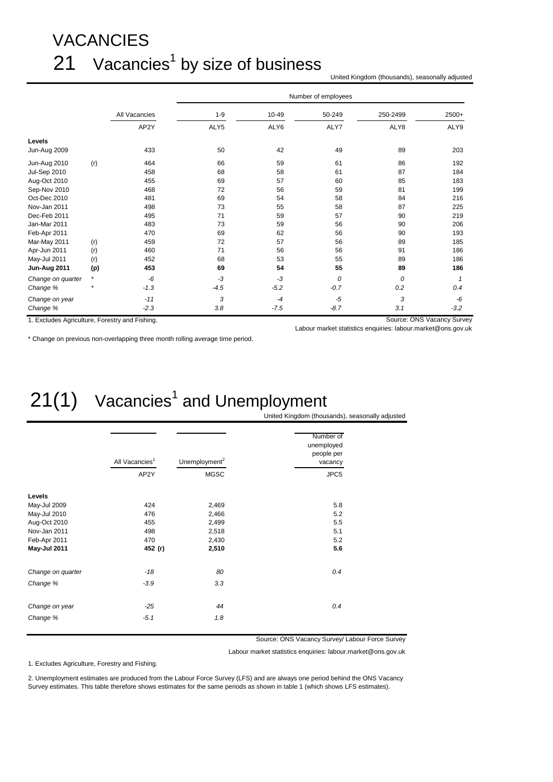## VACANCIES  $21$  Vacancies<sup>1</sup> by size of business

United Kingdom (thousands), seasonally adjusted

|                                                |         |               |         |        | Number of employees |          |                            |
|------------------------------------------------|---------|---------------|---------|--------|---------------------|----------|----------------------------|
|                                                |         | All Vacancies | $1 - 9$ | 10-49  | 50-249              | 250-2499 | 2500+                      |
|                                                |         | AP2Y          | ALY5    | ALY6   | ALY7                | ALY8     | ALY9                       |
| Levels                                         |         |               |         |        |                     |          |                            |
| Jun-Aug 2009                                   |         | 433           | 50      | 42     | 49                  | 89       | 203                        |
| Jun-Aug 2010                                   | (r)     | 464           | 66      | 59     | 61                  | 86       | 192                        |
| <b>Jul-Sep 2010</b>                            |         | 458           | 68      | 58     | 61                  | 87       | 184                        |
| Aug-Oct 2010                                   |         | 455           | 69      | 57     | 60                  | 85       | 183                        |
| Sep-Nov 2010                                   |         | 468           | 72      | 56     | 59                  | 81       | 199                        |
| Oct-Dec 2010                                   |         | 481           | 69      | 54     | 58                  | 84       | 216                        |
| Nov-Jan 2011                                   |         | 498           | 73      | 55     | 58                  | 87       | 225                        |
| Dec-Feb 2011                                   |         | 495           | 71      | 59     | 57                  | 90       | 219                        |
| Jan-Mar 2011                                   |         | 483           | 73      | 59     | 56                  | 90       | 206                        |
| Feb-Apr 2011                                   |         | 470           | 69      | 62     | 56                  | 90       | 193                        |
| Mar-May 2011                                   | (r)     | 459           | 72      | 57     | 56                  | 89       | 185                        |
| Apr-Jun 2011                                   | (r)     | 460           | 71      | 56     | 56                  | 91       | 186                        |
| May-Jul 2011                                   | (r)     | 452           | 68      | 53     | 55                  | 89       | 186                        |
| Jun-Aug 2011                                   | (p)     | 453           | 69      | 54     | 55                  | 89       | 186                        |
| Change on quarter                              | $\star$ | -6            | $-3$    | -3     | 0                   | 0        | $\mathbf 1$                |
| Change %                                       |         | $-1.3$        | $-4.5$  | $-5.2$ | $-0.7$              | 0.2      | 0.4                        |
| Change on year                                 |         | $-11$         | 3       | $-4$   | $-5$                | 3        | -6                         |
| Change %                                       |         | $-2.3$        | 3.8     | $-7.5$ | $-8.7$              | 3.1      | $-3.2$                     |
| 1. Excludes Agriculture, Forestry and Fishing. |         |               |         |        |                     |          | Source: ONS Vacancy Survey |

Labour market statistics enquiries: labour.market@ons.gov.uk

\* Change on previous non-overlapping three month rolling average time period.

## $21(1)$  Vacancies<sup>1</sup> and Unemployment

United Kingdom (thousands), seasonally adjusted

|                   | All Vacancies <sup>1</sup> | Unemployment <sup>2</sup> | Number of<br>unemployed<br>people per<br>vacancy |
|-------------------|----------------------------|---------------------------|--------------------------------------------------|
|                   | AP2Y                       | <b>MGSC</b>               | JPC5                                             |
| Levels            |                            |                           |                                                  |
| May-Jul 2009      | 424                        | 2,469                     | 5.8                                              |
| May-Jul 2010      | 476                        | 2,466                     | 5.2                                              |
| Aug-Oct 2010      | 455                        | 2,499                     | 5.5                                              |
| Nov-Jan 2011      | 498                        | 2,518                     | 5.1                                              |
| Feb-Apr 2011      | 470                        | 2,430                     | 5.2                                              |
| May-Jul 2011      | 452 (r)                    | 2,510                     | 5.6                                              |
| Change on quarter | $-18$                      | 80                        | 0.4                                              |
| Change %          | $-3.9$                     | 3.3                       |                                                  |
| Change on year    | $-25$                      | 44                        | 0.4                                              |
| Change %          | $-5.1$                     | 1.8                       |                                                  |

Source: ONS Vacancy Survey/ Labour Force Survey

Labour market statistics enquiries: labour.market@ons.gov.uk

1. Excludes Agriculture, Forestry and Fishing.

2. Unemployment estimates are produced from the Labour Force Survey (LFS) and are always one period behind the ONS Vacancy Survey estimates. This table therefore shows estimates for the same periods as shown in table 1 (which shows LFS estimates).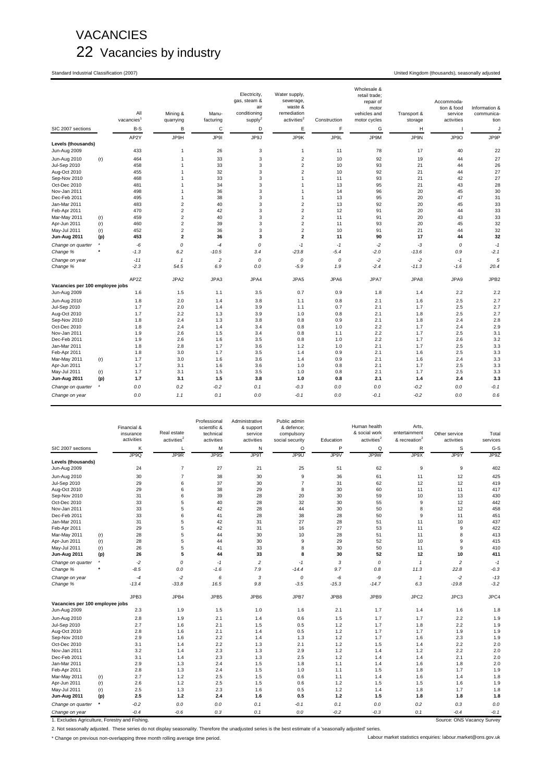### VACANCIES 22 Vacancies by industry

Standard Industrial Classification (2007) United Kingdom (thousands), seasonally adjusted

|                                    |         | All<br>vacancies | Mining &<br>quarrying   | Manu-<br>facturing | Electricity,<br>gas, steam &<br>air<br>conditioning<br>supply <sup>2</sup> | Water supply,<br>sewerage,<br>waste &<br>remediation<br>activities <sup>2</sup> | Construction | Wholesale &<br>retail trade;<br>repair of<br>motor<br>vehicles and<br>motor cycles | Transport &<br>storage | Accommoda-<br>tion & food<br>service<br>activities | Information &<br>communica-<br>tion |
|------------------------------------|---------|------------------|-------------------------|--------------------|----------------------------------------------------------------------------|---------------------------------------------------------------------------------|--------------|------------------------------------------------------------------------------------|------------------------|----------------------------------------------------|-------------------------------------|
| SIC 2007 sections                  |         | B-S              | B                       | C                  | D                                                                          | Ε                                                                               | F            | G                                                                                  | Н                      | ш                                                  | J                                   |
|                                    |         | AP2Y             | JP9H                    | JP9I               | JP9J                                                                       | JP9K                                                                            | JP9L         | JP9M                                                                               | JP9N                   | JP9O                                               | JP9P                                |
| Levels (thousands)<br>Jun-Aug 2009 |         | 433              | $\mathbf{1}$            | 26                 | 3                                                                          | $\mathbf{1}$                                                                    | 11           | 78                                                                                 | 17                     | 40                                                 | 22                                  |
| Jun-Aug 2010                       | (r)     | 464              | 1                       | 33                 | 3                                                                          | $\overline{2}$                                                                  | 10           | 92                                                                                 | 19                     | 44                                                 | 27                                  |
| <b>Jul-Sep 2010</b>                |         | 458              | 1                       | 33                 | 3                                                                          | $\boldsymbol{2}$                                                                | 10           | 93                                                                                 | 21                     | 44                                                 | 26                                  |
| Aug-Oct 2010                       |         | 455              | 1                       | 32                 | 3                                                                          | $\overline{c}$                                                                  | 10           | 92                                                                                 | 21                     | 44                                                 | 27                                  |
| Sep-Nov 2010                       |         | 468              | 1                       | 33                 | 3                                                                          | $\mathbf{1}$                                                                    | 11           | 93                                                                                 | 21                     | 42                                                 | 27                                  |
| Oct-Dec 2010                       |         | 481              | 1                       | 34                 | 3                                                                          | $\mathbf{1}$                                                                    | 13           | 95                                                                                 | 21                     | 43                                                 | 28                                  |
| Nov-Jan 2011                       |         | 498              | 1                       | 36                 | 3                                                                          | $\overline{1}$                                                                  | 14           | 96                                                                                 | 20                     | 45                                                 | 30                                  |
| Dec-Feb 2011                       |         | 495              | $\mathbf{1}$            | 38                 | 3                                                                          | $\mathbf{1}$                                                                    | 13           | 95                                                                                 | 20                     | 47                                                 | 31                                  |
| Jan-Mar 2011                       |         | 483              | $\overline{\mathbf{c}}$ | 40                 | 3                                                                          | $\overline{\mathbf{c}}$                                                         | 13           | 92                                                                                 | 20                     | 45                                                 | 33                                  |
| Feb-Apr 2011                       |         | 470              | $\overline{c}$          | 42                 | 3                                                                          | $\overline{c}$                                                                  | 12           | 91                                                                                 | 20                     | 44                                                 | 33                                  |
| Mar-May 2011                       | (r)     | 459              | $\overline{\mathbf{c}}$ | 40                 | 3                                                                          | $\overline{c}$                                                                  | 11           | 91                                                                                 | 20                     | 43                                                 | 33                                  |
| Apr-Jun 2011                       | (r)     | 460              | $\overline{c}$          | 39                 | 3                                                                          | $\overline{c}$                                                                  | 11           | 93                                                                                 | 20                     | 45                                                 | 32                                  |
| May-Jul 2011                       | (r)     | 452              | $\overline{c}$          | 36                 | 3                                                                          | $\overline{c}$                                                                  | 10           | 91                                                                                 | 21                     | 44                                                 | 32                                  |
| Jun-Aug 2011                       | (p)     | 453              | $\overline{\mathbf{2}}$ | 36                 | 3                                                                          | $\overline{\mathbf{2}}$                                                         | 11           | 90                                                                                 | 17                     | 44                                                 | 32                                  |
| Change on quarter                  |         | -6               | 0                       | $-4$               | 0                                                                          | $-1$                                                                            | $-1$         | $-2$                                                                               | -3                     | 0                                                  | $-1$                                |
| Change %                           |         | $-1.3$           | 6.2                     | $-10.5$            | 3.4                                                                        | $-23.8$                                                                         | $-5.4$       | $-2.0$                                                                             | $-13.6$                | 0.9                                                | $-2.1$                              |
| Change on year                     |         | $-11$            | $\mathbf{1}$            | $\overline{c}$     | 0                                                                          | $\mathcal{O}$                                                                   | 0            | $-2$                                                                               | $-2$                   | $-1$                                               | 5                                   |
| Change %                           |         | $-2.3$           | 54.5                    | 6.9                | 0.0                                                                        | $-5.9$                                                                          | 1.9          | $-2.4$                                                                             | $-11.3$                | $-1.6$                                             | 20.4                                |
|                                    |         | AP2Z             | JPA2                    | JPA3               | JPA4                                                                       | JPA5                                                                            | JPA6         | JPA7                                                                               | JPA8                   | JPA9                                               | JPB <sub>2</sub>                    |
| Vacancies per 100 employee jobs    |         |                  |                         |                    |                                                                            |                                                                                 |              |                                                                                    |                        |                                                    |                                     |
| Jun-Aug 2009                       |         | 1.6              | 1.5                     | 1.1                | 3.5                                                                        | 0.7                                                                             | 0.9          | 1.8                                                                                | 1.4                    | 2.2                                                | 2.2                                 |
| Jun-Aug 2010                       |         | 1.8              | 2.0                     | 1.4                | 3.8                                                                        | 1.1                                                                             | 0.8          | 2.1                                                                                | 1.6                    | 2.5                                                | 2.7                                 |
| Jul-Sep 2010                       |         | 1.7              | 2.0                     | 1.4                | 3.9                                                                        | 1.1                                                                             | 0.7          | 2.1                                                                                | 1.7                    | 2.5                                                | 2.7                                 |
| Aug-Oct 2010                       |         | 1.7              | 2.2                     | 1.3                | 3.9                                                                        | 1.0                                                                             | 0.8          | 2.1                                                                                | 1.8                    | 2.5                                                | 2.7                                 |
| Sep-Nov 2010                       |         | 1.8              | 2.4                     | 1.3                | 3.8                                                                        | 0.8                                                                             | 0.9          | 2.1                                                                                | 1.8                    | 2.4                                                | 2.8                                 |
| Oct-Dec 2010                       |         | 1.8              | 2.4                     | 1.4                | 3.4                                                                        | 0.8                                                                             | 1.0          | 2.2                                                                                | 1.7                    | 2.4                                                | 2.9                                 |
| Nov-Jan 2011                       |         | 1.9              | 2.6                     | 1.5                | 3.4                                                                        | 0.8                                                                             | 1.1          | 2.2                                                                                | 1.7                    | 2.5                                                | 3.1                                 |
| Dec-Feb 2011                       |         | 1.9              | 2.6                     | 1.6                | 3.5                                                                        | 0.8                                                                             | 1.0          | 2.2                                                                                | 1.7                    | 2.6                                                | 3.2                                 |
| Jan-Mar 2011                       |         | 1.8              | 2.8                     | 1.7                | 3.6                                                                        | 1.2                                                                             | 1.0          | 2.1                                                                                | 1.7                    | 2.5                                                | 3.3                                 |
| Feb-Apr 2011                       |         | 1.8              | 3.0                     | 1.7                | 3.5                                                                        | 1.4                                                                             | 0.9          | 2.1                                                                                | 1.6                    | 2.5                                                | 3.3                                 |
| Mar-May 2011                       | (r)     | 1.7              | 3.0                     | 1.6                | 3.6                                                                        | 1.4                                                                             | 0.9          | 2.1                                                                                | 1.6                    | 2.4                                                | 3.3                                 |
| Apr-Jun 2011                       |         | 1.7              | 3.1                     | 1.6                | 3.6                                                                        | 1.0                                                                             | 0.8          | 2.1                                                                                | 1.7                    | 2.5                                                | 3.3                                 |
| May-Jul 2011                       | (r)     | 1.7              | 3.1                     | 1.5                | 3.5                                                                        | 1.0                                                                             | 0.8          | 2.1                                                                                | 1.7                    | 2.5                                                | 3.3                                 |
| Jun-Aug 2011                       | (p)     | 1.7              | 3.1                     | 1.5                | 3.8                                                                        | 1.0                                                                             | 0.8          | 2.1                                                                                | 1.4                    | 2.4                                                | 3.3                                 |
| Change on quarter                  | $\star$ | 0.0              | 0.2                     | $-0.2$             | 0.1                                                                        | $-0.3$                                                                          | 0.0          | 0.0                                                                                | $-0.2$                 | 0.0                                                | $-0.1$                              |
| Change on year                     |         | 0.0              | 1.1                     | 0.1                | 0.0                                                                        | $-0.1$                                                                          | 0.0          | $-0.1$                                                                             | $-0.2$                 | 0.0                                                | 0.6                                 |

|                                                |            | Financial &<br>insurance<br>activities | Real estate<br>activities <sup>2</sup> | Professional<br>scientific &<br>technical<br>activities | Administrative<br>& support<br>service<br>activities | Public admin<br>& defence;<br>compulsory<br>social security | Education  | Human health<br>& social work<br>activities <sup>2</sup> | Arts,<br>entertainment<br>& recreation <sup>2</sup> | Other service<br>activities | Total<br>services |
|------------------------------------------------|------------|----------------------------------------|----------------------------------------|---------------------------------------------------------|------------------------------------------------------|-------------------------------------------------------------|------------|----------------------------------------------------------|-----------------------------------------------------|-----------------------------|-------------------|
| SIC 2007 sections                              |            | Κ                                      | L                                      | M                                                       | N                                                    | $\circ$                                                     | P          | Q                                                        | R                                                   | S                           | G-S               |
|                                                |            | JP9Q                                   | JP9R                                   | JP9S                                                    | <b>JP9T</b>                                          | JP9U                                                        | JP9V       | JP9W                                                     | JP9X                                                | JP9Y                        | JP9Z              |
| Levels (thousands)<br>Jun-Aug 2009             |            | 24                                     | $\overline{7}$                         | 27                                                      | 21                                                   | 25                                                          | 51         | 62                                                       | 9                                                   | 9                           | 402               |
| Jun-Aug 2010                                   |            | 30                                     | $\overline{7}$                         | 38                                                      | 30                                                   | 9                                                           | 36         | 61                                                       | 11                                                  | 12                          | 425               |
| Jul-Sep 2010                                   |            | 29                                     | 6                                      | 37                                                      | 30                                                   | $\overline{7}$                                              | 31         | 62                                                       | 12                                                  | 12                          | 419               |
| Aug-Oct 2010                                   |            | 29                                     | 6                                      | 38                                                      | 29                                                   | 8                                                           | 30         | 60                                                       | 11                                                  | 11                          | 417               |
| Sep-Nov 2010                                   |            | 31                                     | 6                                      | 39                                                      | 28                                                   | 20                                                          | 30         | 59                                                       | 10                                                  | 13                          | 430               |
| Oct-Dec 2010                                   |            | 33                                     | 5                                      | 40                                                      | 28                                                   | 32                                                          | 30         | 55                                                       | 9                                                   | 12                          | 442               |
| Nov-Jan 2011                                   |            | 33                                     | 5                                      | 42                                                      | 28                                                   | 44                                                          | 30         | 50                                                       | 8                                                   | 12                          | 458               |
| Dec-Feb 2011                                   |            | 33                                     | 6                                      | 41                                                      | 28                                                   | 38                                                          | 28         | 50                                                       | 9                                                   | 11                          | 451               |
| Jan-Mar 2011                                   |            | 31                                     | 5                                      | 42                                                      | 31                                                   | 27                                                          | 28         | 51                                                       | 11                                                  | 10                          | 437               |
| Feb-Apr 2011                                   |            | 29                                     | 5                                      | 42                                                      | 31                                                   | 16                                                          | 27         | 53                                                       | 11                                                  | 9                           | 422               |
| Mar-May 2011                                   | (r)        | 28                                     | 5                                      | 44                                                      | 30                                                   | 10                                                          | 28         | 51                                                       | 11                                                  | 8                           | 413               |
| Apr-Jun 2011                                   | (r)        | 28                                     | 5                                      | 44                                                      | 30                                                   | 9                                                           | 29         | 52                                                       | 10                                                  | 9                           | 415               |
| May-Jul 2011                                   | (r)        | 26                                     | 5                                      | 41                                                      | 33                                                   | 8                                                           | 30         | 50                                                       | 11                                                  | 9                           | 410               |
| Jun-Aug 2011                                   | (p)        | 26                                     | 5                                      | 44                                                      | 33                                                   | 8                                                           | 30         | 52                                                       | 12                                                  | 10                          | 411               |
| Change on quarter                              | $\star$    | $-2$                                   | 0                                      | $-1$                                                    | $\overline{c}$                                       | $-1$                                                        | 3          | 0                                                        | $\mathbf{1}$                                        | $\overline{\mathbf{c}}$     | $-1$              |
| Change %                                       | ٠          | $-8.5$                                 | 0.0                                    | $-1.6$                                                  | 7.9                                                  | $-14.4$                                                     | 9.7        | 0.8                                                      | 11.3                                                | 22.8                        | $-0.3$            |
| Change on year                                 |            | $-4$                                   | $-2$                                   | 6                                                       | 3                                                    | $\mathcal{O}$                                               | -6         | -9                                                       | $\mathbf{1}$                                        | $-2$                        | $-13$             |
| Change %                                       |            | $-13.4$                                | $-33.8$                                | 16.5                                                    | 9.8                                                  | $-3.5$                                                      | $-15.3$    | $-14.7$                                                  | 6.3                                                 | $-19.8$                     | $-3.2$            |
|                                                |            | JPB3                                   | JPB4                                   | JPB5                                                    | JPB6                                                 | JPB7                                                        | JPB8       | JPB9                                                     | JPC <sub>2</sub>                                    | JPC3                        | JPC4              |
| Vacancies per 100 employee jobs                |            |                                        |                                        |                                                         |                                                      |                                                             |            |                                                          |                                                     |                             |                   |
| Jun-Aug 2009                                   |            | 2.3                                    | 1.9                                    | 1.5                                                     | 1.0                                                  | 1.6                                                         | 2.1        | 1.7                                                      | 1.4                                                 | 1.6                         | 1.8               |
| Jun-Aug 2010                                   |            | 2.8                                    | 1.9                                    | 2.1                                                     | 1.4                                                  | 0.6                                                         | 1.5        | 1.7                                                      | 1.7                                                 | 2.2                         | 1.9               |
| <b>Jul-Sep 2010</b>                            |            | 2.7                                    | 1.6                                    | 2.1                                                     | 1.5                                                  | 0.5                                                         | 1.2        | 1.7                                                      | 1.8                                                 | 2.2                         | 1.9               |
| Aug-Oct 2010                                   |            | 2.8                                    | 1.6                                    | 2.1                                                     | 1.4                                                  | 0.5                                                         | 1.2        | 1.7                                                      | 1.7                                                 | 1.9                         | 1.9               |
| Sep-Nov 2010                                   |            | 2.9                                    | 1.6                                    | 2.2                                                     | 1.4                                                  | 1.3                                                         | 1.2        | 1.7                                                      | 1.6                                                 | 2.3                         | 1.9               |
| Oct-Dec 2010                                   |            | 3.1                                    | 1.4                                    | 2.2                                                     | 1.3                                                  | 2.1                                                         | 1.2        | 1.5                                                      | 1.4                                                 | 2.2                         | 2.0               |
| Nov-Jan 2011                                   |            | 3.2                                    | 1.4                                    | 2.3                                                     | 1.3                                                  | 2.9                                                         | 1.2        | 1.4                                                      | 1.2                                                 | 2.2                         | 2.0               |
| Dec-Feb 2011                                   |            | 3.1                                    | 1.4                                    | 2.3                                                     | 1.3                                                  | 2.5                                                         | 1.2        | 1.4                                                      | 1.4                                                 | 2.1                         | 2.0               |
| Jan-Mar 2011                                   |            | 2.9<br>2.8                             | 1.3<br>1.3                             | 2.4                                                     | 1.5                                                  | 1.8                                                         | 1.1        | 1.4                                                      | 1.6                                                 | 1.8<br>1.7                  | 2.0<br>1.9        |
| Feb-Apr 2011                                   |            | 2.7                                    | 1.2                                    | 2.4                                                     | 1.5                                                  | 1.0                                                         | 1.1        | 1.5                                                      | 1.8                                                 |                             |                   |
| Mar-May 2011<br>Apr-Jun 2011                   | (r)<br>(r) | 2.6                                    | 1.2                                    | 2.5<br>2.5                                              | 1.5<br>1.5                                           | 0.6<br>0.6                                                  | 1.1<br>1.2 | 1.4<br>1.5                                               | 1.6<br>1.5                                          | 1.4<br>1.6                  | 1.8<br>1.9        |
| May-Jul 2011                                   |            | 2.5                                    | 1.3                                    | 2.3                                                     | 1.6                                                  | 0.5                                                         | 1.2        | 1.4                                                      | 1.8                                                 | 1.7                         | 1.8               |
| Jun-Aug 2011                                   | (r)<br>(p) | 2.5                                    | $1.2$                                  | 2.4                                                     | 1.6                                                  | 0.5                                                         | 1.2        | 1.5                                                      | 1.8                                                 | 1.8                         | 1.8               |
|                                                | ٠          |                                        |                                        |                                                         |                                                      |                                                             |            |                                                          |                                                     |                             |                   |
| Change on quarter                              |            | $-0.2$                                 | 0.0                                    | 0.0                                                     | 0.1                                                  | $-0.1$                                                      | 0.1        | 0.0                                                      | 0.2                                                 | 0.3                         | 0.0               |
| Change on year                                 |            | $-0.4$                                 | $-0.6$                                 | 0.3                                                     | 0.1                                                  | 0.0                                                         | $-0.2$     | $-0.3$                                                   | 0.1                                                 | $-0.4$                      | $-0.1$            |
| 1. Excludes Agriculture, Forestry and Fishing. |            |                                        |                                        |                                                         |                                                      |                                                             |            |                                                          |                                                     | Source: ONS Vacancy Survey  |                   |

2. Not seasonally adjusted. These series do not display seasonality. Therefore the unadjusted series is the best estimate of a 'seasonally adjusted' series.

\* Change on previous non-overlapping three month rolling average time period. Labour market statistics enquiries: labour.market@ons.gov.uk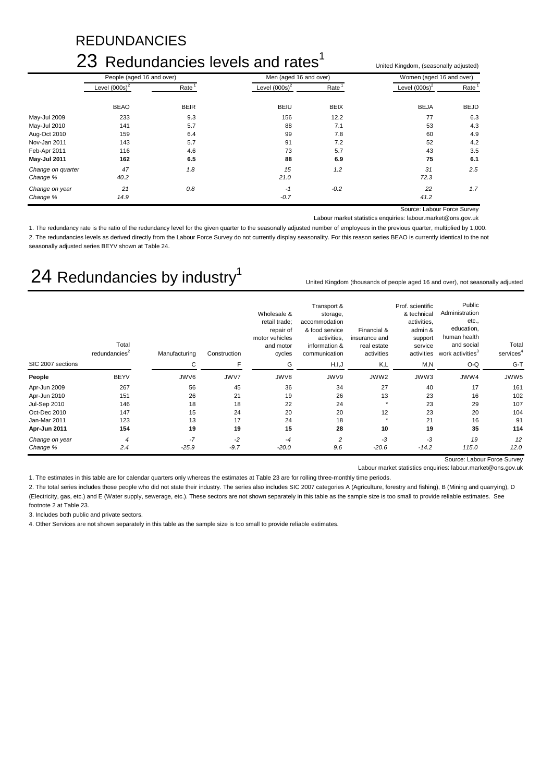### REDUNDANCIES

### 23 Redundancies levels and rates $1$

|                   | ZO Regundancies levels and rates | United Kingdom, (seasonally adjusted) |                        |                   |                          |                   |  |
|-------------------|----------------------------------|---------------------------------------|------------------------|-------------------|--------------------------|-------------------|--|
|                   | People (aged 16 and over)        |                                       | Men (aged 16 and over) |                   | Women (aged 16 and over) |                   |  |
|                   | Level $(000s)^2$                 | Rate <sup>1</sup>                     | Level $(000s)^2$       | Rate <sup>1</sup> | Level $(000s)^2$         | Rate <sup>1</sup> |  |
|                   | <b>BEAO</b>                      | <b>BEIR</b>                           | <b>BEIU</b>            | <b>BEIX</b>       | <b>BEJA</b>              | <b>BEJD</b>       |  |
| May-Jul 2009      | 233                              | 9.3                                   | 156                    | 12.2              | 77                       | 6.3               |  |
| May-Jul 2010      | 141                              | 5.7                                   | 88                     | 7.1               | 53                       | 4.3               |  |
| Aug-Oct 2010      | 159                              | 6.4                                   | 99                     | 7.8               | 60                       | 4.9               |  |
| Nov-Jan 2011      | 143                              | 5.7                                   | 91                     | 7.2               | 52                       | 4.2               |  |
| Feb-Apr 2011      | 116                              | 4.6                                   | 73                     | 5.7               | 43                       | 3.5               |  |
| May-Jul 2011      | 162                              | 6.5                                   | 88                     | 6.9               | 75                       | 6.1               |  |
| Change on quarter | 47                               | 1.8                                   | 15                     | 1.2               | 31                       | 2.5               |  |
| Change %          | 40.2                             |                                       | 21.0                   |                   | 72.3                     |                   |  |
| Change on year    | 21                               | 0.8                                   | $-1$                   | $-0.2$            | 22                       | 1.7               |  |
| Change %          | 14.9                             |                                       | $-0.7$                 |                   | 41.2                     |                   |  |

Source: Labour Force Survey

Labour market statistics enquiries: labour.market@ons.gov.uk

1. The redundancy rate is the ratio of the redundancy level for the given quarter to the seasonally adjusted number of employees in the previous quarter, multiplied by 1,000. 2. The redundancies levels as derived directly from the Labour Force Survey do not currently display seasonality. For this reason series BEAO is currently identical to the not seasonally adjusted series BEYV shown at Table 24.

### 24 Redundancies by industry<sup>1</sup>

United Kingdom (thousands of people aged 16 and over), not seasonally adjusted

|                     | Total<br>redundancies <sup>2</sup> | Manufacturing | Construction | Wholesale &<br>retail trade;<br>repair of<br>motor vehicles<br>and motor<br>cycles | Transport &<br>storage,<br>accommodation<br>& food service<br>activities,<br>information &<br>communication | Financial &<br>insurance and<br>real estate<br>activities | Prof. scientific<br>& technical<br>activities,<br>admin &<br>support<br>service<br>activities | Public<br>Administration<br>etc.,<br>education,<br>human health<br>and social<br>work activities <sup>3</sup> | Total<br>services <sup>4</sup> |
|---------------------|------------------------------------|---------------|--------------|------------------------------------------------------------------------------------|-------------------------------------------------------------------------------------------------------------|-----------------------------------------------------------|-----------------------------------------------------------------------------------------------|---------------------------------------------------------------------------------------------------------------|--------------------------------|
| SIC 2007 sections   |                                    | C             |              | G                                                                                  | H, I, J                                                                                                     | K,L                                                       | M, N                                                                                          | O-Q                                                                                                           | $G-T$                          |
| People              | <b>BEYV</b>                        | JWV6          | JWV7         | JWV8                                                                               | JWV9                                                                                                        | JWW2                                                      | JWW3                                                                                          | JWW4                                                                                                          | JWW5                           |
| Apr-Jun 2009        | 267                                | 56            | 45           | 36                                                                                 | 34                                                                                                          | 27                                                        | 40                                                                                            | 17                                                                                                            | 161                            |
| Apr-Jun 2010        | 151                                | 26            | 21           | 19                                                                                 | 26                                                                                                          | 13                                                        | 23                                                                                            | 16                                                                                                            | 102                            |
| <b>Jul-Sep 2010</b> | 146                                | 18            | 18           | 22                                                                                 | 24                                                                                                          |                                                           | 23                                                                                            | 29                                                                                                            | 107                            |
| Oct-Dec 2010        | 147                                | 15            | 24           | 20                                                                                 | 20                                                                                                          | 12                                                        | 23                                                                                            | 20                                                                                                            | 104                            |
| Jan-Mar 2011        | 123                                | 13            | 17           | 24                                                                                 | 18                                                                                                          |                                                           | 21                                                                                            | 16                                                                                                            | 91                             |
| Apr-Jun 2011        | 154                                | 19            | 19           | 15                                                                                 | 28                                                                                                          | 10                                                        | 19                                                                                            | 35                                                                                                            | 114                            |
| Change on year      | $\overline{4}$                     | $-7$          | $-2$         | $-4$                                                                               | 2                                                                                                           | -3                                                        | $-3$                                                                                          | 19                                                                                                            | 12                             |
| Change %            | 2.4                                | $-25.9$       | $-9.7$       | $-20.0$                                                                            | 9.6                                                                                                         | $-20.6$                                                   | $-14.2$                                                                                       | 115.0                                                                                                         | 12.0                           |

Source: Labour Force Survey

Labour market statistics enquiries: labour.market@ons.gov.uk

1. The estimates in this table are for calendar quarters only whereas the estimates at Table 23 are for rolling three-monthly time periods.

2. The total series includes those people who did not state their industry. The series also includes SIC 2007 categories A (Agriculture, forestry and fishing), B (Mining and quarrying), D (Electricity, gas, etc.) and E (Water supply, sewerage, etc.). These sectors are not shown separately in this table as the sample size is too small to provide reliable estimates. See footnote 2 at Table 23.

3. Includes both public and private sectors.

4. Other Services are not shown separately in this table as the sample size is too small to provide reliable estimates.